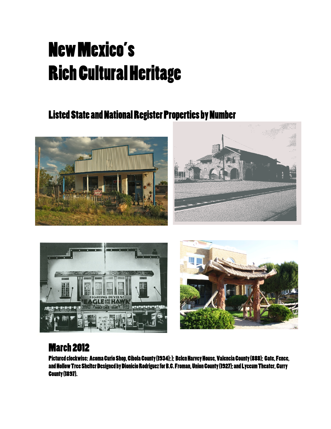## New Mexico's Rich Cultural Heritage

## Listed State and National Register Properties by Number







## March 2012

Pictured clockwise: Acoma Curio Shop, Cibola County (1934);); Belen Harvey House, Valencia County (888); Gate, Fence, and Hollow Tree Shelter Designed by Dionicio Rodriguez for B.C. Froman, Union County (1927); and Lyceum Theater, Curry County (1897).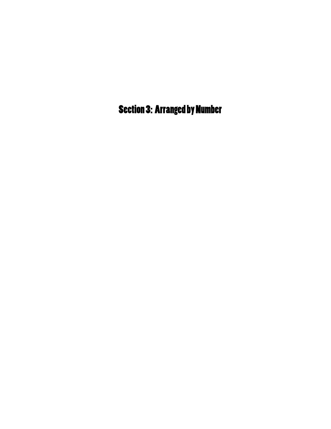Section 3: Arranged by Number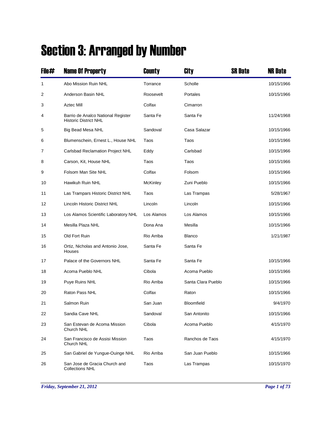## Section 3: Arranged by Number

| File# | <b>Name Of Property</b>                                            | County          | City               | <b>SR Date</b> | <b>NR Date</b> |
|-------|--------------------------------------------------------------------|-----------------|--------------------|----------------|----------------|
| 1     | Abo Mission Ruin NHL                                               | Torrance        | Scholle            |                | 10/15/1966     |
| 2     | Anderson Basin NHL                                                 | Roosevelt       | Portales           |                | 10/15/1966     |
| 3     | Aztec Mill                                                         | Colfax          | Cimarron           |                |                |
| 4     | Barrio de Analco National Register<br><b>Historic District NHL</b> | Santa Fe        | Santa Fe           |                | 11/24/1968     |
| 5     | Big Bead Mesa NHL                                                  | Sandoval        | Casa Salazar       |                | 10/15/1966     |
| 6     | Blumenschein, Ernest L., House NHL                                 | Taos            | Taos               |                | 10/15/1966     |
| 7     | <b>Carlsbad Reclamation Project NHL</b>                            | Eddy            | Carlsbad           |                | 10/15/1966     |
| 8     | Carson, Kit, House NHL                                             | Taos            | Taos               |                | 10/15/1966     |
| 9     | Folsom Man Site NHL                                                | Colfax          | Folsom             |                | 10/15/1966     |
| 10    | Hawikuh Ruin NHL                                                   | <b>McKinley</b> | Zuni Pueblo        |                | 10/15/1966     |
| 11    | Las Trampars Historic District NHL                                 | Taos            | Las Trampas        |                | 5/28/1967      |
| 12    | <b>Lincoln Historic District NHL</b>                               | Lincoln         | Lincoln            |                | 10/15/1966     |
| 13    | Los Alamos Scientific Laboratory NHL                               | Los Alamos      | Los Alamos         |                | 10/15/1966     |
| 14    | Mesilla Plaza NHL                                                  | Dona Ana        | Mesilla            |                | 10/15/1966     |
| 15    | Old Fort Ruin                                                      | Rio Arriba      | <b>Blanco</b>      |                | 1/21/1987      |
| 16    | Ortiz, Nicholas and Antonio Jose,<br>Houses                        | Santa Fe        | Santa Fe           |                |                |
| 17    | Palace of the Governors NHL                                        | Santa Fe        | Santa Fe           |                | 10/15/1966     |
| 18    | Acoma Pueblo NHL                                                   | Cibola          | Acoma Pueblo       |                | 10/15/1966     |
| 19    | Puye Ruins NHL                                                     | Rio Arriba      | Santa Clara Pueblo |                | 10/15/1966     |
| 20    | Raton Pass NHL                                                     | Colfax          | Raton              |                | 10/15/1966     |
| 21    | Salmon Ruin                                                        | San Juan        | Bloomfield         |                | 9/4/1970       |
| 22    | Sandia Cave NHL                                                    | Sandoval        | San Antonito       |                | 10/15/1966     |
| 23    | San Estevan de Acoma Mission<br>Church NHL                         | Cibola          | Acoma Pueblo       |                | 4/15/1970      |
| 24    | San Francisco de Assisi Mission<br>Church NHL                      | Taos            | Ranchos de Taos    |                | 4/15/1970      |
| 25    | San Gabriel de Yungue-Ouinge NHL                                   | Rio Arriba      | San Juan Pueblo    |                | 10/15/1966     |
| 26    | San Jose de Gracia Church and<br><b>Collections NHL</b>            | Taos            | Las Trampas        |                | 10/15/1970     |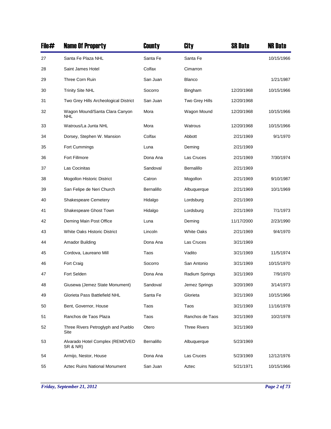| File# | <b>Name Of Property</b>                      | County     | City                | <b>SR Date</b> | <b>NR Date</b> |
|-------|----------------------------------------------|------------|---------------------|----------------|----------------|
| 27    | Santa Fe Plaza NHL                           | Santa Fe   | Santa Fe            |                | 10/15/1966     |
| 28    | Saint James Hotel                            | Colfax     | Cimarron            |                |                |
| 29    | Three Corn Ruin                              | San Juan   | <b>Blanco</b>       |                | 1/21/1987      |
| 30    | <b>Trinity Site NHL</b>                      | Socorro    | Bingham             | 12/20/1968     | 10/15/1966     |
| 31    | Two Grey Hills Archeological District        | San Juan   | Two Grey Hills      | 12/20/1968     |                |
| 32    | Wagon Mound/Santa Clara Canyon<br><b>NHL</b> | Mora       | Wagon Mound         | 12/20/1968     | 10/15/1966     |
| 33    | Watrous/La Junta NHL                         | Mora       | Watrous             | 12/20/1968     | 10/15/1966     |
| 34    | Dorsey, Stephen W. Mansion                   | Colfax     | Abbott              | 2/21/1969      | 9/1/1970       |
| 35    | Fort Cummings                                | Luna       | Deming              | 2/21/1969      |                |
| 36    | Fort Fillmore                                | Dona Ana   | Las Cruces          | 2/21/1969      | 7/30/1974      |
| 37    | Las Cocinitas                                | Sandoval   | Bernalillo          | 2/21/1969      |                |
| 38    | Mogollon Historic District                   | Catron     | Mogollon            | 2/21/1969      | 9/10/1987      |
| 39    | San Felipe de Neri Church                    | Bernalillo | Albuquerque         | 2/21/1969      | 10/1/1969      |
| 40    | <b>Shakespeare Cemetery</b>                  | Hidalgo    | Lordsburg           | 2/21/1969      |                |
| 41    | Shakespeare Ghost Town                       | Hidalgo    | Lordsburg           | 2/21/1969      | 7/1/1973       |
| 42    | Deming Main Post Office                      | Luna       | Deming              | 11/17/2000     | 2/23/1990      |
| 43    | <b>White Oaks Historic District</b>          | Lincoln    | <b>White Oaks</b>   | 2/21/1969      | 9/4/1970       |
| 44    | Amador Building                              | Dona Ana   | Las Cruces          | 3/21/1969      |                |
| 45    | Cordova, Laureano Mill                       | Taos       | Vadito              | 3/21/1969      | 11/5/1974      |
| 46    | Fort Craig                                   | Socorro    | San Antonio         | 3/21/1969      | 10/15/1970     |
| 47    | Fort Selden                                  | Dona Ana   | Radium Springs      | 3/21/1969      | 7/9/1970       |
| 48    | Giusewa (Jemez State Monument)               | Sandoval   | Jemez Springs       | 3/20/1969      | 3/14/1973      |
| 49    | Glorieta Pass Battlefield NHL                | Santa Fe   | Glorieta            | 3/21/1969      | 10/15/1966     |
| 50    | Bent, Governor, House                        | Taos       | Taos                | 3/21/1969      | 11/16/1978     |
| 51    | Ranchos de Taos Plaza                        | Taos       | Ranchos de Taos     | 3/21/1969      | 10/2/1978      |
| 52    | Three Rivers Petroglyph and Pueblo<br>Site   | Otero      | <b>Three Rivers</b> | 3/21/1969      |                |
| 53    | Alvarado Hotel Complex (REMOVED<br>SR & NR)  | Bernalillo | Albuquerque         | 5/23/1969      |                |
| 54    | Armijo, Nestor, House                        | Dona Ana   | Las Cruces          | 5/23/1969      | 12/12/1976     |
| 55    | <b>Aztec Ruins National Monument</b>         | San Juan   | Aztec               | 5/21/1971      | 10/15/1966     |

*Friday, September 21, 2012 Page 2 of 73*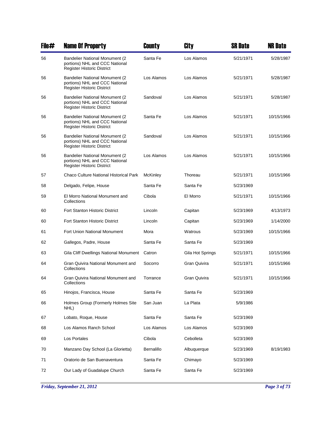| File# | <b>Name Of Property</b>                                                                                | County     | City             | SR Date   | <b>NR Date</b> |
|-------|--------------------------------------------------------------------------------------------------------|------------|------------------|-----------|----------------|
| 56    | <b>Bandelier National Monument (2)</b><br>portions) NHL and CCC National<br>Register Historic District | Santa Fe   | Los Alamos       | 5/21/1971 | 5/28/1987      |
| 56    | <b>Bandelier National Monument (2)</b><br>portions) NHL and CCC National<br>Register Historic District | Los Alamos | Los Alamos       | 5/21/1971 | 5/28/1987      |
| 56    | <b>Bandelier National Monument (2)</b><br>portions) NHL and CCC National<br>Register Historic District | Sandoval   | Los Alamos       | 5/21/1971 | 5/28/1987      |
| 56    | <b>Bandelier National Monument (2)</b><br>portions) NHL and CCC National<br>Register Historic District | Santa Fe   | Los Alamos       | 5/21/1971 | 10/15/1966     |
| 56    | <b>Bandelier National Monument (2)</b><br>portions) NHL and CCC National<br>Register Historic District | Sandoval   | Los Alamos       | 5/21/1971 | 10/15/1966     |
| 56    | <b>Bandelier National Monument (2)</b><br>portions) NHL and CCC National<br>Register Historic District | Los Alamos | Los Alamos       | 5/21/1971 | 10/15/1966     |
| 57    | <b>Chaco Culture National Historical Park</b>                                                          | McKinley   | Thoreau          | 5/21/1971 | 10/15/1966     |
| 58    | Delgado, Felipe, House                                                                                 | Santa Fe   | Santa Fe         | 5/23/1969 |                |
| 59    | El Morro National Monument and<br>Collections                                                          | Cibola     | El Morro         | 5/21/1971 | 10/15/1966     |
| 60    | <b>Fort Stanton Historic District</b>                                                                  | Lincoln    | Capitan          | 5/23/1969 | 4/13/1973      |
| 60    | Fort Stanton Historic District                                                                         | Lincoln    | Capitan          | 5/23/1969 | 1/14/2000      |
| 61    | <b>Fort Union National Monument</b>                                                                    | Mora       | Watrous          | 5/23/1969 | 10/15/1966     |
| 62    | Gallegos, Padre, House                                                                                 | Santa Fe   | Santa Fe         | 5/23/1969 |                |
| 63    | Gila Cliff Dwellings National Monument                                                                 | Catron     | Gila Hot Springs | 5/21/1971 | 10/15/1966     |
| 64    | Gran Quivira National Monument and<br>Collections                                                      | Socorro    | Gran Quivira     | 5/21/1971 | 10/15/1966     |
| 64    | Gran Quivira National Monument and<br>Collections                                                      | Torrance   | Gran Quivira     | 5/21/1971 | 10/15/1966     |
| 65    | Hinojos, Francisca, House                                                                              | Santa Fe   | Santa Fe         | 5/23/1969 |                |
| 66    | Holmes Group (Formerly Holmes Site<br>NHL)                                                             | San Juan   | La Plata         | 5/9/1986  |                |
| 67    | Lobato, Roque, House                                                                                   | Santa Fe   | Santa Fe         | 5/23/1969 |                |
| 68    | Los Alamos Ranch School                                                                                | Los Alamos | Los Alamos       | 5/23/1969 |                |
| 69    | Los Portales                                                                                           | Cibola     | Cebolleta        | 5/23/1969 |                |
| 70    | Manzano Day School (La Glorietta)                                                                      | Bernalillo | Albuquerque      | 5/23/1969 | 8/19/1983      |
| 71    | Oratorio de San Buenaventura                                                                           | Santa Fe   | Chimayo          | 5/23/1969 |                |
| 72    | Our Lady of Guadalupe Church                                                                           | Santa Fe   | Santa Fe         | 5/23/1969 |                |

*Friday, September 21, 2012 Page 3 of 73*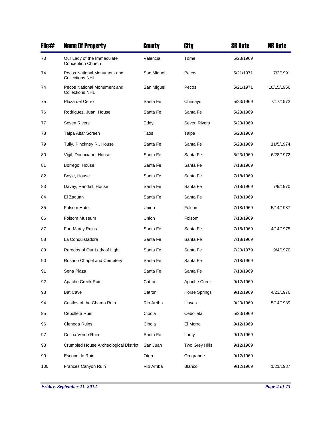| File# | <b>Name Of Property</b>                                | County     | City                | <b>SR Date</b> | <b>NR Date</b> |
|-------|--------------------------------------------------------|------------|---------------------|----------------|----------------|
| 73    | Our Lady of the Immaculate<br><b>Conception Church</b> | Valencia   | Tome                | 5/23/1969      |                |
| 74    | Pecos National Monument and<br><b>Collections NHL</b>  | San Miguel | Pecos               | 5/21/1971      | 7/2/1991       |
| 74    | Pecos National Monument and<br><b>Collections NHL</b>  | San Miguel | Pecos               | 5/21/1971      | 10/15/1966     |
| 75    | Plaza del Cerro                                        | Santa Fe   | Chimayo             | 5/23/1969      | 7/17/1972      |
| 76    | Rodriguez, Juan, House                                 | Santa Fe   | Santa Fe            | 5/23/1969      |                |
| 77    | <b>Seven Rivers</b>                                    | Eddy       | <b>Seven Rivers</b> | 5/23/1969      |                |
| 78    | Talpa Altar Screen                                     | Taos       | Talpa               | 5/23/1969      |                |
| 79    | Tully, Pinckney R., House                              | Santa Fe   | Santa Fe            | 5/23/1969      | 11/5/1974      |
| 80    | Vigil, Donaciano, House                                | Santa Fe   | Santa Fe            | 5/23/1969      | 6/28/1972      |
| 81    | Borrego, House                                         | Santa Fe   | Santa Fe            | 7/18/1969      |                |
| 82    | Boyle, House                                           | Santa Fe   | Santa Fe            | 7/18/1969      |                |
| 83    | Davey, Randall, House                                  | Santa Fe   | Santa Fe            | 7/18/1969      | 7/9/1970       |
| 84    | El Zaguan                                              | Santa Fe   | Santa Fe            | 7/18/1969      |                |
| 85    | Folsom Hotel                                           | Union      | Folsom              | 7/18/1969      | 5/14/1987      |
| 86    | <b>Folsom Museum</b>                                   | Union      | Folsom              | 7/18/1969      |                |
| 87    | Fort Marcy Ruins                                       | Santa Fe   | Santa Fe            | 7/18/1969      | 4/14/1975      |
| 88    | La Conquistadora                                       | Santa Fe   | Santa Fe            | 7/18/1969      |                |
| 89    | Reredos of Our Lady of Light                           | Santa Fe   | Santa Fe            | 7/20/1979      | 9/4/1970       |
| 90    | Rosario Chapel and Cemetery                            | Santa Fe   | Santa Fe            | 7/18/1969      |                |
| 91    | Sena Plaza                                             | Santa Fe   | Santa Fe            | 7/18/1969      |                |
| 92    | Apache Creek Ruin                                      | Catron     | Apache Creek        | 9/12/1969      |                |
| 93    | <b>Bat Cave</b>                                        | Catron     | Horse Springs       | 9/12/1969      | 4/23/1976      |
| 94    | Castles of the Chama Ruin                              | Rio Arriba | Llaves              | 9/20/1969      | 5/14/1989      |
| 95    | Cebolleta Ruin                                         | Cibola     | Cebolleta           | 5/23/1969      |                |
| 96    | Cienega Ruins                                          | Cibola     | El Morro            | 9/12/1969      |                |
| 97    | Colina Verde Ruin                                      | Santa Fe   | Lamy                | 9/12/1969      |                |
| 98    | Crumbled House Archeological District                  | San Juan   | Two Grey Hills      | 9/12/1969      |                |
| 99    | Escondido Ruin                                         | Otero      | Orogrande           | 9/12/1969      |                |
| 100   | Frances Canyon Ruin                                    | Rio Arriba | Blanco              | 9/12/1969      | 1/21/1987      |

*Friday, September 21, 2012 Page 4 of 73*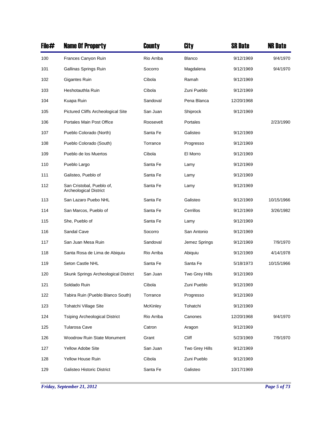| File# | <b>Name Of Property</b>                                    | County     | City           | <b>SR Date</b> | <b>NR Date</b> |
|-------|------------------------------------------------------------|------------|----------------|----------------|----------------|
| 100   | Frances Canyon Ruin                                        | Rio Arriba | <b>Blanco</b>  | 9/12/1969      | 9/4/1970       |
| 101   | Gallinas Springs Ruin                                      | Socorro    | Magdalena      | 9/12/1969      | 9/4/1970       |
| 102   | Gigantes Ruin                                              | Cibola     | Ramah          | 9/12/1969      |                |
| 103   | Heshotauthla Ruin                                          | Cibola     | Zuni Pueblo    | 9/12/1969      |                |
| 104   | Kuapa Ruin                                                 | Sandoval   | Pena Blanca    | 12/20/1968     |                |
| 105   | Pictured Cliffs Archeological Site                         | San Juan   | Shiprock       | 9/12/1969      |                |
| 106   | Portales Main Post Office                                  | Roosevelt  | Portales       |                | 2/23/1990      |
| 107   | Pueblo Colorado (North)                                    | Santa Fe   | Galisteo       | 9/12/1969      |                |
| 108   | Pueblo Colorado (South)                                    | Torrance   | Progresso      | 9/12/1969      |                |
| 109   | Pueblo de los Muertos                                      | Cibola     | El Morro       | 9/12/1969      |                |
| 110   | Pueblo Largo                                               | Santa Fe   | Lamy           | 9/12/1969      |                |
| 111   | Galisteo, Pueblo of                                        | Santa Fe   | Lamy           | 9/12/1969      |                |
| 112   | San Cristobal, Pueblo of,<br><b>Archeological District</b> | Santa Fe   | Lamy           | 9/12/1969      |                |
| 113   | San Lazaro Puebo NHL                                       | Santa Fe   | Galisteo       | 9/12/1969      | 10/15/1966     |
| 114   | San Marcos, Pueblo of                                      | Santa Fe   | Cerrillos      | 9/12/1969      | 3/26/1982      |
| 115   | She, Pueblo of                                             | Santa Fe   | Lamy           | 9/12/1969      |                |
| 116   | Sandal Cave                                                | Socorro    | San Antonio    | 9/12/1969      |                |
| 117   | San Juan Mesa Ruin                                         | Sandoval   | Jemez Springs  | 9/12/1969      | 7/9/1970       |
| 118   | Santa Rosa de Lima de Abiquiu                              | Rio Arriba | Abiquiu        | 9/12/1969      | 4/14/1978      |
| 119   | Seton Castle NHL                                           | Santa Fe   | Santa Fe       | 5/18/1973      | 10/15/1966     |
| 120   | Skunk Springs Archeological District                       | San Juan   | Two Grey Hills | 9/12/1969      |                |
| 121   | Soldado Ruin                                               | Cibola     | Zuni Pueblo    | 9/12/1969      |                |
| 122   | Tabira Ruin (Pueblo Blanco South)                          | Torrance   | Progresso      | 9/12/1969      |                |
| 123   | Tohatchi Village Site                                      | McKinley   | Tohatchi       | 9/12/1969      |                |
| 124   | <b>Tsiping Archeological District</b>                      | Rio Arriba | Canones        | 12/20/1968     | 9/4/1970       |
| 125   | <b>Tularosa Cave</b>                                       | Catron     | Aragon         | 9/12/1969      |                |
| 126   | <b>Woodrow Ruin State Monument</b>                         | Grant      | Cliff          | 5/23/1969      | 7/9/1970       |
| 127   | Yellow Adobe Site                                          | San Juan   | Two Grey Hills | 9/12/1969      |                |
| 128   | Yellow House Ruin                                          | Cibola     | Zuni Pueblo    | 9/12/1969      |                |
| 129   | Galisteo Historic District                                 | Santa Fe   | Galisteo       | 10/17/1969     |                |

*Friday, September 21, 2012 Page 5 of 73*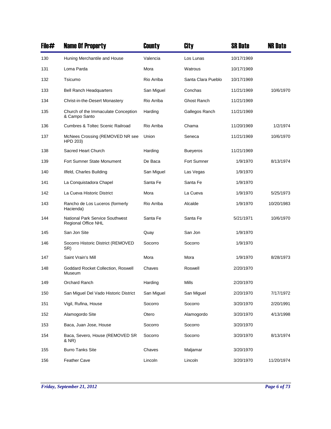| File# | <b>Name Of Property</b>                                       | County     | City               | SR Date    | <b>NR Date</b> |
|-------|---------------------------------------------------------------|------------|--------------------|------------|----------------|
| 130   | Huning Merchantile and House                                  | Valencia   | Los Lunas          | 10/17/1969 |                |
| 131   | Loma Parda                                                    | Mora       | Watrous            | 10/17/1969 |                |
| 132   | Tsicumo                                                       | Rio Arriba | Santa Clara Pueblo | 10/17/1969 |                |
| 133   | <b>Bell Ranch Headquarters</b>                                | San Miguel | Conchas            | 11/21/1969 | 10/6/1970      |
| 134   | Christ-in-the-Desert Monastery                                | Rio Arriba | Ghost Ranch        | 11/21/1969 |                |
| 135   | Church of the Immaculate Conception<br>& Campo Santo          | Harding    | Gallegos Ranch     | 11/21/1969 |                |
| 136   | <b>Cumbres &amp; Toltec Scenic Railroad</b>                   | Rio Arriba | Chama              | 11/20/1969 | 1/2/1974       |
| 137   | McNees Crossing (REMOVED NR see<br>HPD 203)                   | Union      | Seneca             | 11/21/1969 | 10/6/1970      |
| 138   | Sacred Heart Church                                           | Harding    | <b>Bueyeros</b>    | 11/21/1969 |                |
| 139   | Fort Sumner State Monument                                    | De Baca    | Fort Sumner        | 1/9/1970   | 8/13/1974      |
| 140   | Ilfeld, Charles Building                                      | San Miguel | Las Vegas          | 1/9/1970   |                |
| 141   | La Conquistadora Chapel                                       | Santa Fe   | Santa Fe           | 1/9/1970   |                |
| 142   | La Cueva Historic District                                    | Mora       | La Cueva           | 1/9/1970   | 5/25/1973      |
| 143   | Rancho de Los Luceros (formerly<br>Hacienda)                  | Rio Arriba | Alcalde            | 1/9/1970   | 10/20/1983     |
| 144   | <b>National Park Service Southwest</b><br>Regional Office NHL | Santa Fe   | Santa Fe           | 5/21/1971  | 10/6/1970      |
| 145   | San Jon Site                                                  | Quay       | San Jon            | 1/9/1970   |                |
| 146   | Socorro Historic District (REMOVED<br>SR)                     | Socorro    | Socorro            | 1/9/1970   |                |
| 147   | Saint Vrain's Mill                                            | Mora       | Mora               | 1/9/1970   | 8/28/1973      |
| 148   | Goddard Rocket Collection, Roswell<br>Museum                  | Chaves     | Roswell            | 2/20/1970  |                |
| 149   | Orchard Ranch                                                 | Harding    | Mills              | 2/20/1970  |                |
| 150   | San Miquel Del Vado Historic District                         | San Miguel | San Miguel         | 2/20/1970  | 7/17/1972      |
| 151   | Vigil, Rufina, House                                          | Socorro    | Socorro            | 3/20/1970  | 2/20/1991      |
| 152   | Alamogordo Site                                               | Otero      | Alamogordo         | 3/20/1970  | 4/13/1998      |
| 153   | Baca, Juan Jose, House                                        | Socorro    | Socorro            | 3/20/1970  |                |
| 154   | Baca, Severo, House (REMOVED SR<br>& NR)                      | Socorro    | Socorro            | 3/20/1970  | 8/13/1974      |
| 155   | <b>Burro Tanks Site</b>                                       | Chaves     | Maljamar           | 3/20/1970  |                |
| 156   | <b>Feather Cave</b>                                           | Lincoln    | Lincoln            | 3/20/1970  | 11/20/1974     |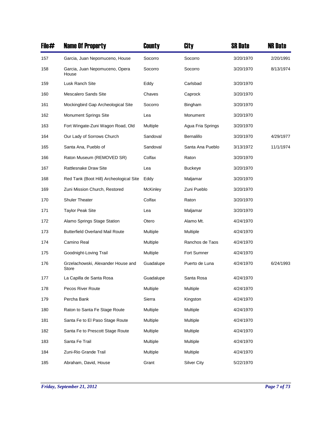| File# | <b>Name Of Property</b>                     | County    | City               | <b>SR Date</b> | <b>NR Date</b> |
|-------|---------------------------------------------|-----------|--------------------|----------------|----------------|
| 157   | Garcia, Juan Nepomuceno, House              | Socorro   | Socorro            | 3/20/1970      | 2/20/1991      |
| 158   | Garcia, Juan Nepomuceno, Opera<br>House     | Socorro   | Socorro            | 3/20/1970      | 8/13/1974      |
| 159   | Lusk Ranch Site                             | Eddy      | Carlsbad           | 3/20/1970      |                |
| 160   | <b>Mescalero Sands Site</b>                 | Chaves    | Caprock            | 3/20/1970      |                |
| 161   | Mockingbird Gap Archeological Site          | Socorro   | Bingham            | 3/20/1970      |                |
| 162   | <b>Monument Springs Site</b>                | Lea       | Monument           | 3/20/1970      |                |
| 163   | Fort Wingate-Zuni Wagon Road, Old           | Multiple  | Agua Fria Springs  | 3/20/1970      |                |
| 164   | Our Lady of Sorrows Church                  | Sandoval  | Bernalillo         | 3/20/1970      | 4/29/1977      |
| 165   | Santa Ana, Pueblo of                        | Sandoval  | Santa Ana Pueblo   | 3/13/1972      | 11/1/1974      |
| 166   | Raton Museum (REMOVED SR)                   | Colfax    | Raton              | 3/20/1970      |                |
| 167   | Rattlesnake Draw Site                       | Lea       | <b>Buckeye</b>     | 3/20/1970      |                |
| 168   | Red Tank (Boot Hill) Archeological Site     | Eddy      | Maljamar           | 3/20/1970      |                |
| 169   | Zuni Mission Church, Restored               | McKinley  | Zuni Pueblo        | 3/20/1970      |                |
| 170   | <b>Shuler Theater</b>                       | Colfax    | Raton              | 3/20/1970      |                |
| 171   | <b>Taylor Peak Site</b>                     | Lea       | Maljamar           | 3/20/1970      |                |
| 172   | Alamo Springs Stage Station                 | Otero     | Alamo Mt.          | 4/24/1970      |                |
| 173   | <b>Butterfield Overland Mail Route</b>      | Multiple  | Multiple           | 4/24/1970      |                |
| 174   | Camino Real                                 | Multiple  | Ranchos de Taos    | 4/24/1970      |                |
| 175   | Goodnight-Loving Trail                      | Multiple  | Fort Sumner        | 4/24/1970      |                |
| 176   | Grzelachowski, Alexander House and<br>Store | Guadalupe | Puerto de Luna     | 4/24/1970      | 6/24/1993      |
| 177   | La Capilla de Santa Rosa                    | Guadalupe | Santa Rosa         | 4/24/1970      |                |
| 178   | Pecos River Route                           | Multiple  | Multiple           | 4/24/1970      |                |
| 179   | Percha Bank                                 | Sierra    | Kingston           | 4/24/1970      |                |
| 180   | Raton to Santa Fe Stage Route               | Multiple  | Multiple           | 4/24/1970      |                |
| 181   | Santa Fe to El Paso Stage Route             | Multiple  | Multiple           | 4/24/1970      |                |
| 182   | Santa Fe to Prescott Stage Route            | Multiple  | Multiple           | 4/24/1970      |                |
| 183   | Santa Fe Trail                              | Multiple  | Multiple           | 4/24/1970      |                |
| 184   | Zuni-Rio Grande Trail                       | Multiple  | Multiple           | 4/24/1970      |                |
| 185   | Abraham, David, House                       | Grant     | <b>Silver City</b> | 5/22/1970      |                |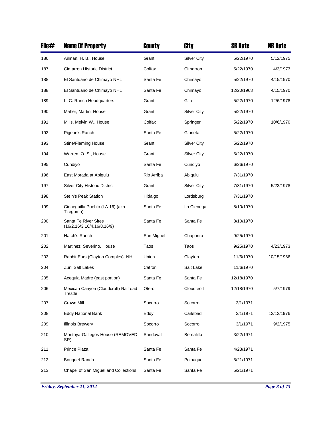| File# | <b>Name Of Property</b>                                | County     | City               | <b>SR Date</b> | <b>NR Date</b> |
|-------|--------------------------------------------------------|------------|--------------------|----------------|----------------|
| 186   | Ailman, H. B., House                                   | Grant      | <b>Silver City</b> | 5/22/1970      | 5/12/1975      |
| 187   | <b>Cimarron Historic District</b>                      | Colfax     | Cimarron           | 5/22/1970      | 4/3/1973       |
| 188   | El Santuario de Chimayo NHL                            | Santa Fe   | Chimayo            | 5/22/1970      | 4/15/1970      |
| 188   | El Santuario de Chimayo NHL                            | Santa Fe   | Chimayo            | 12/20/1968     | 4/15/1970      |
| 189   | L. C. Ranch Headquarters                               | Grant      | Gila               | 5/22/1970      | 12/6/1978      |
| 190   | Maher, Martin, House                                   | Grant      | <b>Silver City</b> | 5/22/1970      |                |
| 191   | Mills, Melvin W., House                                | Colfax     | Springer           | 5/22/1970      | 10/6/1970      |
| 192   | Pigeon's Ranch                                         | Santa Fe   | Glorieta           | 5/22/1970      |                |
| 193   | <b>Stine/Fleming House</b>                             | Grant      | <b>Silver City</b> | 5/22/1970      |                |
| 194   | Warren, O. S., House                                   | Grant      | <b>Silver City</b> | 5/22/1970      |                |
| 195   | Cundiyo                                                | Santa Fe   | Cundiyo            | 6/26/1970      |                |
| 196   | East Morada at Abiquiu                                 | Rio Arriba | Abiquiu            | 7/31/1970      |                |
| 197   | <b>Silver City Historic District</b>                   | Grant      | <b>Silver City</b> | 7/31/1970      | 5/23/1978      |
| 198   | <b>Stein's Peak Station</b>                            | Hidalgo    | Lordsburg          | 7/31/1970      |                |
| 199   | Cieneguilla Pueblo (LA 16) (aka<br>Tzeguma)            | Santa Fe   | La Cienega         | 8/10/1970      |                |
| 200   | Santa Fe River Sites<br>(16/2, 16/3, 16/4, 16/8, 16/9) | Santa Fe   | Santa Fe           | 8/10/1970      |                |
| 201   | Hatch's Ranch                                          | San Miguel | Chaparito          | 9/25/1970      |                |
| 202   | Martinez, Severino, House                              | Taos       | Taos               | 9/25/1970      | 4/23/1973      |
| 203   | Rabbit Ears (Clayton Complex) NHL                      | Union      | Clayton            | 11/6/1970      | 10/15/1966     |
| 204   | Zuni Salt Lakes                                        | Catron     | Salt Lake          | 11/6/1970      |                |
| 205   | Acequia Madre (east portion)                           | Santa Fe   | Santa Fe           | 12/18/1970     |                |
| 206   | Mexican Canyon (Cloudcroft) Railroad<br>Trestle        | Otero      | Cloudcroft         | 12/18/1970     | 5/7/1979       |
| 207   | Crown Mill                                             | Socorro    | Socorro            | 3/1/1971       |                |
| 208   | <b>Eddy National Bank</b>                              | Eddy       | Carlsbad           | 3/1/1971       | 12/12/1976     |
| 209   | <b>Illinois Brewery</b>                                | Socorro    | Socorro            | 3/1/1971       | 9/2/1975       |
| 210   | Montoya-Gallegos House (REMOVED<br>SR)                 | Sandoval   | Bernalillo         | 3/22/1971      |                |
| 211   | Prince Plaza                                           | Santa Fe   | Santa Fe           | 4/23/1971      |                |
| 212   | <b>Bouquet Ranch</b>                                   | Santa Fe   | Pojoaque           | 5/21/1971      |                |
| 213   | Chapel of San Miguel and Collections                   | Santa Fe   | Santa Fe           | 5/21/1971      |                |

*Friday, September 21, 2012 Page 8 of 73*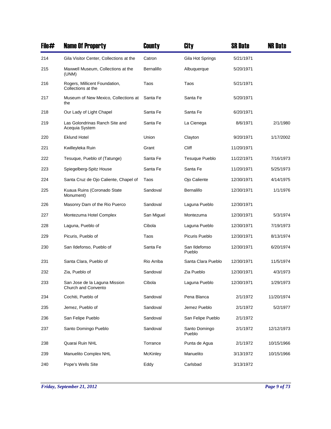| File# | <b>Name Of Property</b>                              | County          | City                    | <b>SR Date</b> | <b>NR Date</b> |
|-------|------------------------------------------------------|-----------------|-------------------------|----------------|----------------|
| 214   | Gila Visitor Center, Collections at the              | Catron          | Gila Hot Springs        | 5/21/1971      |                |
| 215   | Maxwell Museum, Collections at the<br>(UNM)          | Bernalillo      | Albuquerque             | 5/20/1971      |                |
| 216   | Rogers, Millicent Foundation,<br>Collections at the  | Taos            | Taos                    | 5/21/1971      |                |
| 217   | Museum of New Mexico, Collections at<br>the          | Santa Fe        | Santa Fe                | 5/20/1971      |                |
| 218   | Our Lady of Light Chapel                             | Santa Fe        | Santa Fe                | 6/20/1971      |                |
| 219   | Las Golondrinas Ranch Site and<br>Acequia System     | Santa Fe        | La Cienega              | 8/6/1971       | 2/1/1980       |
| 220   | <b>Eklund Hotel</b>                                  | Union           | Clayton                 | 9/20/1971      | 1/17/2002      |
| 221   | Kwilleyleka Ruin                                     | Grant           | Cliff                   | 11/20/1971     |                |
| 222   | Tesugue, Pueblo of (Tatunge)                         | Santa Fe        | <b>Tesuque Pueblo</b>   | 11/22/1971     | 7/16/1973      |
| 223   | Spiegelberg-Spitz House                              | Santa Fe        | Santa Fe                | 11/20/1971     | 5/25/1973      |
| 224   | Santa Cruz de Ojo Caliente, Chapel of                | Taos            | Ojo Caliente            | 12/30/1971     | 4/14/1975      |
| 225   | Kuaua Ruins (Coronado State<br>Monument)             | Sandoval        | Bernalillo              | 12/30/1971     | 1/1/1976       |
| 226   | Masonry Dam of the Rio Puerco                        | Sandoval        | Laguna Pueblo           | 12/30/1971     |                |
| 227   | Montezuma Hotel Complex                              | San Miguel      | Montezuma               | 12/30/1971     | 5/3/1974       |
| 228   | Laguna, Pueblo of                                    | Cibola          | Laguna Pueblo           | 12/30/1971     | 7/19/1973      |
| 229   | Picuris, Pueblo of                                   | Taos            | Picuris Pueblo          | 12/30/1971     | 8/13/1974      |
| 230   | San Ildefonso, Pueblo of                             | Santa Fe        | San Ildefonso<br>Pueblo | 12/30/1971     | 6/20/1974      |
| 231   | Santa Clara, Pueblo of                               | Rio Arriba      | Santa Clara Pueblo      | 12/30/1971     | 11/5/1974      |
| 232   | Zia, Pueblo of                                       | Sandoval        | Zia Pueblo              | 12/30/1971     | 4/3/1973       |
| 233   | San Jose de la Laguna Mission<br>Church and Convento | Cibola          | Laguna Pueblo           | 12/30/1971     | 1/29/1973      |
| 234   | Cochiti, Pueblo of                                   | Sandoval        | Pena Blanca             | 2/1/1972       | 11/20/1974     |
| 235   | Jemez, Pueblo of                                     | Sandoval        | Jemez Pueblo            | 2/1/1972       | 5/2/1977       |
| 236   | San Felipe Pueblo                                    | Sandoval        | San Felipe Pueblo       | 2/1/1972       |                |
| 237   | Santo Domingo Pueblo                                 | Sandoval        | Santo Domingo<br>Pueblo | 2/1/1972       | 12/12/1973     |
| 238   | Quarai Ruin NHL                                      | Torrance        | Punta de Agua           | 2/1/1972       | 10/15/1966     |
| 239   | Manuelito Complex NHL                                | <b>McKinley</b> | Manuelito               | 3/13/1972      | 10/15/1966     |
| 240   | Pope's Wells Site                                    | Eddy            | Carlsbad                | 3/13/1972      |                |

*Friday, September 21, 2012 Page 9 of 73*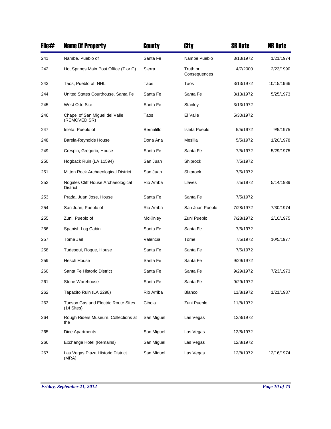| File# | <b>Name Of Property</b>                               | County            | City                     | <b>SR Date</b> | <b>NR Date</b> |
|-------|-------------------------------------------------------|-------------------|--------------------------|----------------|----------------|
| 241   | Nambe, Pueblo of                                      | Santa Fe          | Nambe Pueblo             | 3/13/1972      | 1/21/1974      |
| 242   | Hot Springs Main Post Office (T or C)                 | Sierra            | Truth or<br>Consequences | 4/7/2000       | 2/23/1990      |
| 243   | Taos, Pueblo of, NHL                                  | Taos              | Taos                     | 3/13/1972      | 10/15/1966     |
| 244   | United States Courthouse, Santa Fe                    | Santa Fe          | Santa Fe                 | 3/13/1972      | 5/25/1973      |
| 245   | <b>West Otto Site</b>                                 | Santa Fe          | Stanley                  | 3/13/1972      |                |
| 246   | Chapel of San Miguel del Valle<br>(REMOVED SR)        | Taos              | El Valle                 | 5/30/1972      |                |
| 247   | Isleta, Pueblo of                                     | <b>Bernalillo</b> | Isleta Pueblo            | 5/5/1972       | 9/5/1975       |
| 248   | Barela-Reynolds House                                 | Dona Ana          | Mesilla                  | 5/5/1972       | 1/20/1978      |
| 249   | Crespin, Gregorio, House                              | Santa Fe          | Santa Fe                 | 7/5/1972       | 5/29/1975      |
| 250   | Hogback Ruin (LA 11594)                               | San Juan          | Shiprock                 | 7/5/1972       |                |
| 251   | Mitten Rock Archaeological District                   | San Juan          | Shiprock                 | 7/5/1972       |                |
| 252   | Nogales Cliff House Archaeological<br><b>District</b> | Rio Arriba        | Llaves                   | 7/5/1972       | 5/14/1989      |
| 253   | Prada, Juan Jose, House                               | Santa Fe          | Santa Fe                 | 7/5/1972       |                |
| 254   | San Juan, Pueblo of                                   | Rio Arriba        | San Juan Pueblo          | 7/28/1972      | 7/30/1974      |
| 255   | Zuni, Pueblo of                                       | McKinley          | Zuni Pueblo              | 7/28/1972      | 2/10/1975      |
| 256   | Spanish Log Cabin                                     | Santa Fe          | Santa Fe                 | 7/5/1972       |                |
| 257   | Tome Jail                                             | Valencia          | Tome                     | 7/5/1972       | 10/5/1977      |
| 258   | Tudesqui, Roque, House                                | Santa Fe          | Santa Fe                 | 7/5/1972       |                |
| 259   | <b>Hesch House</b>                                    | Santa Fe          | Santa Fe                 | 9/29/1972      |                |
| 260   | Santa Fe Historic District                            | Santa Fe          | Santa Fe                 | 9/29/1972      | 7/23/1973      |
| 261   | Stone Warehouse                                       | Santa Fe          | Santa Fe                 | 9/29/1972      |                |
| 262   | Tapacito Ruin (LA 2298)                               | Rio Arriba        | Blanco                   | 11/8/1972      | 1/21/1987      |
| 263   | Tucson Gas and Electric Route Sites<br>(14 Sites)     | Cibola            | Zuni Pueblo              | 11/8/1972      |                |
| 264   | Rough Riders Museum, Collections at<br>the            | San Miguel        | Las Vegas                | 12/8/1972      |                |
| 265   | Dice Apartments                                       | San Miguel        | Las Vegas                | 12/8/1972      |                |
| 266   | Exchange Hotel (Remains)                              | San Miguel        | Las Vegas                | 12/8/1972      |                |
| 267   | Las Vegas Plaza Historic District<br>(MRA)            | San Miguel        | Las Vegas                | 12/8/1972      | 12/16/1974     |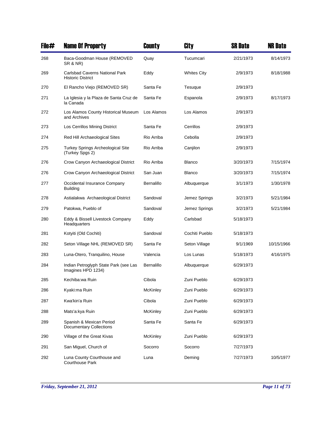| File# | <b>Name Of Property</b>                                           | County          | City               | <b>SR Date</b> | <b>NR Date</b> |
|-------|-------------------------------------------------------------------|-----------------|--------------------|----------------|----------------|
| 268   | Baca-Goodman House (REMOVED<br>SR & NR)                           | Quay            | Tucumcari          | 2/21/1973      | 8/14/1973      |
| 269   | <b>Carlsbad Caverns National Park</b><br><b>Historic District</b> | Eddy            | <b>Whites City</b> | 2/9/1973       | 8/18/1988      |
| 270   | El Rancho Viejo (REMOVED SR)                                      | Santa Fe        | Tesuque            | 2/9/1973       |                |
| 271   | La Iglesia y la Plaza de Santa Cruz de<br>la Canada               | Santa Fe        | Espanola           | 2/9/1973       | 8/17/1973      |
| 272   | Los Alamos County Historical Museum<br>and Archives               | Los Alamos      | Los Alamos         | 2/9/1973       |                |
| 273   | Los Cerrillos Mining District                                     | Santa Fe        | Cerrillos          | 2/9/1973       |                |
| 274   | Red Hill Archaeological Sites                                     | Rio Arriba      | Cebolla            | 2/9/1973       |                |
| 275   | <b>Turkey Springs Archeological Site</b><br>(Turkey Spgs 2)       | Rio Arriba      | Canjilon           | 2/9/1973       |                |
| 276   | Crow Canyon Archaeological District                               | Rio Arriba      | <b>Blanco</b>      | 3/20/1973      | 7/15/1974      |
| 276   | Crow Canyon Archaeological District                               | San Juan        | <b>Blanco</b>      | 3/20/1973      | 7/15/1974      |
| 277   | Occidental Insurance Company<br><b>Building</b>                   | Bernalillo      | Albuquerque        | 3/1/1973       | 1/30/1978      |
| 278   | Astialakwa Archaeological District                                | Sandoval        | Jemez Springs      | 3/2/1973       | 5/21/1984      |
| 279   | Patokwa, Pueblo of                                                | Sandoval        | Jemez Springs      | 3/2/1973       | 5/21/1984      |
| 280   | Eddy & Bissell Livestock Company<br>Headquarters                  | Eddy            | Carlsbad           | 5/18/1973      |                |
| 281   | Kotyiti (Old Cochiti)                                             | Sandoval        | Cochiti Pueblo     | 5/18/1973      |                |
| 282   | Seton Village NHL (REMOVED SR)                                    | Santa Fe        | Seton Village      | 9/1/1969       | 10/15/1966     |
| 283   | Luna-Otero, Tranquilino, House                                    | Valencia        | Los Lunas          | 5/18/1973      | 4/16/1975      |
| 284   | Indian Petroglyph State Park (see Las<br>Imagines HPD 1234)       | Bernalillo      | Albuquerque        | 6/29/1973      |                |
| 285   | Kechiba:wa Ruin                                                   | Cibola          | Zuni Pueblo        | 6/29/1973      |                |
| 286   | Kyaki:ma Ruin                                                     | <b>McKinley</b> | Zuni Pueblo        | 6/29/1973      |                |
| 287   | Kwa'kin'a Ruin                                                    | Cibola          | Zuni Pueblo        | 6/29/1973      |                |
| 288   | Mats'a:kya Ruin                                                   | <b>McKinley</b> | Zuni Pueblo        | 6/29/1973      |                |
| 289   | Spanish & Mexican Period<br><b>Documentary Collections</b>        | Santa Fe        | Santa Fe           | 6/29/1973      |                |
| 290   | Village of the Great Kivas                                        | McKinley        | Zuni Pueblo        | 6/29/1973      |                |
| 291   | San Miguel, Church of                                             | Socorro         | Socorro            | 7/27/1973      |                |
| 292   | Luna County Courthouse and<br>Courthouse Park                     | Luna            | Deming             | 7/27/1973      | 10/5/1977      |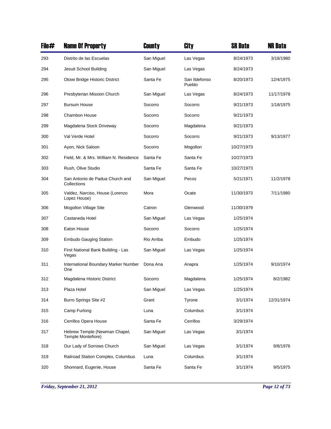| File# | <b>Name Of Property</b>                             | County     | City                    | <b>SR Date</b> | <b>NR Date</b> |
|-------|-----------------------------------------------------|------------|-------------------------|----------------|----------------|
| 293   | Distrito de las Escuelas                            | San Miguel | Las Vegas               | 8/24/1973      | 3/18/1980      |
| 294   | Jesuit School Building                              | San Miguel | Las Vegas               | 8/24/1973      |                |
| 295   | Otowi Bridge Historic District                      | Santa Fe   | San Ildefonso<br>Pueblo | 8/20/1973      | 12/4/1975      |
| 296   | Presbyterian Mission Church                         | San Miguel | Las Vegas               | 8/24/1973      | 11/17/1978     |
| 297   | <b>Bursum House</b>                                 | Socorro    | Socorro                 | 9/21/1973      | 1/18/1975      |
| 298   | Chambon House                                       | Socorro    | Socorro                 | 9/21/1973      |                |
| 299   | Magdalena Stock Driveway                            | Socorro    | Magdalena               | 9/21/1973      |                |
| 300   | Val Verde Hotel                                     | Socorro    | Socorro                 | 9/21/1973      | 9/13/1977      |
| 301   | Ayon, Nick Saloon                                   | Socorro    | Mogollon                | 10/27/1973     |                |
| 302   | Field, Mr. & Mrs. William N. Residence              | Santa Fe   | Santa Fe                | 10/27/1973     |                |
| 303   | Rush, Olive Studio                                  | Santa Fe   | Santa Fe                | 10/27/1973     |                |
| 304   | San Antonio de Padua Church and<br>Collections      | San Miguel | Pecos                   | 5/21/1971      | 11/2/1978      |
| 305   | Valdez, Narciso, House (Lorenzo<br>Lopez House)     | Mora       | Ocate                   | 11/30/1973     | 7/11/1980      |
| 306   | Mogollon Village Site                               | Catron     | Glenwood                | 11/30/1979     |                |
| 307   | Castaneda Hotel                                     | San Miguel | Las Vegas               | 1/25/1974      |                |
| 308   | Eaton House                                         | Socorro    | Socorro                 | 1/25/1974      |                |
| 309   | <b>Embudo Gauging Station</b>                       | Rio Arriba | Embudo                  | 1/25/1974      |                |
| 310   | First National Bank Building - Las<br>Vegas         | San Miguel | Las Vegas               | 1/25/1974      |                |
| 311   | International Boundary Marker Number<br>One         | Dona Ana   | Anapra                  | 1/25/1974      | 9/10/1974      |
| 312   | Magdalena Historic District                         | Socorro    | Magdalena               | 1/25/1974      | 8/2/1982       |
| 313   | Plaza Hotel                                         | San Miguel | Las Vegas               | 1/25/1974      |                |
| 314   | Burro Springs Site #2                               | Grant      | Tyrone                  | 3/1/1974       | 12/31/1974     |
| 315   | Camp Furlong                                        | Luna       | Columbus                | 3/1/1974       |                |
| 316   | Cerrillos Opera House                               | Santa Fe   | Cerrillos               | 3/29/1974      |                |
| 317   | Hebrew Temple (Newman Chapel,<br>Temple Montefiore) | San Miguel | Las Vegas               | 3/1/1974       |                |
| 318   | Our Lady of Sorrows Church                          | San Miguel | Las Vegas               | 3/1/1974       | 9/8/1976       |
| 319   | Railroad Station Complex, Columbus                  | Luna       | Columbus                | 3/1/1974       |                |
| 320   | Shonnard, Eugenie, House                            | Santa Fe   | Santa Fe                | 3/1/1974       | 9/5/1975       |

*Friday, September 21, 2012 Page 12 of 73*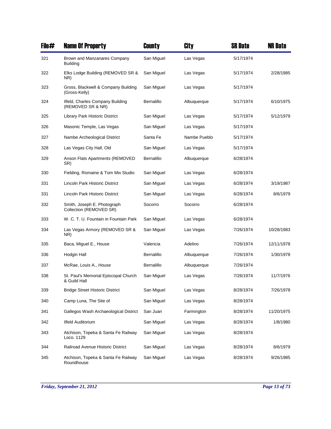| File# | <b>Name Of Property</b>                                | County     | City         | <b>SR Date</b> | <b>NR Date</b> |
|-------|--------------------------------------------------------|------------|--------------|----------------|----------------|
| 321   | Brown and Manzanares Company<br><b>Building</b>        | San Miguel | Las Vegas    | 5/17/1974      |                |
| 322   | Elks Lodge Building (REMOVED SR &<br>NR)               | San Miguel | Las Vegas    | 5/17/1974      | 2/28/1985      |
| 323   | Gross, Blackwell & Company Building<br>(Gross-Kelly)   | San Miguel | Las Vegas    | 5/17/1974      |                |
| 324   | Ilfeld, Charles Company Building<br>(REMOVED SR & NR)  | Bernalillo | Albuquerque  | 5/17/1974      | 6/10/1975      |
| 325   | Library Park Historic District                         | San Miguel | Las Vegas    | 5/17/1974      | 5/12/1979      |
| 326   | Masonic Temple, Las Vegas                              | San Miguel | Las Vegas    | 5/17/1974      |                |
| 327   | Nambe Archeological District                           | Santa Fe   | Nambe Pueblo | 5/17/1974      |                |
| 328   | Las Vegas City Hall, Old                               | San Miguel | Las Vegas    | 5/17/1974      |                |
| 329   | Anson Flats Apartments (REMOVED<br>SR)                 | Bernalillo | Albuquerque  | 6/28/1974      |                |
| 330   | Fielding, Romaine & Tom Mix Studio                     | San Miguel | Las Vegas    | 6/28/1974      |                |
| 331   | Lincoln Park Historic District                         | San Miguel | Las Vegas    | 6/28/1974      | 3/19/1987      |
| 331   | Lincoln Park Historic District                         | San Miguel | Las Vegas    | 6/28/1974      | 8/6/1979       |
| 332   | Smith, Joseph E. Photograph<br>Collection (REMOVED SR) | Socorro    | Socorro      | 6/28/1974      |                |
| 333   | W. C. T. U. Fountain in Fountain Park                  | San Miguel | Las Vegas    | 6/28/1974      |                |
| 334   | Las Vegas Armory (REMOVED SR &<br>NR)                  | San Miguel | Las Vegas    | 7/26/1974      | 10/28/1983     |
| 335   | Baca, Miguel E., House                                 | Valencia   | Adelino      | 7/26/1974      | 12/11/1978     |
| 336   | Hodgin Hall                                            | Bernalillo | Albuquerque  | 7/26/1974      | 1/30/1978      |
| 337   | McRae, Louis A., House                                 | Bernalillo | Albuquerque  | 7/26/1974      |                |
| 338   | St. Paul's Memorial Episcopal Church<br>& Guild Hall   | San Miguel | Las Vegas    | 7/26/1974      | 11/7/1976      |
| 339   | <b>Bridge Street Historic District</b>                 | San Miguel | Las Vegas    | 8/28/1974      | 7/26/1978      |
| 340   | Camp Luna, The Site of                                 | San Miguel | Las Vegas    | 8/28/1974      |                |
| 341   | Gallegos Wash Archaeological District                  | San Juan   | Farmington   | 8/28/1974      | 11/20/1975     |
| 342   | <b>Ilfeld Auditorium</b>                               | San Miguel | Las Vegas    | 8/28/1974      | 1/8/1980       |
| 343   | Atchison, Topeka & Santa Fe Railway<br>Loco. 1129      | San Miguel | Las Vegas    | 8/28/1974      |                |
| 344   | Railroad Avenue Historic District                      | San Miguel | Las Vegas    | 8/28/1974      | 8/6/1979       |
| 345   | Atchison, Topeka & Santa Fe Railway<br>Roundhouse      | San Miguel | Las Vegas    | 8/28/1974      | 9/26/1985      |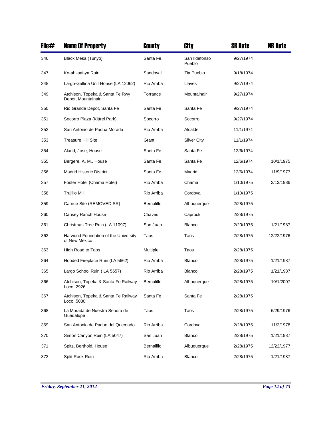| File# | <b>Name Of Property</b>                               | County     | City                    | <b>SR Date</b> | <b>NR Date</b> |
|-------|-------------------------------------------------------|------------|-------------------------|----------------|----------------|
| 346   | Black Mesa (Tunyo)                                    | Santa Fe   | San Ildefonso<br>Pueblo | 9/27/1974      |                |
| 347   | Ko-ah'-sai-ya Ruin                                    | Sandoval   | Zia Pueblo              | 9/18/1974      |                |
| 348   | Largo-Gallina Unit House (LA 12062)                   | Rio Arriba | Llaves                  | 9/27/1974      |                |
| 349   | Atchison, Topeka & Santa Fe Rwy<br>Depot, Mountainair | Torrance   | Mountainair             | 9/27/1974      |                |
| 350   | Rio Grande Depot, Santa Fe                            | Santa Fe   | Santa Fe                | 9/27/1974      |                |
| 351   | Socorro Plaza (Kittrel Park)                          | Socorro    | Socorro                 | 9/27/1974      |                |
| 352   | San Antonio de Padua Morada                           | Rio Arriba | Alcalde                 | 11/1/1974      |                |
| 353   | <b>Treasure Hill Site</b>                             | Grant      | Silver City             | 11/1/1974      |                |
| 354   | Alarid, Jose, House                                   | Santa Fe   | Santa Fe                | 12/6/1974      |                |
| 355   | Bergere, A. M., House                                 | Santa Fe   | Santa Fe                | 12/6/1974      | 10/1/1975      |
| 356   | <b>Madrid Historic District</b>                       | Santa Fe   | Madrid                  | 12/6/1974      | 11/9/1977      |
| 357   | Foster Hotel (Chama Hotel)                            | Rio Arriba | Chama                   | 1/10/1975      | 2/13/1986      |
| 358   | Trujillo Mill                                         | Rio Arriba | Cordova                 | 1/10/1975      |                |
| 359   | Carnue Site (REMOVED SR)                              | Bernalillo | Albuquerque             | 2/28/1975      |                |
| 360   | Causey Ranch House                                    | Chaves     | Caprock                 | 2/28/1975      |                |
| 361   | Christmas Tree Ruin (LA 11097)                        | San Juan   | <b>Blanco</b>           | 2/20/1975      | 1/21/1987      |
| 362   | Harwood Foundation of the University<br>of New Mexico | Taos       | Taos                    | 2/28/1975      | 12/22/1976     |
| 363   | High Road to Taos                                     | Multiple   | Taos                    | 2/28/1975      |                |
| 364   | Hooded Fireplace Ruin (LA 5662)                       | Rio Arriba | <b>Blanco</b>           | 2/28/1975      | 1/21/1987      |
| 365   | Largo School Ruin (LA 5657)                           | Rio Arriba | <b>Blanco</b>           | 2/28/1975      | 1/21/1987      |
| 366   | Atchison, Topeka & Santa Fe Railway<br>Loco. 2926     | Bernalillo | Albuquerque             | 2/28/1975      | 10/1/2007      |
| 367   | Atchison, Topeka & Santa Fe Railway<br>Loco. 5030     | Santa Fe   | Santa Fe                | 2/28/1975      |                |
| 368   | La Morada de Nuestra Senora de<br>Guadalupe           | Taos       | Taos                    | 2/28/1975      | 6/29/1976      |
| 369   | San Antonio de Padue del Quemado                      | Rio Arriba | Cordova                 | 2/28/1975      | 11/2/1978      |
| 370   | Simon Canyon Ruin (LA 5047)                           | San Juan   | <b>Blanco</b>           | 2/28/1975      | 1/21/1987      |
| 371   | Spitz, Berthold, House                                | Bernalillo | Albuquerque             | 2/28/1975      | 12/22/1977     |
| 372   | Split Rock Ruin                                       | Rio Arriba | Blanco                  | 2/28/1975      | 1/21/1987      |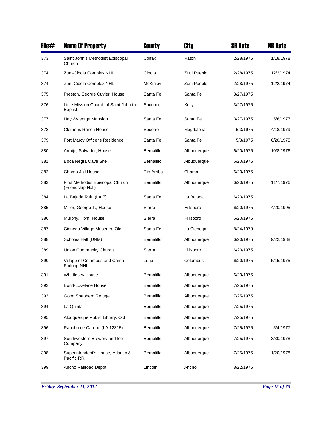| File# | <b>Name Of Property</b>                                   | County          | City        | <b>SR Date</b> | <b>NR Date</b> |
|-------|-----------------------------------------------------------|-----------------|-------------|----------------|----------------|
| 373   | Saint John's Methodist Episcopal<br>Church                | Colfax          | Raton       | 2/28/1975      | 1/18/1978      |
| 374   | Zuni-Cibola Complex NHL                                   | Cibola          | Zuni Pueblo | 2/28/1975      | 12/2/1974      |
| 374   | Zuni-Cibola Complex NHL                                   | <b>McKinley</b> | Zuni Pueblo | 2/28/1975      | 12/2/1974      |
| 375   | Preston, George Cuyler, House                             | Santa Fe        | Santa Fe    | 3/27/1975      |                |
| 376   | Little Mission Church of Saint John the<br><b>Baptist</b> | Socorro         | Kelly       | 3/27/1975      |                |
| 377   | Hayt-Wientge Mansion                                      | Santa Fe        | Santa Fe    | 3/27/1975      | 5/6/1977       |
| 378   | Clemens Ranch House                                       | Socorro         | Magdalena   | 5/3/1975       | 4/18/1979      |
| 379   | Fort Marcy Officer's Residence                            | Santa Fe        | Santa Fe    | 5/3/1975       | 6/20/1975      |
| 380   | Armijo, Salvador, House                                   | Bernalillo      | Albuquerque | 6/20/1975      | 10/8/1976      |
| 381   | Boca Negra Cave Site                                      | Bernalillo      | Albuquerque | 6/20/1975      |                |
| 382   | Chama Jail House                                          | Rio Arriba      | Chama       | 6/20/1975      |                |
| 383   | First Methodist Episcopal Church<br>(Friendship Hall)     | Bernalillo      | Albuquerque | 6/20/1975      | 11/7/1976      |
| 384   | La Bajada Ruin (LA 7)                                     | Santa Fe        | La Bajada   | 6/20/1975      |                |
| 385   | Miller, George T., House                                  | Sierra          | Hillsboro   | 6/20/1975      | 4/20/1995      |
| 386   | Murphy, Tom, House                                        | Sierra          | Hillsboro   | 6/20/1975      |                |
| 387   | Cienega Village Museum, Old                               | Santa Fe        | La Cienega  | 8/24/1979      |                |
| 388   | Scholes Hall (UNM)                                        | Bernalillo      | Albuquerque | 6/20/1975      | 9/22/1988      |
| 389   | Union Community Church                                    | Sierra          | Hillsboro   | 6/20/1975      |                |
| 390   | Village of Columbus and Camp<br>Furlong NHL               | Luna            | Columbus    | 6/20/1975      | 5/15/1975      |
| 391   | <b>Whittlesey House</b>                                   | Bernalillo      | Albuquerque | 6/20/1975      |                |
| 392   | Bond-Lovelace House                                       | Bernalillo      | Albuquerque | 7/25/1975      |                |
| 393   | Good Shepherd Refuge                                      | Bernalillo      | Albuquerque | 7/25/1975      |                |
| 394   | La Quinta                                                 | Bernalillo      | Albuquerque | 7/25/1975      |                |
| 395   | Albuquerque Public Library, Old                           | Bernalillo      | Albuquerque | 7/25/1975      |                |
| 396   | Rancho de Carnue (LA 12315)                               | Bernalillo      | Albuquerque | 7/25/1975      | 5/4/1977       |
| 397   | Southwestern Brewery and Ice<br>Company                   | Bernalillo      | Albuquerque | 7/25/1975      | 3/30/1978      |
| 398   | Superintendent's House, Atlantic &<br>Pacific RR.         | Bernalillo      | Albuquerque | 7/25/1975      | 1/20/1978      |
| 399   | Ancho Railroad Depot                                      | Lincoln         | Ancho       | 8/22/1975      |                |

*Friday, September 21, 2012 Page 15 of 73*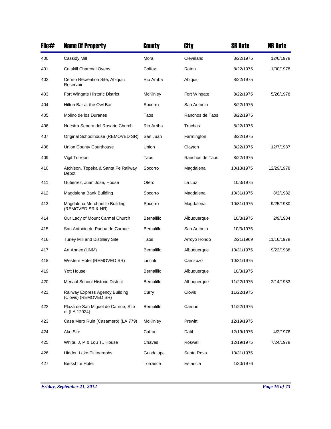| File# | <b>Name Of Property</b>                                  | County     | City            | <b>SR Date</b> | <b>NR Date</b> |
|-------|----------------------------------------------------------|------------|-----------------|----------------|----------------|
| 400   | Cassidy Mill                                             | Mora       | Cleveland       | 8/22/1975      | 12/6/1978      |
| 401   | <b>Catskill Charcoal Ovens</b>                           | Colfax     | Raton           | 8/22/1975      | 1/30/1978      |
| 402   | Cerrito Recreation Site, Abiquiu<br>Reservoir            | Rio Arriba | Abiquiu         | 8/22/1975      |                |
| 403   | Fort Wingate Historic District                           | McKinley   | Fort Wingate    | 8/22/1975      | 5/26/1978      |
| 404   | Hilton Bar at the Owl Bar                                | Socorro    | San Antonio     | 8/22/1975      |                |
| 405   | Molino de los Duranes                                    | Taos       | Ranchos de Taos | 8/22/1975      |                |
| 406   | Nuestra Senora del Rosario Church                        | Rio Arriba | Truchas         | 8/22/1975      |                |
| 407   | Original Schoolhouse (REMOVED SR)                        | San Juan   | Farmington      | 8/22/1975      |                |
| 408   | Union County Courthouse                                  | Union      | Clayton         | 8/22/1975      | 12/7/1987      |
| 409   | Vigil Torreon                                            | Taos       | Ranchos de Taos | 8/22/1975      |                |
| 410   | Atchison, Topeka & Santa Fe Railway<br>Depot             | Socorro    | Magdalena       | 10/13/1975     | 12/29/1978     |
| 411   | Gutierrez, Juan Jose, House                              | Otero      | La Luz          | 10/3/1975      |                |
| 412   | Magdalena Bank Building                                  | Socorro    | Magdalena       | 10/31/1975     | 8/2/1982       |
| 413   | Magdalena Merchantile Building<br>(REMOVED SR & NR)      | Socorro    | Magdalena       | 10/31/1975     | 9/25/1980      |
| 414   | Our Lady of Mount Carmel Church                          | Bernalillo | Albuquerque     | 10/3/1975      | 2/9/1984       |
| 415   | San Antonio de Padua de Carnue                           | Bernalillo | San Antonio     | 10/3/1975      |                |
| 416   | Turley Mill and Distillery Site                          | Taos       | Arroyo Hondo    | 2/21/1969      | 11/16/1978     |
| 417   | Art Annex (UNM)                                          | Bernalillo | Albuquerque     | 10/31/1975     | 9/22/1988      |
| 418   | Western Hotel (REMOVED SR)                               | Lincoln    | Carrizozo       | 10/31/1975     |                |
| 419   | Yott House                                               | Bernalillo | Albuquerque     | 10/3/1975      |                |
| 420   | Menaul School Historic District                          | Bernalillo | Albuquerque     | 11/22/1975     | 2/14/1983      |
| 421   | Railway Express Agency Building<br>(Clovis) (REMOVED SR) | Curry      | Clovis          | 11/22/1975     |                |
| 422   | Plaza de San Miguel de Carnue, Site<br>of (LA 12924)     | Bernalillo | Carnue          | 11/22/1975     |                |
| 423   | Casa Mero Ruin (Casamero) (LA 779)                       | McKinley   | Prewitt         | 12/19/1975     |                |
| 424   | Ake Site                                                 | Catron     | Datil           | 12/19/1975     | 4/2/1976       |
| 425   | White, J. P & Lou T., House                              | Chaves     | Roswell         | 12/19/1975     | 7/24/1978      |
| 426   | Hidden Lake Pictographs                                  | Guadalupe  | Santa Rosa      | 10/31/1975     |                |
| 427   | <b>Berkshire Hotel</b>                                   | Torrance   | Estancia        | 1/30/1976      |                |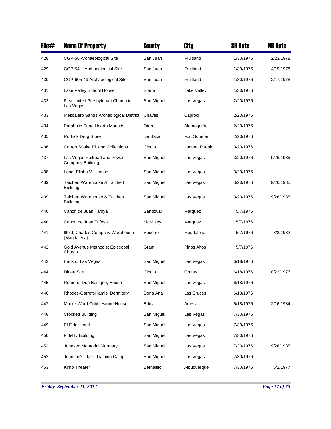| File# | <b>Name Of Property</b>                                 | County          | City          | <b>SR Date</b> | <b>NR Date</b> |
|-------|---------------------------------------------------------|-----------------|---------------|----------------|----------------|
| 428   | CGP-56 Archaeological Site                              | San Juan        | Fruitland     | 1/30/1976      | 2/23/1978      |
| 429   | CGP-54-1 Archaeological Site                            | San Juan        | Fruitland     | 1/30/1976      | 4/19/1978      |
| 430   | CGP-605-49 Archaeological Site                          | San Juan        | Fruitland     | 1/30/1976      | 2/17/1978      |
| 431   | Lake Valley School House                                | Sierra          | Lake Valley   | 1/30/1976      |                |
| 432   | First United Presbyterian Church in<br>Las Vegas        | San Miguel      | Las Vegas     | 2/20/1976      |                |
| 433   | Mescalero Sands Archeological District                  | Chaves          | Caprock       | 2/20/1976      |                |
| 434   | Parabolic Dune Hearth Mounds                            | Otero           | Alamogordo    | 2/20/1976      |                |
| 435   | <b>Rodrick Drug Store</b>                               | De Baca         | Fort Sumner   | 2/20/1976      |                |
| 436   | Correo Snake Pit and Collections                        | Cibola          | Laguna Pueblo | 3/20/1976      |                |
| 437   | Las Vegas Railroad and Power<br><b>Company Building</b> | San Miguel      | Las Vegas     | 3/20/1976      | 9/26/1985      |
| 438   | Long, Elisha V., House                                  | San Miguel      | Las Vegas     | 3/20/1976      |                |
| 439   | Taichert Warehouse & Taichert<br><b>Building</b>        | San Miguel      | Las Vegas     | 3/20/1976      | 9/26/1985      |
| 439   | Taichert Warehouse & Taichert<br><b>Building</b>        | San Miguel      | Las Vegas     | 3/20/1976      | 9/26/1985      |
| 440   | Canon de Juan Tafoya                                    | Sandoval        | Marquez       | 5/7/1976       |                |
| 440   | Canon de Juan Tafoya                                    | <b>McKinley</b> | Marquez       | 5/7/1976       |                |
| 441   | Ilfeld, Charles Company Warehouse<br>(Magdalena)        | Socorro         | Magdalena     | 5/7/1976       | 8/2/1982       |
| 442   | Gold Avenue Methodist Episcopal<br>Church               | Grant           | Pinos Altos   | 5/7/1976       |                |
| 443   | Bank of Las Vegas                                       | San Miguel      | Las Vegas     | 6/18/1976      |                |
| 444   | <b>Dittert Site</b>                                     | Cibola          | Grants        | 6/18/1976      | 8/22/1977      |
| 445   | Romero, Don Benigno, House                              | San Miguel      | Las Vegas     | 6/18/1976      |                |
| 446   | Rhodes-Garrett-Hamiel Dormitory                         | Dona Ana        | Las Cruces    | 6/18/1976      |                |
| 447   | Moore-Ward Cobblestone House                            | Eddy            | Artesia       | 6/18/1976      | 2/16/1984      |
| 448   | <b>Crockett Building</b>                                | San Miguel      | Las Vegas     | 7/30/1976      |                |
| 449   | El Fidel Hotel                                          | San Miguel      | Las Vegas     | 7/30/1976      |                |
| 450   | <b>Fidelity Building</b>                                | San Miguel      | Las Vegas     | 7/30/1976      |                |
| 451   | Johnsen Memorial Mortuary                               | San Miguel      | Las Vegas     | 7/30/1976      | 9/26/1985      |
| 452   | Johnson's, Jack Training Camp                           | San Miguel      | Las Vegas     | 7/30/1976      |                |
| 453   | Kimo Theater                                            | Bernalillo      | Albuquerque   | 7/30/1976      | 5/2/1977       |

*Friday, September 21, 2012 Page 17 of 73*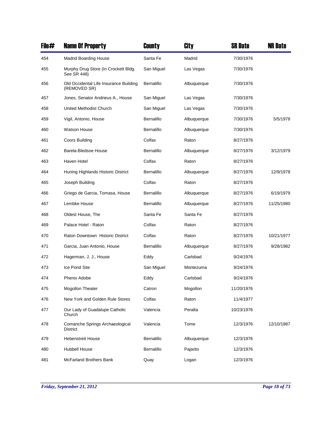| File# | <b>Name Of Property</b>                                | County     | City        | <b>SR Date</b> | <b>NR Date</b> |
|-------|--------------------------------------------------------|------------|-------------|----------------|----------------|
| 454   | <b>Madrid Boarding House</b>                           | Santa Fe   | Madrid      | 7/30/1976      |                |
| 455   | Murphy Drug Store (In Crockett Bldg.<br>See SR 448)    | San Miguel | Las Vegas   | 7/30/1976      |                |
| 456   | Old Occidental Life Insurance Building<br>(REMOVED SR) | Bernalillo | Albuquerque | 7/30/1976      |                |
| 457   | Jones, Senator Andrieus A., House                      | San Miguel | Las Vegas   | 7/30/1976      |                |
| 458   | United Methodist Church                                | San Miguel | Las Vegas   | 7/30/1976      |                |
| 459   | Vigil, Antonio, House                                  | Bernalillo | Albuquerque | 7/30/1976      | 5/5/1978       |
| 460   | <b>Watson House</b>                                    | Bernalillo | Albuquerque | 7/30/1976      |                |
| 461   | Coors Building                                         | Colfax     | Raton       | 8/27/1976      |                |
| 462   | Barela-Bledsoe House                                   | Bernalillo | Albuquerque | 8/27/1976      | 3/12/1979      |
| 463   | Haven Hotel                                            | Colfax     | Raton       | 8/27/1976      |                |
| 464   | Huning Highlands Historic District                     | Bernalillo | Albuquerque | 8/27/1976      | 12/9/1978      |
| 465   | Joseph Building                                        | Colfax     | Raton       | 8/27/1976      |                |
| 466   | Griego de Garcia, Tomasa, House                        | Bernalillo | Albuquerque | 8/27/1976      | 6/19/1979      |
| 467   | Lembke House                                           | Bernalillo | Albuquerque | 8/27/1976      | 11/25/1980     |
| 468   | Oldest House, The                                      | Santa Fe   | Santa Fe    | 8/27/1976      |                |
| 469   | Palace Hotel - Raton                                   | Colfax     | Raton       | 8/27/1976      |                |
| 470   | Raton Downtown Historic District                       | Colfax     | Raton       | 8/27/1976      | 10/21/1977     |
| 471   | Garcia, Juan Antonio, House                            | Bernalillo | Albuquerque | 8/27/1976      | 9/28/1982      |
| 472   | Hagerman, J. J., House                                 | Eddy       | Carlsbad    | 9/24/1976      |                |
| 473   | Ice Pond Site                                          | San Miguel | Montezuma   | 9/24/1976      |                |
| 474   | <b>Phenix Adobe</b>                                    | Eddy       | Carlsbad    | 9/24/1976      |                |
| 475   | Mogollon Theater                                       | Catron     | Mogollon    | 11/20/1976     |                |
| 476   | New York and Golden Rule Stores                        | Colfax     | Raton       | 11/4/1977      |                |
| 477   | Our Lady of Guadalupe Catholic<br>Church               | Valencia   | Peralta     | 10/23/1976     |                |
| 478   | Comanche Springs Archaeological<br><b>District</b>     | Valencia   | Tome        | 12/3/1976      | 12/10/1987     |
| 479   | <b>Hebenstreit House</b>                               | Bernalillo | Albuquerque | 12/3/1976      |                |
| 480   | <b>Hubbell House</b>                                   | Bernalillo | Pajarito    | 12/3/1976      |                |
| 481   | <b>McFarland Brothers Bank</b>                         | Quay       | Logan       | 12/3/1976      |                |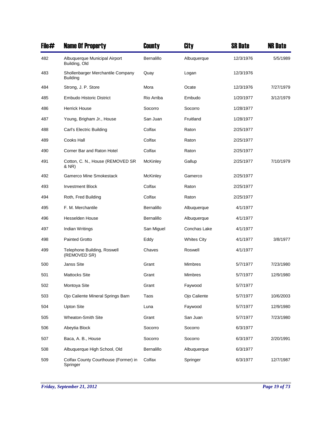| File# | <b>Name Of Property</b>                              | County          | City               | <b>SR Date</b> | <b>NR Date</b> |
|-------|------------------------------------------------------|-----------------|--------------------|----------------|----------------|
| 482   | Albuquerque Municipal Airport<br>Building, Old       | Bernalillo      | Albuquerque        | 12/3/1976      | 5/5/1989       |
| 483   | Shollenbarger Merchantile Company<br><b>Building</b> | Quay            | Logan              | 12/3/1976      |                |
| 484   | Strong, J. P. Store                                  | Mora            | Ocate              | 12/3/1976      | 7/27/1979      |
| 485   | <b>Embudo Historic District</b>                      | Rio Arriba      | Embudo             | 1/20/1977      | 3/12/1979      |
| 486   | <b>Herrick House</b>                                 | Socorro         | Socorro            | 1/28/1977      |                |
| 487   | Young, Brigham Jr., House                            | San Juan        | Fruitland          | 1/28/1977      |                |
| 488   | Carl's Electric Building                             | Colfax          | Raton              | 2/25/1977      |                |
| 489   | Cooks Hall                                           | Colfax          | Raton              | 2/25/1977      |                |
| 490   | Corner Bar and Raton Hotel                           | Colfax          | Raton              | 2/25/1977      |                |
| 491   | Cotton, C. N., House (REMOVED SR<br>& NR)            | <b>McKinley</b> | Gallup             | 2/25/1977      | 7/10/1979      |
| 492   | Gamerco Mine Smokestack                              | McKinley        | Gamerco            | 2/25/1977      |                |
| 493   | <b>Investment Block</b>                              | Colfax          | Raton              | 2/25/1977      |                |
| 494   | Roth, Fred Building                                  | Colfax          | Raton              | 2/25/1977      |                |
| 495   | F. M. Merchantile                                    | Bernalillo      | Albuquerque        | 4/1/1977       |                |
| 496   | Hesselden House                                      | Bernalillo      | Albuquerque        | 4/1/1977       |                |
| 497   | Indian Writings                                      | San Miguel      | Conchas Lake       | 4/1/1977       |                |
| 498   | <b>Painted Grotto</b>                                | Eddy            | <b>Whites City</b> | 4/1/1977       | 3/8/1977       |
| 499   | Telephone Building, Roswell<br>(REMOVED SR)          | Chaves          | Roswell            | 4/1/1977       |                |
| 500   | Janss Site                                           | Grant           | <b>Mimbres</b>     | 5/7/1977       | 7/23/1980      |
| 501   | <b>Mattocks Site</b>                                 | Grant           | <b>Mimbres</b>     | 5/7/1977       | 12/9/1980      |
| 502   | Montoya Site                                         | Grant           | Faywood            | 5/7/1977       |                |
| 503   | Ojo Caliente Mineral Springs Barn                    | Taos            | Ojo Caliente       | 5/7/1977       | 10/6/2003      |
| 504   | <b>Upton Site</b>                                    | Luna            | Faywood            | 5/7/1977       | 12/9/1980      |
| 505   | Wheaton-Smith Site                                   | Grant           | San Juan           | 5/7/1977       | 7/23/1980      |
| 506   | Abeytia Block                                        | Socorro         | Socorro            | 6/3/1977       |                |
| 507   | Baca, A. B., House                                   | Socorro         | Socorro            | 6/3/1977       | 2/20/1991      |
| 508   | Albuquerque High School, Old                         | Bernalillo      | Albuquerque        | 6/3/1977       |                |
| 509   | Colfax County Courthouse (Former) in<br>Springer     | Colfax          | Springer           | 6/3/1977       | 12/7/1987      |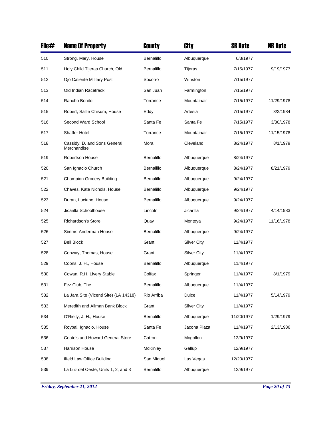| File# | <b>Name Of Property</b>                     | County          | City               | <b>SR Date</b> | <b>NR Date</b> |
|-------|---------------------------------------------|-----------------|--------------------|----------------|----------------|
| 510   | Strong, Mary, House                         | Bernalillo      | Albuquerque        | 6/3/1977       |                |
| 511   | Holy Child Tijeras Church, Old              | Bernalillo      | Tijeras            | 7/15/1977      | 9/19/1977      |
| 512   | Ojo Caliente Military Post                  | Socorro         | Winston            | 7/15/1977      |                |
| 513   | Old Indian Racetrack                        | San Juan        | Farmington         | 7/15/1977      |                |
| 514   | Rancho Bonito                               | Torrance        | Mountainair        | 7/15/1977      | 11/29/1978     |
| 515   | Robert, Sallie Chisum, House                | Eddy            | Artesia            | 7/15/1977      | 3/2/1984       |
| 516   | Second Ward School                          | Santa Fe        | Santa Fe           | 7/15/1977      | 3/30/1978      |
| 517   | <b>Shaffer Hotel</b>                        | Torrance        | Mountainair        | 7/15/1977      | 11/15/1978     |
| 518   | Cassidy, D. and Sons General<br>Merchandise | Mora            | Cleveland          | 8/24/1977      | 8/1/1979       |
| 519   | <b>Robertson House</b>                      | Bernalillo      | Albuquerque        | 8/24/1977      |                |
| 520   | San Ignacio Church                          | Bernalillo      | Albuquerque        | 8/24/1977      | 8/21/1979      |
| 521   | <b>Champion Grocery Building</b>            | Bernalillo      | Albuquerque        | 9/24/1977      |                |
| 522   | Chaves, Kate Nichols, House                 | Bernalillo      | Albuquerque        | 9/24/1977      |                |
| 523   | Duran, Luciano, House                       | Bernalillo      | Albuquerque        | 9/24/1977      |                |
| 524   | Jicarilla Schoolhouse                       | Lincoln         | Jicarilla          | 9/24/1977      | 4/14/1983      |
| 525   | Richardson's Store                          | Quay            | Montoya            | 9/24/1977      | 11/16/1978     |
| 526   | Simms-Anderman House                        | Bernalillo      | Albuquerque        | 9/24/1977      |                |
| 527   | <b>Bell Block</b>                           | Grant           | <b>Silver City</b> | 11/4/1977      |                |
| 528   | Conway, Thomas, House                       | Grant           | <b>Silver City</b> | 11/4/1977      |                |
| 529   | Coons, J. H., House                         | Bernalillo      | Albuquerque        | 11/4/1977      |                |
| 530   | Cowan, R.H. Livery Stable                   | Colfax          | Springer           | 11/4/1977      | 8/1/1979       |
| 531   | Fez Club, The                               | Bernalillo      | Albuquerque        | 11/4/1977      |                |
| 532   | La Jara Site (Vicenti Site) (LA 14318)      | Rio Arriba      | Dulce              | 11/4/1977      | 5/14/1979      |
| 533   | Meredith and Ailman Bank Block              | Grant           | <b>Silver City</b> | 11/4/1977      |                |
| 534   | O'Rielly, J. H., House                      | Bernalillo      | Albuquerque        | 11/20/1977     | 1/29/1979      |
| 535   | Roybal, Ignacio, House                      | Santa Fe        | Jacona Plaza       | 11/4/1977      | 2/13/1986      |
| 536   | Coate's and Howard General Store            | Catron          | Mogollon           | 12/9/1977      |                |
| 537   | Harrison House                              | <b>McKinley</b> | Gallup             | 12/9/1977      |                |
| 538   | Ilfeld Law Office Building                  | San Miguel      | Las Vegas          | 12/20/1977     |                |
| 539   | La Luz del Oeste, Units 1, 2, and 3         | Bernalillo      | Albuquerque        | 12/9/1977      |                |

*Friday, September 21, 2012 Page 20 of 73*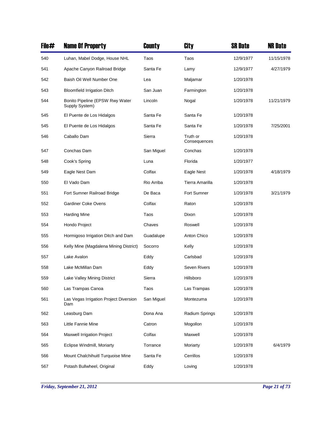| File# | <b>Name Of Property</b>                           | County     | City                     | <b>SR Date</b> | <b>NR Date</b> |
|-------|---------------------------------------------------|------------|--------------------------|----------------|----------------|
| 540   | Luhan, Mabel Dodge, House NHL                     | Taos       | Taos                     | 12/9/1977      | 11/15/1978     |
| 541   | Apache Canyon Railroad Bridge                     | Santa Fe   | Lamy                     | 12/9/1977      | 4/27/1979      |
| 542   | Baish Oil Well Number One                         | Lea        | Maljamar                 | 1/20/1978      |                |
| 543   | <b>Bloomfield Irrigation Ditch</b>                | San Juan   | Farmington               | 1/20/1978      |                |
| 544   | Bonito Pipeline (EPSW Rwy Water<br>Supply System) | Lincoln    | Nogal                    | 1/20/1978      | 11/21/1979     |
| 545   | El Puente de Los Hidalgos                         | Santa Fe   | Santa Fe                 | 1/20/1978      |                |
| 545   | El Puente de Los Hidalgos                         | Santa Fe   | Santa Fe                 | 1/20/1978      | 7/25/2001      |
| 546   | Caballo Dam                                       | Sierra     | Truth or<br>Consequences | 1/20/1978      |                |
| 547   | Conchas Dam                                       | San Miguel | Conchas                  | 1/20/1978      |                |
| 548   | Cook's Spring                                     | Luna       | Florida                  | 1/20/1977      |                |
| 549   | Eagle Nest Dam                                    | Colfax     | Eagle Nest               | 1/20/1978      | 4/18/1979      |
| 550   | El Vado Dam                                       | Rio Arriba | Tierra Amarilla          | 1/20/1978      |                |
| 551   | Fort Sumner Railroad Bridge                       | De Baca    | Fort Sumner              | 1/20/1978      | 3/21/1979      |
| 552   | <b>Gardiner Coke Ovens</b>                        | Colfax     | Raton                    | 1/20/1978      |                |
| 553   | <b>Harding Mine</b>                               | Taos       | Dixon                    | 1/20/1978      |                |
| 554   | Hondo Project                                     | Chaves     | Roswell                  | 1/20/1978      |                |
| 555   | Hormigoso Irrigation Ditch and Dam                | Guadalupe  | Anton Chico              | 1/20/1978      |                |
| 556   | Kelly Mine (Magdalena Mining District)            | Socorro    | Kelly                    | 1/20/1978      |                |
| 557   | Lake Avalon                                       | Eddy       | Carlsbad                 | 1/20/1978      |                |
| 558   | Lake McMillan Dam                                 | Eddy       | Seven Rivers             | 1/20/1978      |                |
| 559   | Lake Valley Mining District                       | Sierra     | Hillsboro                | 1/20/1978      |                |
| 560   | Las Trampas Canoa                                 | Taos       | Las Trampas              | 1/20/1978      |                |
| 561   | Las Vegas Irrigation Project Diversion<br>Dam     | San Miguel | Montezuma                | 1/20/1978      |                |
| 562   | Leasburg Dam                                      | Dona Ana   | Radium Springs           | 1/20/1978      |                |
| 563   | Little Fannie Mine                                | Catron     | Mogollon                 | 1/20/1978      |                |
| 564   | Maxwell Irrigation Project                        | Colfax     | Maxwell                  | 1/20/1978      |                |
| 565   | Eclipse Windmill, Moriarty                        | Torrance   | Moriarty                 | 1/20/1978      | 6/4/1979       |
| 566   | Mount Chalchihuitl Turquoise Mine                 | Santa Fe   | Cerrillos                | 1/20/1978      |                |
| 567   | Potash Bullwheel, Original                        | Eddy       | Loving                   | 1/20/1978      |                |

*Friday, September 21, 2012 Page 21 of 73*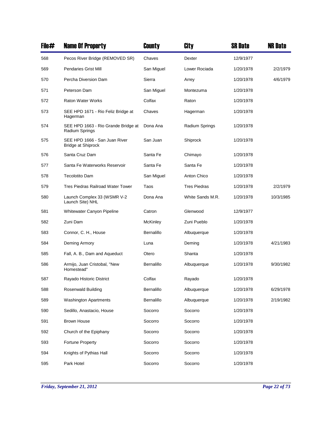| File# | <b>Name Of Property</b>                                    | County          | City                | <b>SR Date</b> | <b>NR Date</b> |
|-------|------------------------------------------------------------|-----------------|---------------------|----------------|----------------|
| 568   | Pecos River Bridge (REMOVED SR)                            | Chaves          | Dexter              | 12/9/1977      |                |
| 569   | <b>Pendaries Grist Mill</b>                                | San Miguel      | Lower Rociada       | 1/20/1978      | 2/2/1979       |
| 570   | Percha Diversion Dam                                       | Sierra          | Arrey               | 1/20/1978      | 4/6/1979       |
| 571   | Peterson Dam                                               | San Miguel      | Montezuma           | 1/20/1978      |                |
| 572   | <b>Raton Water Works</b>                                   | Colfax          | Raton               | 1/20/1978      |                |
| 573   | SEE HPD 1671 - Rio Feliz Bridge at<br>Hagerman             | Chaves          | Hagerman            | 1/20/1978      |                |
| 574   | SEE HPD 1663 - Rio Grande Bridge at<br>Radium Springs      | Dona Ana        | Radium Springs      | 1/20/1978      |                |
| 575   | SEE HPD 1666 - San Juan River<br><b>Bridge at Shiprock</b> | San Juan        | Shiprock            | 1/20/1978      |                |
| 576   | Santa Cruz Dam                                             | Santa Fe        | Chimayo             | 1/20/1978      |                |
| 577   | Santa Fe Waterworks Reservoir                              | Santa Fe        | Santa Fe            | 1/20/1978      |                |
| 578   | <b>Tecolotito Dam</b>                                      | San Miguel      | Anton Chico         | 1/20/1978      |                |
| 579   | Tres Piedras Railroad Water Tower                          | Taos            | <b>Tres Piedras</b> | 1/20/1978      | 2/2/1979       |
| 580   | Launch Complex 33 (WSMR V-2<br>Launch Site) NHL            | Dona Ana        | White Sands M.R.    | 1/20/1978      | 10/3/1985      |
| 581   | Whitewater Canyon Pipeline                                 | Catron          | Glenwood            | 12/9/1977      |                |
| 582   | Zuni Dam                                                   | <b>McKinley</b> | Zuni Pueblo         | 1/20/1978      |                |
| 583   | Connor, C. H., House                                       | Bernalillo      | Albuquerque         | 1/20/1978      |                |
| 584   | Deming Armory                                              | Luna            | Deming              | 1/20/1978      | 4/21/1983      |
| 585   | Fall, A. B., Dam and Aqueduct                              | Otero           | Shanta              | 1/20/1978      |                |
| 586   | Armijo, Juan Cristobal, "New<br>Homestead"                 | Bernalillo      | Albuquerque         | 1/20/1978      | 9/30/1982      |
| 587   | Rayado Historic District                                   | Colfax          | Rayado              | 1/20/1978      |                |
| 588   | Rosenwald Building                                         | Bernalillo      | Albuquerque         | 1/20/1978      | 6/29/1978      |
| 589   | Washington Apartments                                      | Bernalillo      | Albuquerque         | 1/20/1978      | 2/19/1982      |
| 590   | Sedillo, Anastacio, House                                  | Socorro         | Socorro             | 1/20/1978      |                |
| 591   | <b>Brown House</b>                                         | Socorro         | Socorro             | 1/20/1978      |                |
| 592   | Church of the Epiphany                                     | Socorro         | Socorro             | 1/20/1978      |                |
| 593   | <b>Fortune Property</b>                                    | Socorro         | Socorro             | 1/20/1978      |                |
| 594   | Knights of Pythias Hall                                    | Socorro         | Socorro             | 1/20/1978      |                |
| 595   | Park Hotel                                                 | Socorro         | Socorro             | 1/20/1978      |                |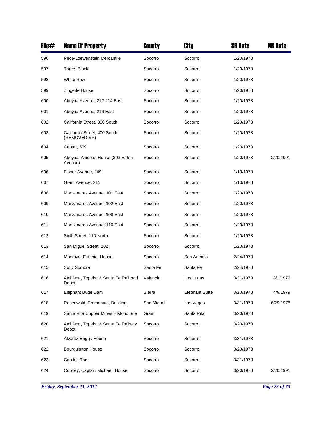| File# | <b>Name Of Property</b>                       | County     | City                  | <b>SR Date</b> | <b>NR Date</b> |
|-------|-----------------------------------------------|------------|-----------------------|----------------|----------------|
| 596   | Price-Loewenstein Mercantile                  | Socorro    | Socorro               | 1/20/1978      |                |
| 597   | <b>Torres Block</b>                           | Socorro    | Socorro               | 1/20/1978      |                |
| 598   | <b>White Row</b>                              | Socorro    | Socorro               | 1/20/1978      |                |
| 599   | Zingerle House                                | Socorro    | Socorro               | 1/20/1978      |                |
| 600   | Abeytia Avenue, 212-214 East                  | Socorro    | Socorro               | 1/20/1978      |                |
| 601   | Abeytia Avenue, 216 East                      | Socorro    | Socorro               | 1/20/1978      |                |
| 602   | California Street, 300 South                  | Socorro    | Socorro               | 1/20/1978      |                |
| 603   | California Street, 400 South<br>(REMOVED SR)  | Socorro    | Socorro               | 1/20/1978      |                |
| 604   | Center, 509                                   | Socorro    | Socorro               | 1/20/1978      |                |
| 605   | Abeytia, Aniceto, House (303 Eaton<br>Avenue) | Socorro    | Socorro               | 1/20/1978      | 2/20/1991      |
| 606   | Fisher Avenue, 249                            | Socorro    | Socorro               | 1/13/1978      |                |
| 607   | Grant Avenue, 211                             | Socorro    | Socorro               | 1/13/1978      |                |
| 608   | Manzanares Avenue, 101 East                   | Socorro    | Socorro               | 1/20/1978      |                |
| 609   | Manzanares Avenue, 102 East                   | Socorro    | Socorro               | 1/20/1978      |                |
| 610   | Manzanares Avenue, 108 East                   | Socorro    | Socorro               | 1/20/1978      |                |
| 611   | Manzanares Avenue, 110 East                   | Socorro    | Socorro               | 1/20/1978      |                |
| 612   | Sixth Street, 110 North                       | Socorro    | Socorro               | 1/20/1978      |                |
| 613   | San Miguel Street, 202                        | Socorro    | Socorro               | 1/20/1978      |                |
| 614   | Montoya, Eutimio, House                       | Socorro    | San Antonio           | 2/24/1978      |                |
| 615   | Sol y Sombra                                  | Santa Fe   | Santa Fe              | 2/24/1978      |                |
| 616   | Atchison, Topeka & Santa Fe Railroad<br>Depot | Valencia   | Los Lunas             | 3/31/1978      | 8/1/1979       |
| 617   | Elephant Butte Dam                            | Sierra     | <b>Elephant Butte</b> | 3/20/1978      | 4/9/1979       |
| 618   | Rosenwald, Emmanuel, Building                 | San Miguel | Las Vegas             | 3/31/1978      | 6/29/1978      |
| 619   | Santa Rita Copper Mines Historic Site         | Grant      | Santa Rita            | 3/20/1978      |                |
| 620   | Atchison, Topeka & Santa Fe Railway<br>Depot  | Socorro    | Socorro               | 3/20/1978      |                |
| 621   | Alvarez-Briggs House                          | Socorro    | Socorro               | 3/31/1978      |                |
| 622   | Bourguignon House                             | Socorro    | Socorro               | 3/20/1978      |                |
| 623   | Capitol, The                                  | Socorro    | Socorro               | 3/31/1978      |                |
| 624   | Cooney, Captain Michael, House                | Socorro    | Socorro               | 3/20/1978      | 2/20/1991      |

*Friday, September 21, 2012 Page 23 of 73*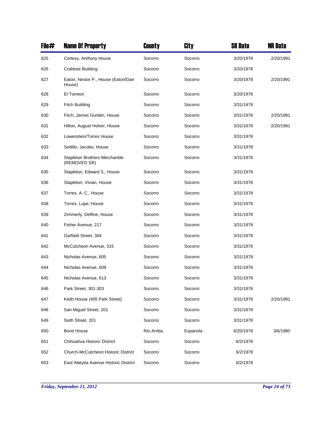| File# | <b>Name Of Property</b>                               | County     | <b>City</b> | <b>SR Date</b> | <b>NR Date</b> |
|-------|-------------------------------------------------------|------------|-------------|----------------|----------------|
| 625   | Cortesy, Anthony House                                | Socorro    | Socorro     | 3/20/1978      | 2/20/1991      |
| 626   | <b>Crabtree Building</b>                              | Socorro    | Socorro     | 3/20/1978      |                |
| 627   | Eaton, Nestor P., House (Eaton/Darr<br>House)         | Socorro    | Socorro     | 3/20/1978      | 2/20/1991      |
| 628   | El Torreon                                            | Socorro    | Socorro     | 3/20/1978      |                |
| 629   | <b>Fitch Building</b>                                 | Socorro    | Socorro     | 3/31/1978      |                |
| 630   | Fitch, James Gurden, House                            | Socorro    | Socorro     | 3/31/1978      | 2/20/1991      |
| 631   | Hilton, August Holver, House                          | Socorro    | Socorro     | 3/31/1978      | 2/20/1991      |
| 632   | Lowenstein/Torres House                               | Socorro    | Socorro     | 3/31/1978      |                |
| 633   | Sedillo, Jacobo, House                                | Socorro    | Socorro     | 3/31/1978      |                |
| 634   | <b>Stapleton Brothers Merchantile</b><br>(REMOVED SR) | Socorro    | Socorro     | 3/31/1978      |                |
| 635   | Stapleton, Edward S., House                           | Socorro    | Socorro     | 3/31/1978      |                |
| 636   | Stapleton, Vivian, House                              | Socorro    | Socorro     | 3/31/1978      |                |
| 637   | Torres, A. C., House                                  | Socorro    | Socorro     | 3/31/1978      |                |
| 638   | Torres, Lupe, House                                   | Socorro    | Socorro     | 3/31/1978      |                |
| 639   | Zimmerly, Delfine, House                              | Socorro    | Socorro     | 3/31/1978      |                |
| 640   | Fisher Avenue, 217                                    | Socorro    | Socorro     | 3/31/1978      |                |
| 641   | Garfield Street, 304                                  | Socorro    | Socorro     | 3/31/1978      |                |
| 642   | McCutcheon Avenue, 315                                | Socorro    | Socorro     | 3/31/1978      |                |
| 643   | Nicholas Avenue, 605                                  | Socorro    | Socorro     | 3/31/1978      |                |
| 644   | Nicholas Avenue, 609                                  | Socorro    | Socorro     | 3/31/1978      |                |
| 645   | Nicholas Avenue, 613                                  | Socorro    | Socorro     | 3/31/1978      |                |
| 646   | Park Street, 301-303                                  | Socorro    | Socorro     | 3/31/1978      |                |
| 647   | Keith House (405 Park Street)                         | Socorro    | Socorro     | 3/31/1978      | 2/20/1991      |
| 648   | San Miguel Street, 201                                | Socorro    | Socorro     | 3/31/1978      |                |
| 649   | Sixth Street, 201                                     | Socorro    | Socorro     | 3/31/1978      |                |
| 650   | <b>Bond House</b>                                     | Rio Arriba | Espanola    | 6/20/1978      | 3/6/1980       |
| 651   | Chihuahua Historic District                           | Socorro    | Socorro     | 6/2/1978       |                |
| 652   | Church-McCutcheon Historic District                   | Socorro    | Socorro     | 6/2/1978       |                |
| 653   | East Abeytia Avenue Historic District                 | Socorro    | Socorro     | 6/2/1978       |                |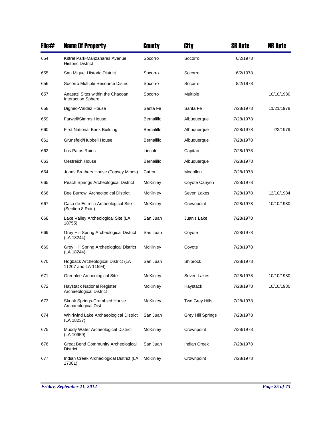| File# | <b>Name Of Property</b>                                       | County          | City                     | <b>SR Date</b> | NR Date    |
|-------|---------------------------------------------------------------|-----------------|--------------------------|----------------|------------|
| 654   | Kittrel Park-Manzanares Avenue<br><b>Historic District</b>    | Socorro         | Socorro                  | 6/2/1978       |            |
| 655   | San Miguel Historic District                                  | Socorro         | Socorro                  | 6/2/1978       |            |
| 656   | Socorro Multiple Resource District                            | Socorro         | Socorro                  | 8/2/1978       |            |
| 657   | Anasazi Sites within the Chacoan<br><b>Interaction Sphere</b> | Socorro         | Multiple                 |                | 10/10/1980 |
| 658   | Digneo-Valdez House                                           | Santa Fe        | Santa Fe                 | 7/28/1978      | 11/21/1978 |
| 659   | <b>Farwell/Simms House</b>                                    | Bernalillo      | Albuquerque              | 7/28/1978      |            |
| 660   | First National Bank Building                                  | Bernalillo      | Albuquerque              | 7/28/1978      | 2/2/1979   |
| 661   | Grunsfeld/Hubbell House                                       | Bernalillo      | Albuquerque              | 7/28/1978      |            |
| 662   | Los Patos Ruins                                               | Lincoln         | Capitan                  | 7/28/1978      |            |
| 663   | Oestreich House                                               | Bernalillo      | Albuquerque              | 7/28/1978      |            |
| 664   | Johns Brothers House (Topsey Mines)                           | Catron          | Mogollon                 | 7/28/1978      |            |
| 665   | Peach Springs Archeological District                          | McKinley        | Coyote Canyon            | 7/28/1978      |            |
| 666   | Bee Burrow Archeological District                             | McKinley        | Seven Lakes              | 7/28/1978      | 12/10/1984 |
| 667   | Casa de Estrella Archeological Site<br>(Section 8 Ruin)       | McKinley        | Crownpoint               | 7/28/1978      | 10/10/1980 |
| 668   | Lake Valley Archeological Site (LA<br>18755)                  | San Juan        | Juan's Lake              | 7/28/1978      |            |
| 669   | Grey Hill Spring Archeological District<br>(LA 18244)         | San Juan        | Coyote                   | 7/28/1978      |            |
| 669   | Grey Hill Spring Archeological District<br>(LA 18244)         | McKinley        | Coyote                   | 7/28/1978      |            |
| 670   | Hogback Archeological District (LA<br>11207 and LA 11594)     | San Juan        | Shiprock                 | 7/28/1978      |            |
| 671   | Greenlee Archeological Site                                   | McKinley        | Seven Lakes              | 7/28/1978      | 10/10/1980 |
| 672   | Haystack National Register<br>Archaeological District         | McKinley        | Haystack                 | 7/28/1978      | 10/10/1980 |
| 673   | Skunk Springs-Crumbled House<br>Archaeological Dist.          | <b>McKinley</b> | Two Grey Hills           | 7/28/1978      |            |
| 674   | Whirlwind Lake Archaeological District<br>(LA 18237)          | San Juan        | <b>Grey Hill Springs</b> | 7/28/1978      |            |
| 675   | Muddy Water Archeological District<br>(LA 10959)              | <b>McKinley</b> | Crownpoint               | 7/28/1978      |            |
| 676   | <b>Great Bend Community Archeological</b><br>District         | San Juan        | <b>Indian Creek</b>      | 7/28/1978      |            |
| 677   | Indian Creek Archeological District (LA<br>17081)             | McKinley        | Crownpoint               | 7/28/1978      |            |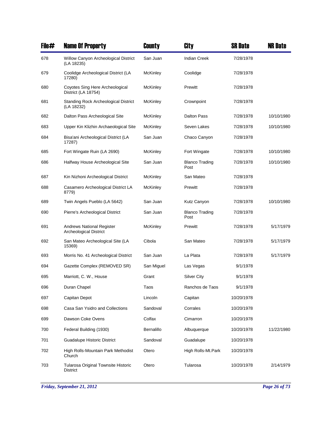| File# | <b>Name Of Property</b>                                           | County          | City                          | <b>SR Date</b> | <b>NR Date</b> |
|-------|-------------------------------------------------------------------|-----------------|-------------------------------|----------------|----------------|
| 678   | Willow Canyon Archeological District<br>(LA 18235)                | San Juan        | <b>Indian Creek</b>           | 7/28/1978      |                |
| 679   | Coolidge Archeological District (LA<br>17280)                     | <b>McKinley</b> | Coolidge                      | 7/28/1978      |                |
| 680   | Coyotes Sing Here Archeological<br>District (LA 18754)            | <b>McKinley</b> | Prewitt                       | 7/28/1978      |                |
| 681   | <b>Standing Rock Archeological District</b><br>(LA 18232)         | <b>McKinley</b> | Crownpoint                    | 7/28/1978      |                |
| 682   | Dalton Pass Archeological Site                                    | <b>McKinley</b> | Dalton Pass                   | 7/28/1978      | 10/10/1980     |
| 683   | Upper Kin Klizhin Archaeological Site                             | <b>McKinley</b> | Seven Lakes                   | 7/28/1978      | 10/10/1980     |
| 684   | Bisa'ani Archeological District (LA<br>17287)                     | San Juan        | Chaco Canyon                  | 7/28/1978      |                |
| 685   | Fort Wingate Ruin (LA 2690)                                       | <b>McKinley</b> | Fort Wingate                  | 7/28/1978      | 10/10/1980     |
| 686   | Halfway House Archeological Site                                  | San Juan        | <b>Blanco Trading</b><br>Post | 7/28/1978      | 10/10/1980     |
| 687   | Kin Nizhoni Archeological District                                | <b>McKinley</b> | San Mateo                     | 7/28/1978      |                |
| 688   | Casamero Archeological District LA<br>8779)                       | <b>McKinley</b> | Prewitt                       | 7/28/1978      |                |
| 689   | Twin Angels Pueblo (LA 5642)                                      | San Juan        | Kutz Canyon                   | 7/28/1978      | 10/10/1980     |
| 690   | Pierre's Archeological District                                   | San Juan        | <b>Blanco Trading</b><br>Post | 7/28/1978      |                |
| 691   | <b>Andrews National Register</b><br><b>Archeological District</b> | <b>McKinley</b> | Prewitt                       | 7/28/1978      | 5/17/1979      |
| 692   | San Mateo Archeological Site (LA<br>15369)                        | Cibola          | San Mateo                     | 7/28/1978      | 5/17/1979      |
| 693   | Morris No. 41 Archeological District                              | San Juan        | La Plata                      | 7/28/1978      | 5/17/1979      |
| 694   | Gazette Complex (REMOVED SR)                                      | San Miguel      | Las Vegas                     | 9/1/1978       |                |
| 695   | Marriott, C. W., House                                            | Grant           | Silver City                   | 9/1/1978       |                |
| 696   | Duran Chapel                                                      | Taos            | Ranchos de Taos               | 9/1/1978       |                |
| 697   | Capitan Depot                                                     | Lincoln         | Capitan                       | 10/20/1978     |                |
| 698   | Casa San Ysidro and Collections                                   | Sandoval        | Corrales                      | 10/20/1978     |                |
| 699   | Dawson Coke Ovens                                                 | Colfax          | Cimarron                      | 10/20/1978     |                |
| 700   | Federal Building (1930)                                           | Bernalillo      | Albuquerque                   | 10/20/1978     | 11/22/1980     |
| 701   | Guadalupe Historic District                                       | Sandoval        | Guadalupe                     | 10/20/1978     |                |
| 702   | High Rolls-Mountain Park Methodist<br>Church                      | Otero           | High Rolls-Mt.Park            | 10/20/1978     |                |
| 703   | Tularosa Original Townsite Historic<br><b>District</b>            | Otero           | Tularosa                      | 10/20/1978     | 2/14/1979      |

*Friday, September 21, 2012 Page 26 of 73*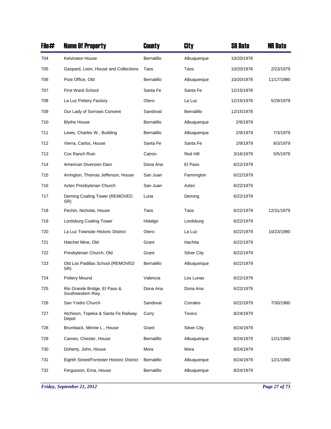| File# | <b>Name Of Property</b>                           | <b>County</b> | City               | <b>SR Date</b> | <b>NR Date</b> |
|-------|---------------------------------------------------|---------------|--------------------|----------------|----------------|
| 704   | <b>Kelvinator House</b>                           | Bernalillo    | Albuquerque        | 10/20/1978     |                |
| 705   | Gaspard, Leon, House and Collections              | Taos          | Taos               | 10/20/1978     | 2/23/1979      |
| 706   | Post Office, Old                                  | Bernalillo    | Albuquerque        | 10/20/1978     | 11/17/1980     |
| 707   | <b>First Ward School</b>                          | Santa Fe      | Santa Fe           | 12/15/1978     |                |
| 708   | La Luz Pottery Factory                            | Otero         | La Luz             | 12/15/1978     | 5/29/1979      |
| 709   | Our Lady of Sorrows Convent                       | Sandoval      | Bernalillo         | 12/15/1978     |                |
| 710   | <b>Blythe House</b>                               | Bernalillo    | Albuquerque        | 2/9/1979       |                |
| 711   | Lewis, Charles W., Building                       | Bernalillo    | Albuquerque        | 2/9/1979       | 7/3/1979       |
| 712   | Vierra, Carlos, House                             | Santa Fe      | Santa Fe           | 2/9/1979       | 8/3/1979       |
| 713   | Cox Ranch Ruin                                    | Catron        | Red Hill           | 3/16/1979      | 5/5/1978       |
| 714   | American Diversion Dam                            | Dona Ana      | El Paso            | 6/22/1979      |                |
| 715   | Arrington, Thomas Jefferson, House                | San Juan      | Farmington         | 6/22/1979      |                |
| 716   | Aztec Presbyterian Church                         | San Juan      | Aztec              | 6/22/1979      |                |
| 717   | Deming Coaling Tower (REMOVED<br>SR)              | Luna          | Deming             | 6/22/1979      |                |
| 718   | Fechin, Nicholai, House                           | Taos          | Taos               | 6/22/1979      | 12/31/1979     |
| 719   | Lordsburg Coaling Tower                           | Hidalgo       | Lordsburg          | 6/22/1979      |                |
| 720   | La Luz Townsite Historic District                 | Otero         | La Luz             | 6/22/1979      | 10/23/1980     |
| 721   | Hatchet Mine, Old                                 | Grant         | Hachita            | 6/22/1979      |                |
| 722   | Presbyterian Church, Old                          | Grant         | <b>Silver City</b> | 6/22/1979      |                |
| 723   | Old Los Padillas School (REMOVED<br>SR)           | Bernalillo    | Albuquerque        | 6/22/1979      |                |
| 724   | Pottery Mound                                     | Valencia      | Los Lunas          | 6/22/1979      |                |
| 725   | Rio Grande Bridge, El Paso &<br>Southwestern Rwy. | Dona Ana      | Dona Ana           | 6/22/1979      |                |
| 726   | San Ysidro Church                                 | Sandoval      | Corrales           | 6/22/1979      | 7/30/1980      |
| 727   | Atchison, Topeka & Santa Fe Railway<br>Depot      | Curry         | Texico             | 8/24/1979      |                |
| 728   | Brumback, Minnie L., House                        | Grant         | <b>Silver City</b> | 8/24/1979      |                |
| 729   | Carnes, Chester, House                            | Bernalillo    | Albuquerque        | 8/24/1979      | 12/1/1980      |
| 730   | Doherty, John, House                              | Mora          | Mora               | 8/24/1979      |                |
| 731   | Eighth Street/Forrester Historic District         | Bernalillo    | Albuquerque        | 8/24/1979      | 12/1/1980      |
| 732   | Fergusson, Erna, House                            | Bernalillo    | Albuquerque        | 8/24/1979      |                |

*Friday, September 21, 2012 Page 27 of 73*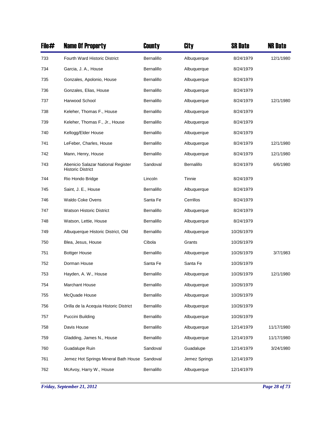| File# | <b>Name Of Property</b>                                        | County     | City          | SR Date    | <b>NR Date</b> |
|-------|----------------------------------------------------------------|------------|---------------|------------|----------------|
| 733   | Fourth Ward Historic District                                  | Bernalillo | Albuquerque   | 8/24/1979  | 12/1/1980      |
| 734   | Garcia, J. A., House                                           | Bernalillo | Albuquerque   | 8/24/1979  |                |
| 735   | Gonzales, Apolonio, House                                      | Bernalillo | Albuquerque   | 8/24/1979  |                |
| 736   | Gonzales, Elias, House                                         | Bernalillo | Albuquerque   | 8/24/1979  |                |
| 737   | Harwood School                                                 | Bernalillo | Albuquerque   | 8/24/1979  | 12/1/1980      |
| 738   | Keleher, Thomas F., House                                      | Bernalillo | Albuquerque   | 8/24/1979  |                |
| 739   | Keleher, Thomas F., Jr., House                                 | Bernalillo | Albuquerque   | 8/24/1979  |                |
| 740   | Kellogg/Elder House                                            | Bernalillo | Albuquerque   | 8/24/1979  |                |
| 741   | LeFeber, Charles, House                                        | Bernalillo | Albuquerque   | 8/24/1979  | 12/1/1980      |
| 742   | Mann, Henry, House                                             | Bernalillo | Albuquerque   | 8/24/1979  | 12/1/1980      |
| 743   | Abenicio Salazar National Register<br><b>Historic District</b> | Sandoval   | Bernalillo    | 8/24/1979  | 6/6/1980       |
| 744   | Rio Hondo Bridge                                               | Lincoln    | Tinnie        | 8/24/1979  |                |
| 745   | Saint, J. E., House                                            | Bernalillo | Albuquerque   | 8/24/1979  |                |
| 746   | Waldo Coke Ovens                                               | Santa Fe   | Cerrillos     | 8/24/1979  |                |
| 747   | <b>Watson Historic District</b>                                | Bernalillo | Albuquerque   | 8/24/1979  |                |
| 748   | Watson, Lettie, House                                          | Bernalillo | Albuquerque   | 8/24/1979  |                |
| 749   | Albuquerque Historic District, Old                             | Bernalillo | Albuquerque   | 10/26/1979 |                |
| 750   | Blea, Jesus, House                                             | Cibola     | Grants        | 10/26/1979 |                |
| 751   | <b>Bottger House</b>                                           | Bernalillo | Albuquerque   | 10/26/1979 | 3/7/1983       |
| 752   | Dorman House                                                   | Santa Fe   | Santa Fe      | 10/26/1979 |                |
| 753   | Hayden, A. W., House                                           | Bernalillo | Albuquerque   | 10/26/1979 | 12/1/1980      |
| 754   | Marchant House                                                 | Bernalillo | Albuquerque   | 10/26/1979 |                |
| 755   | McQuade House                                                  | Bernalillo | Albuquerque   | 10/26/1979 |                |
| 756   | Orilla de la Acequia Historic District                         | Bernalillo | Albuquerque   | 10/26/1979 |                |
| 757   | Puccini Building                                               | Bernalillo | Albuquerque   | 10/26/1979 |                |
| 758   | Davis House                                                    | Bernalillo | Albuquerque   | 12/14/1979 | 11/17/1980     |
| 759   | Gladding, James N., House                                      | Bernalillo | Albuquerque   | 12/14/1979 | 11/17/1980     |
| 760   | Guadalupe Ruin                                                 | Sandoval   | Guadalupe     | 12/14/1979 | 3/24/1980      |
| 761   | Jemez Hot Springs Mineral Bath House                           | Sandoval   | Jemez Springs | 12/14/1979 |                |
| 762   | McAvoy, Harry W., House                                        | Bernalillo | Albuquerque   | 12/14/1979 |                |

*Friday, September 21, 2012 Page 28 of 73*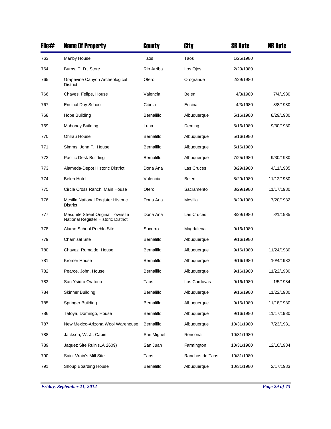| File# | <b>Name Of Property</b>                                                  | County            | City            | <b>SR Date</b> | <b>NR Date</b> |
|-------|--------------------------------------------------------------------------|-------------------|-----------------|----------------|----------------|
| 763   | Manby House                                                              | Taos              | Taos            | 1/25/1980      |                |
| 764   | Burns, T. D., Store                                                      | Rio Arriba        | Los Ojos        | 2/29/1980      |                |
| 765   | Grapevine Canyon Archeological<br><b>District</b>                        | Otero             | Orogrande       | 2/29/1980      |                |
| 766   | Chaves, Felipe, House                                                    | Valencia          | <b>Belen</b>    | 4/3/1980       | 7/4/1980       |
| 767   | <b>Encinal Day School</b>                                                | Cibola            | Encinal         | 4/3/1980       | 8/8/1980       |
| 768   | Hope Building                                                            | Bernalillo        | Albuquerque     | 5/16/1980      | 8/29/1980      |
| 769   | Mahoney Building                                                         | Luna              | Deming          | 5/16/1980      | 9/30/1980      |
| 770   | Ohlrau House                                                             | Bernalillo        | Albuquerque     | 5/16/1980      |                |
| 771   | Simms, John F., House                                                    | Bernalillo        | Albuquerque     | 5/16/1980      |                |
| 772   | Pacific Desk Building                                                    | Bernalillo        | Albuquerque     | 7/25/1980      | 9/30/1980      |
| 773   | Alameda-Depot Historic District                                          | Dona Ana          | Las Cruces      | 8/29/1980      | 4/11/1985      |
| 774   | <b>Belen Hotel</b>                                                       | Valencia          | Belen           | 8/29/1980      | 11/12/1980     |
| 775   | Circle Cross Ranch, Main House                                           | Otero             | Sacramento      | 8/29/1980      | 11/17/1980     |
| 776   | Mesilla National Register Historic<br><b>District</b>                    | Dona Ana          | Mesilla         | 8/29/1980      | 7/20/1982      |
| 777   | Mesquite Street Original Townsite<br>National Register Historic District | Dona Ana          | Las Cruces      | 8/29/1980      | 8/1/1985       |
| 778   | Alamo School Pueblo Site                                                 | Socorro           | Magdalena       | 9/16/1980      |                |
| 779   | <b>Chamisal Site</b>                                                     | Bernalillo        | Albuquerque     | 9/16/1980      |                |
| 780   | Chavez, Rumaldo, House                                                   | Bernalillo        | Albuquerque     | 9/16/1980      | 11/24/1980     |
| 781   | Kromer House                                                             | Bernalillo        | Albuquerque     | 9/16/1980      | 10/4/1982      |
| 782   | Pearce, John, House                                                      | <b>Bernalillo</b> | Albuquerque     | 9/16/1980      | 11/22/1980     |
| 783   | San Ysidro Oratorio                                                      | Taos              | Los Cordovas    | 9/16/1980      | 1/5/1984       |
| 784   | <b>Skinner Building</b>                                                  | Bernalillo        | Albuquerque     | 9/16/1980      | 11/22/1980     |
| 785   | Springer Building                                                        | Bernalillo        | Albuquerque     | 9/16/1980      | 11/18/1980     |
| 786   | Tafoya, Domingo, House                                                   | Bernalillo        | Albuquerque     | 9/16/1980      | 11/17/1980     |
| 787   | New Mexico-Arizona Wool Warehouse                                        | Bernalillo        | Albuquerque     | 10/31/1980     | 7/23/1981      |
| 788   | Jackson, W. J., Cabin                                                    | San Miguel        | Rencona         | 10/31/1980     |                |
| 789   | Jaquez Site Ruin (LA 2609)                                               | San Juan          | Farmington      | 10/31/1980     | 12/10/1984     |
| 790   | Saint Vrain's Mill Site                                                  | Taos              | Ranchos de Taos | 10/31/1980     |                |
| 791   | Shoup Boarding House                                                     | Bernalillo        | Albuquerque     | 10/31/1980     | 2/17/1983      |

*Friday, September 21, 2012 Page 29 of 73*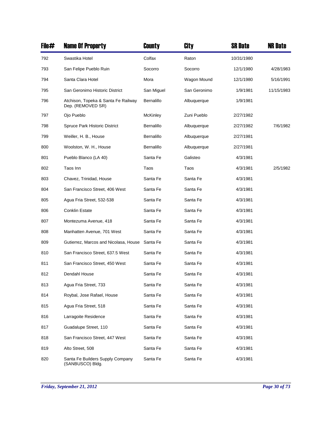| File# | <b>Name Of Property</b>                                  | County     | City         | <b>SR Date</b> | <b>NR Date</b> |
|-------|----------------------------------------------------------|------------|--------------|----------------|----------------|
| 792   | Swastika Hotel                                           | Colfax     | Raton        | 10/31/1980     |                |
| 793   | San Felipe Pueblo Ruin                                   | Socorro    | Socorro      | 12/1/1980      | 4/28/1983      |
| 794   | Santa Clara Hotel                                        | Mora       | Wagon Mound  | 12/1/1980      | 5/16/1991      |
| 795   | San Geronimo Historic District                           | San Miguel | San Geronimo | 1/9/1981       | 11/15/1983     |
| 796   | Atchison, Topeka & Santa Fe Railway<br>Dep. (REMOVED SR) | Bernalillo | Albuquerque  | 1/9/1981       |                |
| 797   | Ojo Pueblo                                               | McKinley   | Zuni Pueblo  | 2/27/1982      |                |
| 798   | Spruce Park Historic District                            | Bernalillo | Albuquerque  | 2/27/1982      | 7/6/1982       |
| 799   | Weiller, H. B., House                                    | Bernalillo | Albuquerque  | 2/27/1981      |                |
| 800   | Woolston, W. H., House                                   | Bernalillo | Albuquerque  | 2/27/1981      |                |
| 801   | Pueblo Blanco (LA 40)                                    | Santa Fe   | Galisteo     | 4/3/1981       |                |
| 802   | Taos Inn                                                 | Taos       | Taos         | 4/3/1981       | 2/5/1982       |
| 803   | Chavez, Trinidad, House                                  | Santa Fe   | Santa Fe     | 4/3/1981       |                |
| 804   | San Francisco Street, 406 West                           | Santa Fe   | Santa Fe     | 4/3/1981       |                |
| 805   | Agua Fria Street, 532-538                                | Santa Fe   | Santa Fe     | 4/3/1981       |                |
| 806   | <b>Conklin Estate</b>                                    | Santa Fe   | Santa Fe     | 4/3/1981       |                |
| 807   | Montezuma Avenue, 418                                    | Santa Fe   | Santa Fe     | 4/3/1981       |                |
| 808   | Manhatten Avenue, 701 West                               | Santa Fe   | Santa Fe     | 4/3/1981       |                |
| 809   | Gutierrez, Marcos and Nicolasa, House                    | Santa Fe   | Santa Fe     | 4/3/1981       |                |
| 810   | San Francisco Street, 637.5 West                         | Santa Fe   | Santa Fe     | 4/3/1981       |                |
| 811   | San Francisco Street, 450 West                           | Santa Fe   | Santa Fe     | 4/3/1981       |                |
| 812   | Dendahl House                                            | Santa Fe   | Santa Fe     | 4/3/1981       |                |
| 813   | Agua Fria Street, 733                                    | Santa Fe   | Santa Fe     | 4/3/1981       |                |
| 814   | Roybal, Jose Rafael, House                               | Santa Fe   | Santa Fe     | 4/3/1981       |                |
| 815   | Agua Fria Street, 518                                    | Santa Fe   | Santa Fe     | 4/3/1981       |                |
| 816   | Larragoite Residence                                     | Santa Fe   | Santa Fe     | 4/3/1981       |                |
| 817   | Guadalupe Street, 110                                    | Santa Fe   | Santa Fe     | 4/3/1981       |                |
| 818   | San Francisco Street, 447 West                           | Santa Fe   | Santa Fe     | 4/3/1981       |                |
| 819   | Alto Street, 508                                         | Santa Fe   | Santa Fe     | 4/3/1981       |                |
| 820   | Santa Fe Builders Supply Company<br>(SANBUSCO) Bldg.     | Santa Fe   | Santa Fe     | 4/3/1981       |                |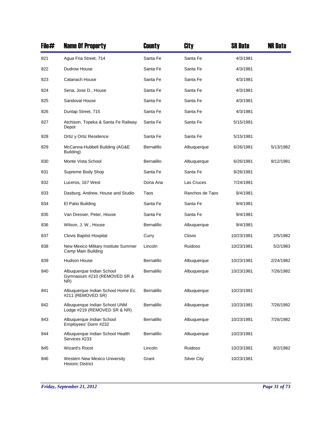| File# | <b>Name Of Property</b>                                          | County     | City               | <b>SR Date</b> | <b>NR Date</b> |
|-------|------------------------------------------------------------------|------------|--------------------|----------------|----------------|
| 821   | Agua Fria Street, 714                                            | Santa Fe   | Santa Fe           | 4/3/1981       |                |
| 822   | Dudrow House                                                     | Santa Fe   | Santa Fe           | 4/3/1981       |                |
| 823   | Catanach House                                                   | Santa Fe   | Santa Fe           | 4/3/1981       |                |
| 824   | Sena, Jose D., House                                             | Santa Fe   | Santa Fe           | 4/3/1981       |                |
| 825   | Sandoval House                                                   | Santa Fe   | Santa Fe           | 4/3/1981       |                |
| 826   | Dunlap Street, 715                                               | Santa Fe   | Santa Fe           | 4/3/1981       |                |
| 827   | Atchison, Topeka & Santa Fe Railway<br>Depot                     | Santa Fe   | Santa Fe           | 5/15/1981      |                |
| 828   | Ortiz y Ortiz Residence                                          | Santa Fe   | Santa Fe           | 5/15/1981      |                |
| 829   | McCanna-Hubbell Building (AG&E<br>Building)                      | Bernalillo | Albuquerque        | 6/26/1981      | 5/13/1982      |
| 830   | Monte Vista School                                               | Bernalillo | Albuquerque        | 6/26/1981      | 8/12/1981      |
| 831   | Supreme Body Shop                                                | Santa Fe   | Santa Fe           | 6/26/1981      |                |
| 832   | Luceros, 167 West                                                | Dona Ana   | Las Cruces         | 7/24/1981      |                |
| 833   | Dasburg, Andrew, House and Studio                                | Taos       | Ranchos de Taos    | 9/4/1981       |                |
| 834   | El Patio Building                                                | Santa Fe   | Santa Fe           | 9/4/1981       |                |
| 835   | Van Dresser, Peter, House                                        | Santa Fe   | Santa Fe           | 9/4/1981       |                |
| 836   | Wilson, J. W., House                                             | Bernalillo | Albuquerque        | 9/4/1981       |                |
| 837   | Clovis Baptist Hospital                                          | Curry      | Clovis             | 10/23/1981     | 2/5/1982       |
| 838   | New Mexico Military Institute Summer<br>Camp Main Building       | Lincoln    | Ruidoso            | 10/23/1981     | 5/2/1983       |
| 839   | <b>Hudson House</b>                                              | Bernalillo | Albuquerque        | 10/23/1981     | 2/24/1982      |
| 840   | Albuquerque Indian School<br>Gymnasium #210 (REMOVED SR &<br>NR) | Bernalillo | Albuquerque        | 10/23/1981     | 7/26/1982      |
| 841   | Albuquerque Indian School Home Ec.<br>#211 (REMOVED SR)          | Bernalillo | Albuquerque        | 10/23/1981     |                |
| 842   | Albuquerque Indian School UNM<br>Lodge #219 (REMOVED SR & NR)    | Bernalillo | Albuquerque        | 10/23/1981     | 7/26/1982      |
| 843   | Albuquerque Indian School<br>Employees' Dorm #232                | Bernalillo | Albuquerque        | 10/23/1981     | 7/26/1982      |
| 844   | Albuquerque Indian School Health<br>Services #233                | Bernalillo | Albuquerque        | 10/23/1981     |                |
| 845   | Wizard's Roost                                                   | Lincoln    | Ruidoso            | 10/23/1981     | 8/2/1982       |
| 846   | Western New Mexico University<br><b>Historic District</b>        | Grant      | <b>Silver City</b> | 10/23/1981     |                |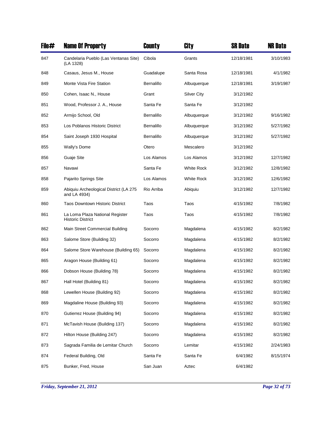| File# | <b>Name Of Property</b>                                     | County     | City               | <b>SR Date</b> | <b>NR Date</b> |
|-------|-------------------------------------------------------------|------------|--------------------|----------------|----------------|
| 847   | Candelaria Pueblo (Las Ventanas Site)<br>(LA 1328)          | Cibola     | Grants             | 12/18/1981     | 3/10/1983      |
| 848   | Casaus, Jesus M., House                                     | Guadalupe  | Santa Rosa         | 12/18/1981     | 4/1/1982       |
| 849   | Monte Vista Fire Station                                    | Bernalillo | Albuquerque        | 12/18/1981     | 3/19/1987      |
| 850   | Cohen, Isaac N., House                                      | Grant      | <b>Silver City</b> | 3/12/1982      |                |
| 851   | Wood, Professor J. A., House                                | Santa Fe   | Santa Fe           | 3/12/1982      |                |
| 852   | Armijo School, Old                                          | Bernalillo | Albuquerque        | 3/12/1982      | 9/16/1982      |
| 853   | Los Poblanos Historic District                              | Bernalillo | Albuquerque        | 3/12/1982      | 5/27/1982      |
| 854   | Saint Joseph 1930 Hospital                                  | Bernalillo | Albuquerque        | 3/12/1982      | 5/27/1982      |
| 855   | Wally's Dome                                                | Otero      | Mescalero          | 3/12/1982      |                |
| 856   | Guaje Site                                                  | Los Alamos | Los Alamos         | 3/12/1982      | 12/7/1982      |
| 857   | Navawi                                                      | Santa Fe   | White Rock         | 3/12/1982      | 12/8/1982      |
| 858   | Pajarito Springs Site                                       | Los Alamos | <b>White Rock</b>  | 3/12/1982      | 12/6/1982      |
| 859   | Abiquiu Archeological District (LA 275<br>and LA 4934)      | Rio Arriba | Abiquiu            | 3/12/1982      | 12/7/1982      |
| 860   | <b>Taos Downtown Historic District</b>                      | Taos       | Taos               | 4/15/1982      | 7/8/1982       |
| 861   | La Loma Plaza National Register<br><b>Historic District</b> | Taos       | Taos               | 4/15/1982      | 7/8/1982       |
| 862   | Main Street Commercial Building                             | Socorro    | Magdalena          | 4/15/1982      | 8/2/1982       |
| 863   | Salome Store (Building 32)                                  | Socorro    | Magdalena          | 4/15/1982      | 8/2/1982       |
| 864   | Salome Store Warehouse (Building 65)                        | Socorro    | Magdalena          | 4/15/1982      | 8/2/1982       |
| 865   | Aragon House (Building 61)                                  | Socorro    | Magdalena          | 4/15/1982      | 8/2/1982       |
| 866   | Dobson House (Building 78)                                  | Socorro    | Magdalena          | 4/15/1982      | 8/2/1982       |
| 867   | Hall Hotel (Building 81)                                    | Socorro    | Magdalena          | 4/15/1982      | 8/2/1982       |
| 868   | Lewellen House (Building 92)                                | Socorro    | Magdalena          | 4/15/1982      | 8/2/1982       |
| 869   | Magdaline House (Building 93)                               | Socorro    | Magdalena          | 4/15/1982      | 8/2/1982       |
| 870   | Gutierrez House (Building 94)                               | Socorro    | Magdalena          | 4/15/1982      | 8/2/1982       |
| 871   | McTavish House (Building 137)                               | Socorro    | Magdalena          | 4/15/1982      | 8/2/1982       |
| 872   | Hilton House (Building 247)                                 | Socorro    | Magdalena          | 4/15/1982      | 8/2/1982       |
| 873   | Sagrada Familia de Lemitar Church                           | Socorro    | Lemitar            | 4/15/1982      | 2/24/1983      |
| 874   | Federal Building, Old                                       | Santa Fe   | Santa Fe           | 6/4/1982       | 8/15/1974      |
| 875   | Bunker, Fred, House                                         | San Juan   | Aztec              | 6/4/1982       |                |

*Friday, September 21, 2012 Page 32 of 73*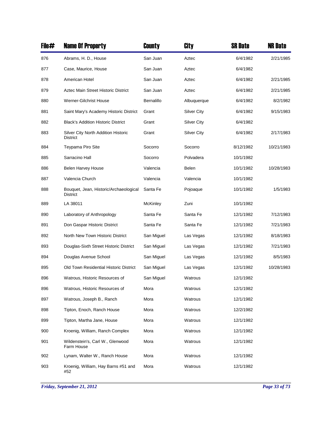| File# | <b>Name Of Property</b>                                   | County     | <b>City</b>        | <b>SR Date</b> | <b>NR Date</b> |
|-------|-----------------------------------------------------------|------------|--------------------|----------------|----------------|
| 876   | Abrams, H. D., House                                      | San Juan   | Aztec              | 6/4/1982       | 2/21/1985      |
| 877   | Case, Maurice, House                                      | San Juan   | Aztec              | 6/4/1982       |                |
| 878   | American Hotel                                            | San Juan   | Aztec              | 6/4/1982       | 2/21/1985      |
| 879   | Aztec Main Street Historic District                       | San Juan   | Aztec              | 6/4/1982       | 2/21/1985      |
| 880   | Werner-Gilchrist House                                    | Bernalillo | Albuquerque        | 6/4/1982       | 8/2/1982       |
| 881   | Saint Mary's Academy Historic District                    | Grant      | Silver City        | 6/4/1982       | 9/15/1983      |
| 882   | <b>Black's Addition Historic District</b>                 | Grant      | Silver City        | 6/4/1982       |                |
| 883   | Silver City North Addition Historic<br><b>District</b>    | Grant      | <b>Silver City</b> | 6/4/1982       | 2/17/1983      |
| 884   | Teypama Piro Site                                         | Socorro    | Socorro            | 8/12/1982      | 10/21/1983     |
| 885   | Sarracino Hall                                            | Socorro    | Polvadera          | 10/1/1982      |                |
| 886   | <b>Belen Harvey House</b>                                 | Valencia   | Belen              | 10/1/1982      | 10/28/1983     |
| 887   | Valencia Church                                           | Valencia   | Valencia           | 10/1/1982      |                |
| 888   | Bouquet, Jean, Historic/Archaeological<br><b>District</b> | Santa Fe   | Pojoaque           | 10/1/1982      | 1/5/1983       |
| 889   | LA 38011                                                  | McKinley   | Zuni               | 10/1/1982      |                |
| 890   | Laboratory of Anthropology                                | Santa Fe   | Santa Fe           | 12/1/1982      | 7/12/1983      |
| 891   | Don Gaspar Historic District                              | Santa Fe   | Santa Fe           | 12/1/1982      | 7/21/1983      |
| 892   | North New Town Historic District                          | San Miguel | Las Vegas          | 12/1/1982      | 8/18/1983      |
| 893   | Douglas-Sixth Street Historic District                    | San Miguel | Las Vegas          | 12/1/1982      | 7/21/1983      |
| 894   | Douglas Avenue School                                     | San Miguel | Las Vegas          | 12/1/1982      | 8/5/1983       |
| 895   | Old Town Residential Historic District                    | San Miguel | Las Vegas          | 12/1/1982      | 10/28/1983     |
| 896   | Watrous, Historic Resources of                            | San Miguel | Watrous            | 12/1/1982      |                |
| 896   | Watrous, Historic Resources of                            | Mora       | Watrous            | 12/1/1982      |                |
| 897   | Watrous, Joseph B., Ranch                                 | Mora       | Watrous            | 12/1/1982      |                |
| 898   | Tipton, Enoch, Ranch House                                | Mora       | Watrous            | 12/2/1982      |                |
| 899   | Tipton, Martha Jane, House                                | Mora       | Watrous            | 12/1/1982      |                |
| 900   | Kroenig, William, Ranch Complex                           | Mora       | Watrous            | 12/1/1982      |                |
| 901   | Wildenstein's, Carl W., Glenwood<br>Farm House            | Mora       | Watrous            | 12/1/1982      |                |
| 902   | Lynam, Walter W., Ranch House                             | Mora       | Watrous            | 12/1/1982      |                |
| 903   | Kroenig, William, Hay Barns #51 and<br>#52                | Mora       | Watrous            | 12/1/1982      |                |

*Friday, September 21, 2012 Page 33 of 73*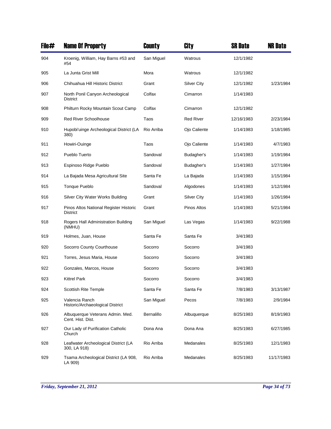| File# | <b>Name Of Property</b>                                   | County     | City               | <b>SR Date</b> | <b>NR Date</b> |
|-------|-----------------------------------------------------------|------------|--------------------|----------------|----------------|
| 904   | Kroenig, William, Hay Barns #53 and<br>#54                | San Miguel | Watrous            | 12/1/1982      |                |
| 905   | La Junta Grist Mill                                       | Mora       | Watrous            | 12/1/1982      |                |
| 906   | Chihuahua Hill Historic District                          | Grant      | Silver City        | 12/1/1982      | 1/23/1984      |
| 907   | North Ponil Canyon Archeological<br><b>District</b>       | Colfax     | Cimarron           | 1/14/1983      |                |
| 908   | Philturn Rocky Mountain Scout Camp                        | Colfax     | Cimarron           | 12/1/1982      |                |
| 909   | <b>Red River Schoolhouse</b>                              | Taos       | <b>Red River</b>   | 12/16/1983     | 2/23/1984      |
| 910   | Hupobi'uinge Archeological District (LA<br>380)           | Rio Arriba | Ojo Caliente       | 1/14/1983      | 1/18/1985      |
| 911   | Howiri-Ouinge                                             | Taos       | Ojo Caliente       | 1/14/1983      | 4/7/1983       |
| 912   | Pueblo Tuerto                                             | Sandoval   | Budagher's         | 1/14/1983      | 1/19/1984      |
| 913   | Espinoso Ridge Pueblo                                     | Sandoval   | Budagher's         | 1/14/1983      | 1/27/1984      |
| 914   | La Bajada Mesa Agricultural Site                          | Santa Fe   | La Bajada          | 1/14/1983      | 1/15/1984      |
| 915   | <b>Tonque Pueblo</b>                                      | Sandoval   | Algodones          | 1/14/1983      | 1/12/1984      |
| 916   | Silver City Water Works Building                          | Grant      | <b>Silver City</b> | 1/14/1983      | 1/26/1984      |
| 917   | Pinos Altos National Register Historic<br><b>District</b> | Grant      | Pinos Altos        | 1/14/1983      | 5/21/1984      |
| 918   | Rogers Hall Administration Building<br>(NMHU)             | San Miguel | Las Vegas          | 1/14/1983      | 9/22/1988      |
| 919   | Holmes, Juan, House                                       | Santa Fe   | Santa Fe           | 3/4/1983       |                |
| 920   | Socorro County Courthouse                                 | Socorro    | Socorro            | 3/4/1983       |                |
| 921   | Torres, Jesus Maria, House                                | Socorro    | Socorro            | 3/4/1983       |                |
| 922   | Gonzales, Marcos, House                                   | Socorro    | Socorro            | 3/4/1983       |                |
| 923   | <b>Kittrel Park</b>                                       | Socorro    | Socorro            | 3/4/1983       |                |
| 924   | Scottish Rite Temple                                      | Santa Fe   | Santa Fe           | 7/8/1983       | 3/13/1987      |
| 925   | Valencia Ranch<br>Historic/Archaeological District        | San Miguel | Pecos              | 7/8/1983       | 2/9/1984       |
| 926   | Albuquerque Veterans Admin. Med.<br>Cent. Hist. Dist.     | Bernalillo | Albuquerque        | 8/25/1983      | 8/19/1983      |
| 927   | Our Lady of Purification Catholic<br>Church               | Dona Ana   | Dona Ana           | 8/25/1983      | 6/27/1985      |
| 928   | Leafwater Archeological District (LA<br>300, LA 918)      | Rio Arriba | Medanales          | 8/25/1983      | 12/1/1983      |
| 929   | Tsama Archeological District (LA 908,<br>LA 909)          | Rio Arriba | Medanales          | 8/25/1983      | 11/17/1983     |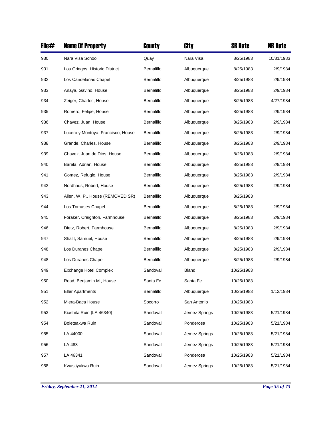| File# | <b>Name Of Property</b>            | County     | City          | <b>SR Date</b> | <b>NR Date</b> |
|-------|------------------------------------|------------|---------------|----------------|----------------|
| 930   | Nara Visa School                   | Quay       | Nara Visa     | 8/25/1983      | 10/31/1983     |
| 931   | Los Griegos Historic District      | Bernalillo | Albuquerque   | 8/25/1983      | 2/9/1984       |
| 932   | Los Candelarias Chapel             | Bernalillo | Albuquerque   | 8/25/1983      | 2/9/1984       |
| 933   | Anaya, Gavino, House               | Bernalillo | Albuquerque   | 8/25/1983      | 2/9/1984       |
| 934   | Zeiger, Charles, House             | Bernalillo | Albuquerque   | 8/25/1983      | 4/27/1984      |
| 935   | Romero, Felipe, House              | Bernalillo | Albuquerque   | 8/25/1983      | 2/9/1984       |
| 936   | Chavez, Juan, House                | Bernalillo | Albuquerque   | 8/25/1983      | 2/9/1984       |
| 937   | Lucero y Montoya, Francisco, House | Bernalillo | Albuquerque   | 8/25/1983      | 2/9/1984       |
| 938   | Grande, Charles, House             | Bernalillo | Albuquerque   | 8/25/1983      | 2/9/1984       |
| 939   | Chavez, Juan de Dios, House        | Bernalillo | Albuquerque   | 8/25/1983      | 2/9/1984       |
| 940   | Barela, Adrian, House              | Bernalillo | Albuquerque   | 8/25/1983      | 2/9/1984       |
| 941   | Gomez, Refugio, House              | Bernalillo | Albuquerque   | 8/25/1983      | 2/9/1984       |
| 942   | Nordhaus, Robert, House            | Bernalillo | Albuquerque   | 8/25/1983      | 2/9/1984       |
| 943   | Allen, W. P., House (REMOVED SR)   | Bernalillo | Albuquerque   | 8/25/1983      |                |
| 944   | Los Tomases Chapel                 | Bernalillo | Albuquerque   | 8/25/1983      | 2/9/1984       |
| 945   | Foraker, Creighton, Farmhouse      | Bernalillo | Albuquerque   | 8/25/1983      | 2/9/1984       |
| 946   | Dietz, Robert, Farmhouse           | Bernalillo | Albuquerque   | 8/25/1983      | 2/9/1984       |
| 947   | Shalit, Samuel, House              | Bernalillo | Albuquerque   | 8/25/1983      | 2/9/1984       |
| 948   | Los Duranes Chapel                 | Bernalillo | Albuquerque   | 8/25/1983      | 2/9/1984       |
| 948   | Los Duranes Chapel                 | Bernalillo | Albuquerque   | 8/25/1983      | 2/9/1984       |
| 949   | <b>Exchange Hotel Complex</b>      | Sandoval   | Bland         | 10/25/1983     |                |
| 950   | Read, Benjamin M., House           | Santa Fe   | Santa Fe      | 10/25/1983     |                |
| 951   | <b>Eller Apartments</b>            | Bernalillo | Albuquerque   | 10/25/1983     | 1/12/1984      |
| 952   | Miera-Baca House                   | Socorro    | San Antonio   | 10/25/1983     |                |
| 953   | Kiashita Ruin (LA 46340)           | Sandoval   | Jemez Springs | 10/25/1983     | 5/21/1984      |
| 954   | Boletsakwa Ruin                    | Sandoval   | Ponderosa     | 10/25/1983     | 5/21/1984      |
| 955   | LA 44000                           | Sandoval   | Jemez Springs | 10/25/1983     | 5/21/1984      |
| 956   | LA 483                             | Sandoval   | Jemez Springs | 10/25/1983     | 5/21/1984      |
| 957   | LA 46341                           | Sandoval   | Ponderosa     | 10/25/1983     | 5/21/1984      |
| 958   | Kwastiyukwa Ruin                   | Sandoval   | Jemez Springs | 10/25/1983     | 5/21/1984      |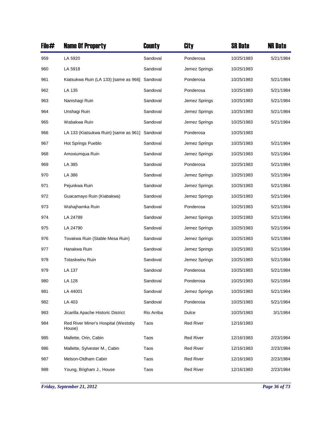| File# | <b>Name Of Property</b>                        | County     | City             | <b>SR Date</b> | <b>NR Date</b> |
|-------|------------------------------------------------|------------|------------------|----------------|----------------|
| 959   | LA 5920                                        | Sandoval   | Ponderosa        | 10/25/1983     | 5/21/1984      |
| 960   | LA 5918                                        | Sandoval   | Jemez Springs    | 10/25/1983     |                |
| 961   | Kiatsukwa Ruin (LA 133) [same as 966] Sandoval |            | Ponderosa        | 10/25/1983     | 5/21/1984      |
| 962   | LA 135                                         | Sandoval   | Ponderosa        | 10/25/1983     | 5/21/1984      |
| 963   | Nanishagi Ruin                                 | Sandoval   | Jemez Springs    | 10/25/1983     | 5/21/1984      |
| 964   | Unshagi Ruin                                   | Sandoval   | Jemez Springs    | 10/25/1983     | 5/21/1984      |
| 965   | Wabakwa Ruin                                   | Sandoval   | Jemez Springs    | 10/25/1983     | 5/21/1984      |
| 966   | LA 133 (Kiatsukwa Ruin) [same as 961]          | Sandoval   | Ponderosa        | 10/25/1983     |                |
| 967   | Hot Springs Pueblo                             | Sandoval   | Jemez Springs    | 10/25/1983     | 5/21/1984      |
| 968   | Amoxiumqua Ruin                                | Sandoval   | Jemez Springs    | 10/25/1983     | 5/21/1984      |
| 969   | LA 385                                         | Sandoval   | Ponderosa        | 10/25/1983     | 5/21/1984      |
| 970   | LA 386                                         | Sandoval   | Jemez Springs    | 10/25/1983     | 5/21/1984      |
| 971   | Pejunkwa Ruin                                  | Sandoval   | Jemez Springs    | 10/25/1983     | 5/21/1984      |
| 972   | Guacamayo Ruin (Kiabakwa)                      | Sandoval   | Jemez Springs    | 10/25/1983     | 5/21/1984      |
| 973   | Wahajhamka Ruin                                | Sandoval   | Ponderosa        | 10/25/1983     | 5/21/1984      |
| 974   | LA 24789                                       | Sandoval   | Jemez Springs    | 10/25/1983     | 5/21/1984      |
| 975   | LA 24790                                       | Sandoval   | Jemez Springs    | 10/25/1983     | 5/21/1984      |
| 976   | Tovakwa Ruin (Stable Mesa Ruin)                | Sandoval   | Jemez Springs    | 10/25/1983     | 5/21/1984      |
| 977   | Hanakwa Ruin                                   | Sandoval   | Jemez Springs    | 10/25/1983     | 5/21/1984      |
| 978   | <b>Totaskwinu Ruin</b>                         | Sandoval   | Jemez Springs    | 10/25/1983     | 5/21/1984      |
| 979   | LA 137                                         | Sandoval   | Ponderosa        | 10/25/1983     | 5/21/1984      |
| 980   | LA 128                                         | Sandoval   | Ponderosa        | 10/25/1983     | 5/21/1984      |
| 981   | LA 44001                                       | Sandoval   | Jemez Springs    | 10/25/1983     | 5/21/1984      |
| 982   | LA 403                                         | Sandoval   | Ponderosa        | 10/25/1983     | 5/21/1984      |
| 983   | Jicarilla Apache Historic District             | Rio Arriba | Dulce            | 10/25/1983     | 3/1/1984       |
| 984   | Red River Miner's Hospital (Westoby<br>House)  | Taos       | <b>Red River</b> | 12/16/1983     |                |
| 985   | Mallette, Orin, Cabin                          | Taos       | <b>Red River</b> | 12/16/1983     | 2/23/1984      |
| 986   | Mallette, Sylvester M., Cabin                  | Taos       | <b>Red River</b> | 12/16/1983     | 2/23/1984      |
| 987   | Melson-Oldham Cabin                            | Taos       | <b>Red River</b> | 12/16/1983     | 2/23/1984      |
| 988   | Young, Brigham J., House                       | Taos       | <b>Red River</b> | 12/16/1983     | 2/23/1984      |

*Friday, September 21, 2012 Page 36 of 73*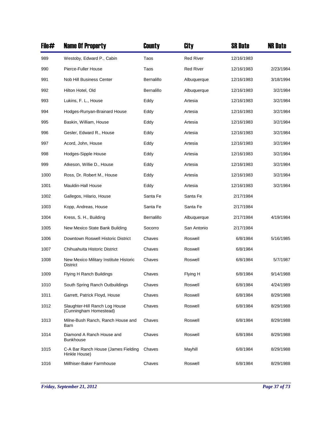| File# | <b>Name Of Property</b>                                   | County     | City             | <b>SR Date</b> | <b>NR Date</b> |
|-------|-----------------------------------------------------------|------------|------------------|----------------|----------------|
| 989   | Westoby, Edward P., Cabin                                 | Taos       | <b>Red River</b> | 12/16/1983     |                |
| 990   | Pierce-Fuller House                                       | Taos       | <b>Red River</b> | 12/16/1983     | 2/23/1984      |
| 991   | Nob Hill Business Center                                  | Bernalillo | Albuquerque      | 12/16/1983     | 3/18/1994      |
| 992   | Hilton Hotel, Old                                         | Bernalillo | Albuquerque      | 12/16/1983     | 3/2/1984       |
| 993   | Lukins, F. L., House                                      | Eddy       | Artesia          | 12/16/1983     | 3/2/1984       |
| 994   | Hodges-Runyan-Brainard House                              | Eddy       | Artesia          | 12/16/1983     | 3/2/1984       |
| 995   | Baskin, William, House                                    | Eddy       | Artesia          | 12/16/1983     | 3/2/1984       |
| 996   | Gesler, Edward R., House                                  | Eddy       | Artesia          | 12/16/1983     | 3/2/1984       |
| 997   | Acord, John, House                                        | Eddy       | Artesia          | 12/16/1983     | 3/2/1984       |
| 998   | Hodges-Sipple House                                       | Eddy       | Artesia          | 12/16/1983     | 3/2/1984       |
| 999   | Atkeson, Willie D., House                                 | Eddy       | Artesia          | 12/16/1983     | 3/2/1984       |
| 1000  | Ross, Dr. Robert M., House                                | Eddy       | Artesia          | 12/16/1983     | 3/2/1984       |
| 1001  | Mauldin-Hall House                                        | Eddy       | Artesia          | 12/16/1983     | 3/2/1984       |
| 1002  | Gallegos, Hilario, House                                  | Santa Fe   | Santa Fe         | 2/17/1984      |                |
| 1003  | Kopp, Andreas, House                                      | Santa Fe   | Santa Fe         | 2/17/1984      |                |
| 1004  | Kress, S. H., Building                                    | Bernalillo | Albuquerque      | 2/17/1984      | 4/19/1984      |
| 1005  | New Mexico State Bank Building                            | Socorro    | San Antonio      | 2/17/1984      |                |
| 1006  | Downtown Roswell Historic District                        | Chaves     | Roswell          | 6/8/1984       | 5/16/1985      |
| 1007  | Chihuahuita Historic District                             | Chaves     | Roswell          | 6/8/1984       |                |
| 1008  | New Mexico Military Institute Historic<br><b>District</b> | Chaves     | Roswell          | 6/8/1984       | 5/7/1987       |
| 1009  | Flying H Ranch Buildings                                  | Chaves     | Flying H         | 6/8/1984       | 9/14/1988      |
| 1010  | South Spring Ranch Outbuildings                           | Chaves     | Roswell          | 6/8/1984       | 4/24/1989      |
| 1011  | Garrett, Patrick Floyd, House                             | Chaves     | Roswell          | 6/8/1984       | 8/29/1988      |
| 1012  | Slaughter-Hill Ranch Log House<br>(Cunningham Homestead)  | Chaves     | Roswell          | 6/8/1984       | 8/29/1988      |
| 1013  | Milne-Bush Ranch, Ranch House and<br>Barn                 | Chaves     | Roswell          | 6/8/1984       | 8/29/1988      |
| 1014  | Diamond A Ranch House and<br><b>Bunkhouse</b>             | Chaves     | Roswell          | 6/8/1984       | 8/29/1988      |
| 1015  | C-A Bar Ranch House (James Fielding<br>Hinkle House)      | Chaves     | Mayhill          | 6/8/1984       | 8/29/1988      |
| 1016  | Millhiser-Baker Farmhouse                                 | Chaves     | Roswell          | 6/8/1984       | 8/29/1988      |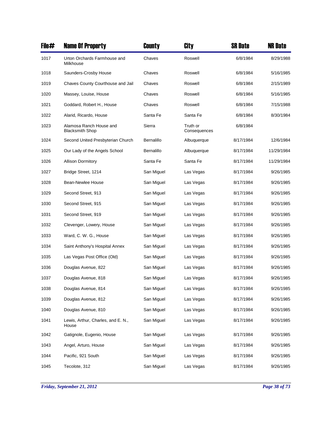| File# | <b>Name Of Property</b>                           | County     | City                     | <b>SR Date</b> | <b>NR Date</b> |
|-------|---------------------------------------------------|------------|--------------------------|----------------|----------------|
| 1017  | Urton Orchards Farmhouse and<br>Milkhouse         | Chaves     | Roswell                  | 6/8/1984       | 8/29/1988      |
| 1018  | Saunders-Crosby House                             | Chaves     | Roswell                  | 6/8/1984       | 5/16/1985      |
| 1019  | Chaves County Courthouse and Jail                 | Chaves     | Roswell                  | 6/8/1984       | 2/15/1989      |
| 1020  | Massey, Louise, House                             | Chaves     | Roswell                  | 6/8/1984       | 5/16/1985      |
| 1021  | Goddard, Robert H., House                         | Chaves     | Roswell                  | 6/8/1984       | 7/15/1988      |
| 1022  | Alarid, Ricardo, House                            | Santa Fe   | Santa Fe                 | 6/8/1984       | 8/30/1984      |
| 1023  | Alamosa Ranch House and<br><b>Blacksmith Shop</b> | Sierra     | Truth or<br>Consequences | 6/8/1984       |                |
| 1024  | Second United Presbyterian Church                 | Bernalillo | Albuquerque              | 8/17/1984      | 12/6/1984      |
| 1025  | Our Lady of the Angels School                     | Bernalillo | Albuquerque              | 8/17/1984      | 11/29/1984     |
| 1026  | <b>Allison Dormitory</b>                          | Santa Fe   | Santa Fe                 | 8/17/1984      | 11/29/1984     |
| 1027  | Bridge Street, 1214                               | San Miguel | Las Vegas                | 8/17/1984      | 9/26/1985      |
| 1028  | <b>Bean-Newlee House</b>                          | San Miguel | Las Vegas                | 8/17/1984      | 9/26/1985      |
| 1029  | Second Street, 913                                | San Miguel | Las Vegas                | 8/17/1984      | 9/26/1985      |
| 1030  | Second Street, 915                                | San Miguel | Las Vegas                | 8/17/1984      | 9/26/1985      |
| 1031  | Second Street, 919                                | San Miguel | Las Vegas                | 8/17/1984      | 9/26/1985      |
| 1032  | Clevenger, Lowery, House                          | San Miguel | Las Vegas                | 8/17/1984      | 9/26/1985      |
| 1033  | Ward, C. W. G., House                             | San Miguel | Las Vegas                | 8/17/1984      | 9/26/1985      |
| 1034  | Saint Anthony's Hospital Annex                    | San Miguel | Las Vegas                | 8/17/1984      | 9/26/1985      |
| 1035  | Las Vegas Post Office (Old)                       | San Miguel | Las Vegas                | 8/17/1984      | 9/26/1985      |
| 1036  | Douglas Avenue, 822                               | San Miguel | Las Vegas                | 8/17/1984      | 9/26/1985      |
| 1037  | Douglas Avenue, 818                               | San Miguel | Las Vegas                | 8/17/1984      | 9/26/1985      |
| 1038  | Douglas Avenue, 814                               | San Miguel | Las Vegas                | 8/17/1984      | 9/26/1985      |
| 1039  | Douglas Avenue, 812                               | San Miguel | Las Vegas                | 8/17/1984      | 9/26/1985      |
| 1040  | Douglas Avenue, 810                               | San Miguel | Las Vegas                | 8/17/1984      | 9/26/1985      |
| 1041  | Lewis, Arthur, Charles, and E. N.,<br>House       | San Miguel | Las Vegas                | 8/17/1984      | 9/26/1985      |
| 1042  | Gatignole, Eugenio, House                         | San Miguel | Las Vegas                | 8/17/1984      | 9/26/1985      |
| 1043  | Angel, Arturo, House                              | San Miguel | Las Vegas                | 8/17/1984      | 9/26/1985      |
| 1044  | Pacific, 921 South                                | San Miguel | Las Vegas                | 8/17/1984      | 9/26/1985      |
| 1045  | Tecolote, 312                                     | San Miguel | Las Vegas                | 8/17/1984      | 9/26/1985      |

*Friday, September 21, 2012 Page 38 of 73*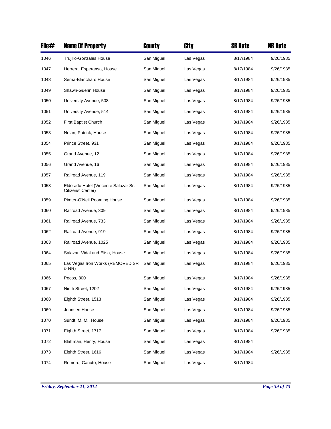| File# | <b>Name Of Property</b>                                   | County     | City      | SR Date   | <b>NR Date</b> |
|-------|-----------------------------------------------------------|------------|-----------|-----------|----------------|
| 1046  | <b>Trujillo-Gonzales House</b>                            | San Miguel | Las Vegas | 8/17/1984 | 9/26/1985      |
| 1047  | Herrera, Esperansa, House                                 | San Miguel | Las Vegas | 8/17/1984 | 9/26/1985      |
| 1048  | Serna-Blanchard House                                     | San Miguel | Las Vegas | 8/17/1984 | 9/26/1985      |
| 1049  | <b>Shawn-Guerin House</b>                                 | San Miguel | Las Vegas | 8/17/1984 | 9/26/1985      |
| 1050  | University Avenue, 508                                    | San Miguel | Las Vegas | 8/17/1984 | 9/26/1985      |
| 1051  | University Avenue, 514                                    | San Miguel | Las Vegas | 8/17/1984 | 9/26/1985      |
| 1052  | First Baptist Church                                      | San Miguel | Las Vegas | 8/17/1984 | 9/26/1985      |
| 1053  | Nolan, Patrick, House                                     | San Miguel | Las Vegas | 8/17/1984 | 9/26/1985      |
| 1054  | Prince Street, 931                                        | San Miguel | Las Vegas | 8/17/1984 | 9/26/1985      |
| 1055  | Grand Avenue, 12                                          | San Miguel | Las Vegas | 8/17/1984 | 9/26/1985      |
| 1056  | Grand Avenue, 16                                          | San Miguel | Las Vegas | 8/17/1984 | 9/26/1985      |
| 1057  | Railroad Avenue, 119                                      | San Miguel | Las Vegas | 8/17/1984 | 9/26/1985      |
| 1058  | Eldorado Hotel (Vincente Salazar Sr.<br>Citizens' Center) | San Miguel | Las Vegas | 8/17/1984 | 9/26/1985      |
| 1059  | Pimter-O'Neil Rooming House                               | San Miguel | Las Vegas | 8/17/1984 | 9/26/1985      |
| 1060  | Railroad Avenue, 309                                      | San Miguel | Las Vegas | 8/17/1984 | 9/26/1985      |
| 1061  | Railroad Avenue, 733                                      | San Miguel | Las Vegas | 8/17/1984 | 9/26/1985      |
| 1062  | Railroad Avenue, 919                                      | San Miguel | Las Vegas | 8/17/1984 | 9/26/1985      |
| 1063  | Railroad Avenue, 1025                                     | San Miguel | Las Vegas | 8/17/1984 | 9/26/1985      |
| 1064  | Salazar, Vidal and Elisa, House                           | San Miguel | Las Vegas | 8/17/1984 | 9/26/1985      |
| 1065  | Las Vegas Iron Works (REMOVED SR<br>& NR)                 | San Miguel | Las Vegas | 8/17/1984 | 9/26/1985      |
| 1066  | Pecos, 800                                                | San Miguel | Las Vegas | 8/17/1984 | 9/26/1985      |
| 1067  | Ninth Street, 1202                                        | San Miguel | Las Vegas | 8/17/1984 | 9/26/1985      |
| 1068  | Eighth Street, 1513                                       | San Miguel | Las Vegas | 8/17/1984 | 9/26/1985      |
| 1069  | Johnsen House                                             | San Miguel | Las Vegas | 8/17/1984 | 9/26/1985      |
| 1070  | Sundt, M. M., House                                       | San Miguel | Las Vegas | 8/17/1984 | 9/26/1985      |
| 1071  | Eighth Street, 1717                                       | San Miguel | Las Vegas | 8/17/1984 | 9/26/1985      |
| 1072  | Blattman, Henry, House                                    | San Miguel | Las Vegas | 8/17/1984 |                |
| 1073  | Eighth Street, 1616                                       | San Miguel | Las Vegas | 8/17/1984 | 9/26/1985      |
| 1074  | Romero, Canuto, House                                     | San Miguel | Las Vegas | 8/17/1984 |                |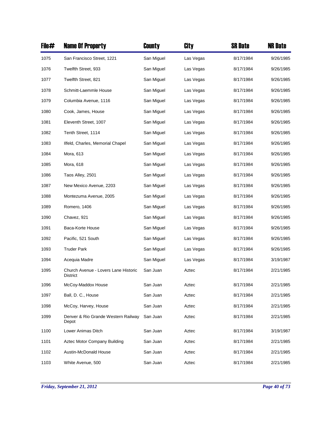| File# | <b>Name Of Property</b>                          | County     | City      | <b>SR Date</b> | <b>NR Date</b> |
|-------|--------------------------------------------------|------------|-----------|----------------|----------------|
| 1075  | San Francisco Street, 1221                       | San Miguel | Las Vegas | 8/17/1984      | 9/26/1985      |
| 1076  | Twelfth Street, 933                              | San Miguel | Las Vegas | 8/17/1984      | 9/26/1985      |
| 1077  | Twelfth Street, 821                              | San Miguel | Las Vegas | 8/17/1984      | 9/26/1985      |
| 1078  | Schmitt-Laemmle House                            | San Miguel | Las Vegas | 8/17/1984      | 9/26/1985      |
| 1079  | Columbia Avenue, 1116                            | San Miguel | Las Vegas | 8/17/1984      | 9/26/1985      |
| 1080  | Cook, James, House                               | San Miguel | Las Vegas | 8/17/1984      | 9/26/1985      |
| 1081  | Eleventh Street, 1007                            | San Miguel | Las Vegas | 8/17/1984      | 9/26/1985      |
| 1082  | Tenth Street, 1114                               | San Miguel | Las Vegas | 8/17/1984      | 9/26/1985      |
| 1083  | Ilfeld, Charles, Memorial Chapel                 | San Miguel | Las Vegas | 8/17/1984      | 9/26/1985      |
| 1084  | Mora, 613                                        | San Miguel | Las Vegas | 8/17/1984      | 9/26/1985      |
| 1085  | Mora, 618                                        | San Miguel | Las Vegas | 8/17/1984      | 9/26/1985      |
| 1086  | Taos Alley, 2501                                 | San Miguel | Las Vegas | 8/17/1984      | 9/26/1985      |
| 1087  | New Mexico Avenue, 2203                          | San Miguel | Las Vegas | 8/17/1984      | 9/26/1985      |
| 1088  | Montezuma Avenue, 2005                           | San Miguel | Las Vegas | 8/17/1984      | 9/26/1985      |
| 1089  | Romero, 1406                                     | San Miguel | Las Vegas | 8/17/1984      | 9/26/1985      |
| 1090  | Chavez, 921                                      | San Miguel | Las Vegas | 8/17/1984      | 9/26/1985      |
| 1091  | Baca-Korte House                                 | San Miguel | Las Vegas | 8/17/1984      | 9/26/1985      |
| 1092  | Pacific, 521 South                               | San Miguel | Las Vegas | 8/17/1984      | 9/26/1985      |
| 1093  | <b>Truder Park</b>                               | San Miguel | Las Vegas | 8/17/1984      | 9/26/1985      |
| 1094  | Acequia Madre                                    | San Miguel | Las Vegas | 8/17/1984      | 3/19/1987      |
| 1095  | Church Avenue - Lovers Lane Historic<br>District | San Juan   | Aztec     | 8/17/1984      | 2/21/1985      |
| 1096  | McCoy-Maddox House                               | San Juan   | Aztec     | 8/17/1984      | 2/21/1985      |
| 1097  | Ball, D. C., House                               | San Juan   | Aztec     | 8/17/1984      | 2/21/1985      |
| 1098  | McCoy, Harvey, House                             | San Juan   | Aztec     | 8/17/1984      | 2/21/1985      |
| 1099  | Denver & Rio Grande Western Railway<br>Depot     | San Juan   | Aztec     | 8/17/1984      | 2/21/1985      |
| 1100  | Lower Animas Ditch                               | San Juan   | Aztec     | 8/17/1984      | 3/19/1987      |
| 1101  | Aztec Motor Company Building                     | San Juan   | Aztec     | 8/17/1984      | 2/21/1985      |
| 1102  | Austin-McDonald House                            | San Juan   | Aztec     | 8/17/1984      | 2/21/1985      |
| 1103  | White Avenue, 500                                | San Juan   | Aztec     | 8/17/1984      | 2/21/1985      |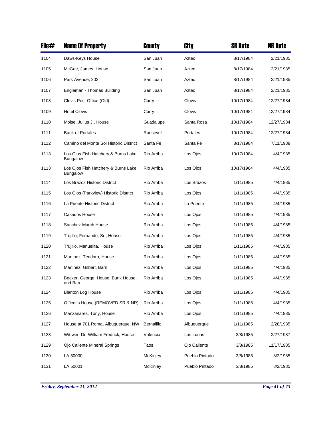| File# | <b>Name Of Property</b>                                | County          | City           | <b>SR Date</b> | <b>NR Date</b> |
|-------|--------------------------------------------------------|-----------------|----------------|----------------|----------------|
| 1104  | Daws-Keys House                                        | San Juan        | Aztec          | 8/17/1984      | 2/21/1985      |
| 1105  | McGee, James, House                                    | San Juan        | Aztec          | 8/17/1984      | 2/21/1985      |
| 1106  | Park Avenue, 202                                       | San Juan        | Aztec          | 8/17/1984      | 2/21/1985      |
| 1107  | Engleman - Thomas Building                             | San Juan        | Aztec          | 8/17/1984      | 2/21/1985      |
| 1108  | Clovis Post Office (Old)                               | Curry           | Clovis         | 10/17/1984     | 12/27/1984     |
| 1109  | <b>Hotel Clovis</b>                                    | Curry           | Clovis         | 10/17/1984     | 12/27/1984     |
| 1110  | Moise, Julius J., House                                | Guadalupe       | Santa Rosa     | 10/17/1984     | 12/27/1984     |
| 1111  | <b>Bank of Portales</b>                                | Roosevelt       | Portales       | 10/17/1984     | 12/27/1984     |
| 1112  | Camino del Monte Sol Historic District                 | Santa Fe        | Santa Fe       | 8/17/1984      | 7/11/1988      |
| 1113  | Los Ojos Fish Hatchery & Burns Lake<br><b>Bungalow</b> | Rio Arriba      | Los Ojos       | 10/17/1984     | 4/4/1985       |
| 1113  | Los Ojos Fish Hatchery & Burns Lake<br><b>Bungalow</b> | Rio Arriba      | Los Ojos       | 10/17/1984     | 4/4/1985       |
| 1114  | Los Brazos Historic District                           | Rio Arriba      | Los Brazos     | 1/11/1985      | 4/4/1985       |
| 1115  | Los Ojos (Parkview) Historic District                  | Rio Arriba      | Los Ojos       | 1/11/1985      | 4/4/1985       |
| 1116  | La Puente Historic District                            | Rio Arriba      | La Puente      | 1/11/1985      | 4/4/1985       |
| 1117  | Casados House                                          | Rio Arriba      | Los Ojos       | 1/11/1985      | 4/4/1985       |
| 1118  | Sanchez-March House                                    | Rio Arriba      | Los Ojos       | 1/11/1985      | 4/4/1985       |
| 1119  | Trujillo, Fernando, Sr., House                         | Rio Arriba      | Los Ojos       | 1/11/1985      | 4/4/1985       |
| 1120  | Trujillo, Manuelita, House                             | Rio Arriba      | Los Ojos       | 1/11/1985      | 4/4/1985       |
| 1121  | Martinez, Teodoro, House                               | Rio Arriba      | Los Ojos       | 1/11/1985      | 4/4/1985       |
| 1122  | Martinez, Gilbert, Barn                                | Rio Arriba      | Los Ojos       | 1/11/1985      | 4/4/1985       |
| 1123  | Becker, George, House, Bunk House,<br>and Barn         | Rio Arriba      | Los Ojos       | 1/11/1985      | 4/4/1985       |
| 1124  | <b>Blanton Log House</b>                               | Rio Arriba      | Los Ojos       | 1/11/1985      | 4/4/1985       |
| 1125  | Officer's House (REMOVED SR & NR)                      | Rio Arriba      | Los Ojos       | 1/11/1985      | 4/4/1985       |
| 1126  | Manzanares, Tony, House                                | Rio Arriba      | Los Ojos       | 1/11/1985      | 4/4/1985       |
| 1127  | House at 701 Roma, Albuquerque, NW                     | Bernalillo      | Albuquerque    | 1/11/1985      | 2/28/1985      |
| 1128  | Wittwer, Dr. William Fredrick, House                   | Valencia        | Los Lunas      | 3/8/1985       | 2/27/1987      |
| 1129  | Ojo Caliente Mineral Springs                           | Taos            | Ojo Caliente   | 3/8/1985       | 11/17/1985     |
| 1130  | LA 50000                                               | <b>McKinley</b> | Pueblo Pintado | 3/8/1985       | 8/2/1985       |
| 1131  | LA 50001                                               | <b>McKinley</b> | Pueblo Pintado | 3/8/1985       | 8/2/1985       |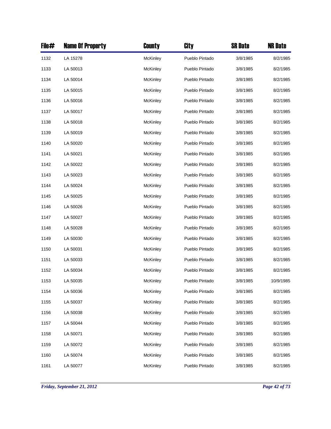| File# | <b>Name Of Property</b> | County          | City           | <b>SR Date</b> | <b>NR Date</b> |
|-------|-------------------------|-----------------|----------------|----------------|----------------|
| 1132  | LA 15278                | <b>McKinley</b> | Pueblo Pintado | 3/8/1985       | 8/2/1985       |
| 1133  | LA 50013                | <b>McKinley</b> | Pueblo Pintado | 3/8/1985       | 8/2/1985       |
| 1134  | LA 50014                | <b>McKinley</b> | Pueblo Pintado | 3/8/1985       | 8/2/1985       |
| 1135  | LA 50015                | <b>McKinley</b> | Pueblo Pintado | 3/8/1985       | 8/2/1985       |
| 1136  | LA 50016                | <b>McKinley</b> | Pueblo Pintado | 3/8/1985       | 8/2/1985       |
| 1137  | LA 50017                | <b>McKinley</b> | Pueblo Pintado | 3/8/1985       | 8/2/1985       |
| 1138  | LA 50018                | <b>McKinley</b> | Pueblo Pintado | 3/8/1985       | 8/2/1985       |
| 1139  | LA 50019                | <b>McKinley</b> | Pueblo Pintado | 3/8/1985       | 8/2/1985       |
| 1140  | LA 50020                | <b>McKinley</b> | Pueblo Pintado | 3/8/1985       | 8/2/1985       |
| 1141  | LA 50021                | McKinley        | Pueblo Pintado | 3/8/1985       | 8/2/1985       |
| 1142  | LA 50022                | <b>McKinley</b> | Pueblo Pintado | 3/8/1985       | 8/2/1985       |
| 1143  | LA 50023                | McKinley        | Pueblo Pintado | 3/8/1985       | 8/2/1985       |
| 1144  | LA 50024                | <b>McKinley</b> | Pueblo Pintado | 3/8/1985       | 8/2/1985       |
| 1145  | LA 50025                | <b>McKinley</b> | Pueblo Pintado | 3/8/1985       | 8/2/1985       |
| 1146  | LA 50026                | <b>McKinley</b> | Pueblo Pintado | 3/8/1985       | 8/2/1985       |
| 1147  | LA 50027                | <b>McKinley</b> | Pueblo Pintado | 3/8/1985       | 8/2/1985       |
| 1148  | LA 50028                | McKinley        | Pueblo Pintado | 3/8/1985       | 8/2/1985       |
| 1149  | LA 50030                | McKinley        | Pueblo Pintado | 3/8/1985       | 8/2/1985       |
| 1150  | LA 50031                | McKinley        | Pueblo Pintado | 3/8/1985       | 8/2/1985       |
| 1151  | LA 50033                | McKinley        | Pueblo Pintado | 3/8/1985       | 8/2/1985       |
| 1152  | LA 50034                | <b>McKinley</b> | Pueblo Pintado | 3/8/1985       | 8/2/1985       |
| 1153  | LA 50035                | McKinley        | Pueblo Pintado | 3/8/1985       | 10/9/1985      |
| 1154  | LA 50036                | McKinley        | Pueblo Pintado | 3/8/1985       | 8/2/1985       |
| 1155  | LA 50037                | <b>McKinley</b> | Pueblo Pintado | 3/8/1985       | 8/2/1985       |
| 1156  | LA 50038                | <b>McKinley</b> | Pueblo Pintado | 3/8/1985       | 8/2/1985       |
| 1157  | LA 50044                | McKinley        | Pueblo Pintado | 3/8/1985       | 8/2/1985       |
| 1158  | LA 50071                | McKinley        | Pueblo Pintado | 3/8/1985       | 8/2/1985       |
| 1159  | LA 50072                | <b>McKinley</b> | Pueblo Pintado | 3/8/1985       | 8/2/1985       |
| 1160  | LA 50074                | <b>McKinley</b> | Pueblo Pintado | 3/8/1985       | 8/2/1985       |
| 1161  | LA 50077                | McKinley        | Pueblo Pintado | 3/8/1985       | 8/2/1985       |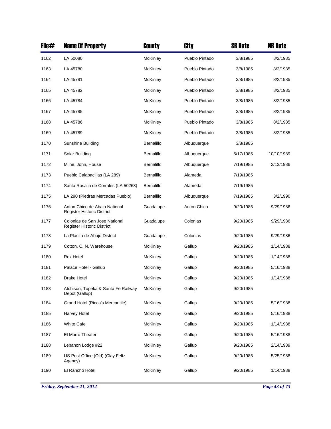| File# | <b>Name Of Property</b>                                            | County          | City           | <b>SR Date</b> | <b>NR Date</b> |
|-------|--------------------------------------------------------------------|-----------------|----------------|----------------|----------------|
| 1162  | LA 50080                                                           | <b>McKinley</b> | Pueblo Pintado | 3/8/1985       | 8/2/1985       |
| 1163  | LA 45780                                                           | McKinley        | Pueblo Pintado | 3/8/1985       | 8/2/1985       |
| 1164  | LA 45781                                                           | <b>McKinley</b> | Pueblo Pintado | 3/8/1985       | 8/2/1985       |
| 1165  | LA 45782                                                           | McKinley        | Pueblo Pintado | 3/8/1985       | 8/2/1985       |
| 1166  | LA 45784                                                           | McKinley        | Pueblo Pintado | 3/8/1985       | 8/2/1985       |
| 1167  | LA 45785                                                           | <b>McKinley</b> | Pueblo Pintado | 3/8/1985       | 8/2/1985       |
| 1168  | LA 45786                                                           | McKinley        | Pueblo Pintado | 3/8/1985       | 8/2/1985       |
| 1169  | LA 45789                                                           | McKinley        | Pueblo Pintado | 3/8/1985       | 8/2/1985       |
| 1170  | Sunshine Building                                                  | Bernalillo      | Albuquerque    | 3/8/1985       |                |
| 1171  | Solar Building                                                     | Bernalillo      | Albuquerque    | 5/17/1985      | 10/10/1989     |
| 1172  | Milne, John, House                                                 | Bernalillo      | Albuquerque    | 7/19/1985      | 2/13/1986      |
| 1173  | Pueblo Calabacillas (LA 289)                                       | Bernalillo      | Alameda        | 7/19/1985      |                |
| 1174  | Santa Rosalia de Corrales (LA 50268)                               | Bernalillo      | Alameda        | 7/19/1985      |                |
| 1175  | LA 290 (Piedras Mercadas Pueblo)                                   | Bernalillo      | Albuquerque    | 7/19/1985      | 3/2/1990       |
| 1176  | Anton Chico de Abajo National<br><b>Register Historic District</b> | Guadalupe       | Anton Chico    | 9/20/1985      | 9/29/1986      |
| 1177  | Colonias de San Jose National<br>Register Historic District        | Guadalupe       | Colonias       | 9/20/1985      | 9/29/1986      |
| 1178  | La Placita de Abajo District                                       | Guadalupe       | Colonias       | 9/20/1985      | 9/29/1986      |
| 1179  | Cotton, C. N. Warehouse                                            | McKinley        | Gallup         | 9/20/1985      | 1/14/1988      |
| 1180  | <b>Rex Hotel</b>                                                   | <b>McKinley</b> | Gallup         | 9/20/1985      | 1/14/1988      |
| 1181  | Palace Hotel - Gallup                                              | McKinley        | Gallup         | 9/20/1985      | 5/16/1988      |
| 1182  | Drake Hotel                                                        | McKinley        | Gallup         | 9/20/1985      | 1/14/1988      |
| 1183  | Atchison, Topeka & Santa Fe Railway<br>Depot (Gallup)              | <b>McKinley</b> | Gallup         | 9/20/1985      |                |
| 1184  | Grand Hotel (Ricca's Mercantile)                                   | <b>McKinley</b> | Gallup         | 9/20/1985      | 5/16/1988      |
| 1185  | Harvey Hotel                                                       | McKinley        | Gallup         | 9/20/1985      | 5/16/1988      |
| 1186  | <b>White Cafe</b>                                                  | <b>McKinley</b> | Gallup         | 9/20/1985      | 1/14/1988      |
| 1187  | El Morro Theater                                                   | <b>McKinley</b> | Gallup         | 9/20/1985      | 5/16/1988      |
| 1188  | Lebanon Lodge #22                                                  | McKinley        | Gallup         | 9/20/1985      | 2/14/1989      |
| 1189  | US Post Office (Old) (Clay Feltz<br>Agency)                        | <b>McKinley</b> | Gallup         | 9/20/1985      | 5/25/1988      |
| 1190  | El Rancho Hotel                                                    | <b>McKinley</b> | Gallup         | 9/20/1985      | 1/14/1988      |

*Friday, September 21, 2012 Page 43 of 73*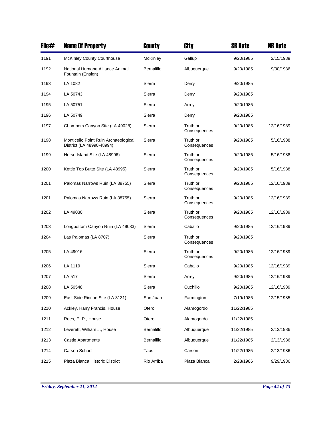| File# | <b>Name Of Property</b>                                           | County     | City                     | <b>SR Date</b> | <b>NR Date</b> |
|-------|-------------------------------------------------------------------|------------|--------------------------|----------------|----------------|
| 1191  | <b>McKinley County Courthouse</b>                                 | McKinley   | Gallup                   | 9/20/1985      | 2/15/1989      |
| 1192  | National Humane Alliance Animal<br>Fountain (Ensign)              | Bernalillo | Albuquerque              | 9/20/1985      | 9/30/1986      |
| 1193  | LA 1082                                                           | Sierra     | Derry                    | 9/20/1985      |                |
| 1194  | LA 50743                                                          | Sierra     | Derry                    | 9/20/1985      |                |
| 1195  | LA 50751                                                          | Sierra     | Arrey                    | 9/20/1985      |                |
| 1196  | LA 50749                                                          | Sierra     | Derry                    | 9/20/1985      |                |
| 1197  | Chambers Canyon Site (LA 49028)                                   | Sierra     | Truth or<br>Consequences | 9/20/1985      | 12/16/1989     |
| 1198  | Monticello Point Ruin Archaeological<br>District (LA 48990-48994) | Sierra     | Truth or<br>Consequences | 9/20/1985      | 5/16/1988      |
| 1199  | Horse Island Site (LA 48996)                                      | Sierra     | Truth or<br>Consequences | 9/20/1985      | 5/16/1988      |
| 1200  | Kettle Top Butte Site (LA 48995)                                  | Sierra     | Truth or<br>Consequences | 9/20/1985      | 5/16/1988      |
| 1201  | Palomas Narrows Ruin (LA 38755)                                   | Sierra     | Truth or<br>Consequences | 9/20/1985      | 12/16/1989     |
| 1201  | Palomas Narrows Ruin (LA 38755)                                   | Sierra     | Truth or<br>Consequences | 9/20/1985      | 12/16/1989     |
| 1202  | LA 49030                                                          | Sierra     | Truth or<br>Consequences | 9/20/1985      | 12/16/1989     |
| 1203  | Longbottom Canyon Ruin (LA 49033)                                 | Sierra     | Caballo                  | 9/20/1985      | 12/16/1989     |
| 1204  | Las Palomas (LA 8707)                                             | Sierra     | Truth or<br>Consequences | 9/20/1985      |                |
| 1205  | LA 49016                                                          | Sierra     | Truth or<br>Consequences | 9/20/1985      | 12/16/1989     |
| 1206  | LA 1119                                                           | Sierra     | Caballo                  | 9/20/1985      | 12/16/1989     |
| 1207  | LA 517                                                            | Sierra     | Arrey                    | 9/20/1985      | 12/16/1989     |
| 1208  | LA 50548                                                          | Sierra     | Cuchillo                 | 9/20/1985      | 12/16/1989     |
| 1209  | East Side Rincon Site (LA 3131)                                   | San Juan   | Farmington               | 7/19/1985      | 12/15/1985     |
| 1210  | Ackley, Harry Francis, House                                      | Otero      | Alamogordo               | 11/22/1985     |                |
| 1211  | Rees, E. P., House                                                | Otero      | Alamogordo               | 11/22/1985     |                |
| 1212  | Leverett, William J., House                                       | Bernalillo | Albuquerque              | 11/22/1985     | 2/13/1986      |
| 1213  | <b>Castle Apartments</b>                                          | Bernalillo | Albuquerque              | 11/22/1985     | 2/13/1986      |
| 1214  | Carson School                                                     | Taos       | Carson                   | 11/22/1985     | 2/13/1986      |
| 1215  | Plaza Blanca Historic District                                    | Rio Arriba | Plaza Blanca             | 2/28/1986      | 9/29/1986      |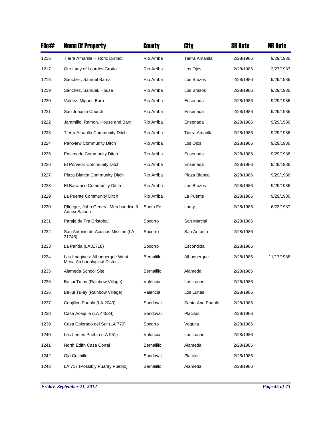| File# | <b>Name Of Property</b>                                        | County     | City             | <b>SR Date</b> | <b>NR Date</b> |
|-------|----------------------------------------------------------------|------------|------------------|----------------|----------------|
| 1216  | Tierra Amarilla Historic District                              | Rio Arriba | Tierra Amarilla  | 2/28/1986      | 9/29/1986      |
| 1217  | Our Lady of Lourdes Grotto                                     | Rio Arriba | Los Ojos         | 2/28/1986      | 3/27/1987      |
| 1218  | Sanchez, Samuel Barns                                          | Rio Arriba | Los Brazos       | 2/28/1986      | 9/29/1986      |
| 1219  | Sanchez, Samuel, House                                         | Rio Arriba | Los Brazos       | 2/28/1986      | 9/29/1986      |
| 1220  | Valdez, Miguel, Barn                                           | Rio Arriba | Ensenada         | 2/28/1986      | 9/29/1986      |
| 1221  | San Joaquin Church                                             | Rio Arriba | Ensenada         | 2/28/1986      | 9/29/1986      |
| 1222  | Jaramillo, Ramon, House and Barn                               | Rio Arriba | Ensenada         | 2/28/1986      | 9/29/1986      |
| 1223  | Tierra Amarilla Community Ditch                                | Rio Arriba | Tierra Amarilla  | 2/28/1986      | 9/29/1986      |
| 1224  | Parkview Community Ditch                                       | Rio Arriba | Los Ojos         | 2/28/1986      | 9/29/1986      |
| 1225  | <b>Ensenada Community Ditch</b>                                | Rio Arriba | Ensenada         | 2/28/1986      | 9/29/1986      |
| 1226  | El Porvenir Community Ditch                                    | Rio Arriba | Ensenada         | 2/28/1986      | 9/29/1986      |
| 1227  | Plaza Blanca Community Ditch                                   | Rio Arriba | Plaza Blanca     | 2/28/1986      | 9/29/1986      |
| 1228  | El Barranco Community Ditch                                    | Rio Arriba | Los Brazos       | 2/28/1986      | 9/29/1986      |
| 1229  | La Puente Community Ditch                                      | Rio Arriba | La Puente        | 2/28/1986      | 9/29/1986      |
| 1230  | Pflueger, John General Merchandise &<br>Annex Saloon           | Santa Fe   | Lamy             | 2/28/1986      | 6/23/1987      |
| 1231  | Paraje de Fra Cristobal                                        | Socorro    | San Marcial      | 2/28/1986      |                |
| 1232  | San Antonio de Acuinas Mission (LA<br>31745)                   | Socorro    | San Antonio      | 2/28/1986      |                |
| 1233  | La Parida (LA31718)                                            | Socorro    | Escondida        | 2/28/1986      |                |
| 1234  | Las Imagines: Albuquerque West<br>Mesa Archaeological District | Bernalillo | Albuquerque      | 2/28/1986      | 11/17/1986     |
| 1235  | Alameda School Site                                            | Bernalillo | Alameda          | 2/28/1986      |                |
| 1236  | Be-jui Tu-ay (Rainbow Village)                                 | Valencia   | Los Lunas        | 2/28/1986      |                |
| 1236  | Be-jui Tu-ay (Rainbow Village)                                 | Valencia   | Los Lunas        | 2/28/1986      |                |
| 1237  | Canjillon Pueblo (LA 2049)                                     | Sandoval   | Santa Ana Pueblo | 2/28/1986      |                |
| 1238  | Casa Acequia (LA 44534)                                        | Sandoval   | Placitas         | 2/28/1986      |                |
| 1239  | Casa Colorado del Sur (LA 779)                                 | Socorro    | Veguita          | 2/28/1986      |                |
| 1240  | Los Lentes Pueblo (LA 951)                                     | Valencia   | Los Lunas        | 2/28/1986      |                |
| 1241  | North Edith Casa Corral                                        | Bernalillo | Alameda          | 2/28/1986      |                |
| 1242  | Ojo Cuchillo                                                   | Sandoval   | Placitas         | 2/28/1986      |                |
| 1243  | LA 717 (Possibly Puaray Pueblo)                                | Bernalillo | Alameda          | 2/28/1986      |                |

*Friday, September 21, 2012 Page 45 of 73*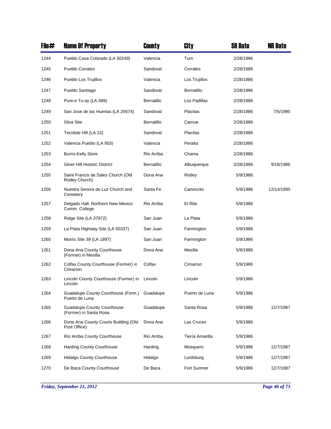| File# | <b>Name Of Property</b>                               | County     | City              | <b>SR Date</b> | <b>NR Date</b> |
|-------|-------------------------------------------------------|------------|-------------------|----------------|----------------|
| 1244  | Pueblo Casa Colorado (LA 50249)                       | Valencia   | Turn              | 2/28/1986      |                |
| 1245  | <b>Pueblo Corrales</b>                                | Sandoval   | Corrales          | 2/28/1986      |                |
| 1246  | Pueblo Los Trujillos                                  | Valencia   | Los Trujillos     | 2/28/1986      |                |
| 1247  | Pueblo Santiago                                       | Sandoval   | <b>Bernalillo</b> | 2/28/1986      |                |
| 1248  | Pure-e Tu-ay (LA 489)                                 | Bernalillo | Los Padillas      | 2/28/1986      |                |
| 1249  | San Jose de las Huertas (LA 25674)                    | Sandoval   | Placitas          | 2/28/1986      | 7/5/1990       |
| 1250  | Silva Site                                            | Bernalillo | Carnue            | 2/28/1986      |                |
| 1251  | Tecolote Hill (LA 22)                                 | Sandoval   | Placitas          | 2/28/1986      |                |
| 1252  | Valencia Pueblo (LA 953)                              | Valencia   | Peralta           | 2/28/1986      |                |
| 1253  | <b>Burns-Kelly Store</b>                              | Rio Arriba | Chama             | 2/28/1986      |                |
| 1254  | <b>Silver Hill Historic District</b>                  | Bernalillo | Albuquerque       | 2/28/1986      | 9/18/1986      |
| 1255  | Saint Francis de Sales Church (Old<br>Rodey Church)   | Dona Ana   | Rodey             | 5/9/1986       |                |
| 1256  | Nuestra Senora de Luz Church and<br>Cemetery          | Santa Fe   | Canoncito         | 5/9/1986       | 12/14/1995     |
| 1257  | Delgado Hall, Northern New Mexico<br>Comm. College    | Rio Arriba | El Rito           | 5/9/1986       |                |
| 1258  | Ridge Site (LA 37972)                                 | San Juan   | La Plata          | 5/9/1986       |                |
| 1259  | La Plata Highway Site (LA 50337)                      | San Juan   | Farmington        | 5/9/1986       |                |
| 1260  | Morris Site 39 (LA 1897)                              | San Juan   | Farmington        | 5/9/1986       |                |
| 1261  | Dona Ana County Courthouse<br>(Former) in Mesilla     | Dona Ana   | Mesilla           | 5/9/1986       |                |
| 1262  | Colfax County Courthouse (Former) in<br>Cimarron      | Colfax     | Cimarron          | 5/9/1986       |                |
| 1263  | Lincoln County Courthouse (Former) in<br>Lincoln      | Lincoln    | Lincoln           | 5/9/1986       |                |
| 1264  | Guadalupe County Courthouse (Form.)<br>Puerto de Luna | Guadalupe  | Puerto de Luna    | 5/9/1986       |                |
| 1265  | Guadalupe County Courthouse<br>(Former) in Santa Rosa | Guadalupe  | Santa Rosa        | 5/9/1986       | 12/7/1987      |
| 1266  | Dona Ana County Courts Building (Old<br>Post Office)  | Dona Ana   | Las Cruces        | 5/9/1986       |                |
| 1267  | Rio Arriba County Courthouse                          | Rio Arriba | Tierra Amarilla   | 5/9/1986       |                |
| 1268  | <b>Harding County Courthouse</b>                      | Harding    | Mosquero          | 5/9/1986       | 12/7/1987      |
| 1269  | <b>Hidalgo County Courthouse</b>                      | Hidalgo    | Lordsburg         | 5/9/1986       | 12/7/1987      |
| 1270  | De Baca County Courthouse                             | De Baca    | Fort Sumner       | 5/9/1986       | 12/7/1987      |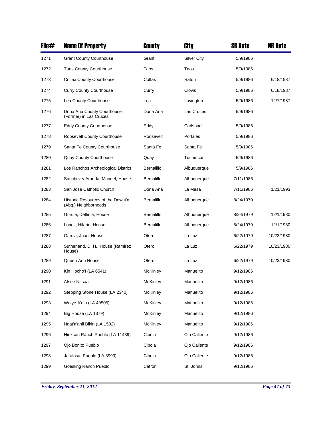| File# | <b>Name Of Property</b>                                   | County          | City               | <b>SR Date</b> | <b>NR Date</b> |
|-------|-----------------------------------------------------------|-----------------|--------------------|----------------|----------------|
| 1271  | <b>Grant County Courthouse</b>                            | Grant           | <b>Silver City</b> | 5/9/1986       |                |
| 1272  | <b>Taos County Courthouse</b>                             | Taos            | Taos               | 5/9/1986       |                |
| 1273  | <b>Colfax County Courthouse</b>                           | Colfax          | Raton              | 5/9/1986       | 6/18/1987      |
| 1274  | <b>Curry County Courthouse</b>                            | Curry           | Clovis             | 5/9/1986       | 6/18/1987      |
| 1275  | Lea County Courthouse                                     | Lea             | Lovington          | 5/9/1986       | 12/7/1987      |
| 1276  | Dona Ana County Courthouse<br>(Former) in Las Cruces      | Dona Ana        | Las Cruces         | 5/9/1986       |                |
| 1277  | <b>Eddy County Courthouse</b>                             | Eddy            | Carlsbad           | 5/9/1986       |                |
| 1278  | Roosevelt County Courthouse                               | Roosevelt       | Portales           | 5/9/1986       |                |
| 1279  | Santa Fe County Courthouse                                | Santa Fe        | Santa Fe           | 5/9/1986       |                |
| 1280  | Quay County Courthouse                                    | Quay            | Tucumcari          | 5/9/1986       |                |
| 1281  | Los Ranchos Archeological District                        | Bernalillo      | Albuquerque        | 5/9/1986       |                |
| 1282  | Sanchez y Aranda, Manuel, House                           | Bernalillo      | Albuquerque        | 7/11/1986      |                |
| 1283  | San Jose Catholic Church                                  | Dona Ana        | La Mesa            | 7/11/1986      | 1/21/1993      |
| 1284  | Historic Resources of the Downt'n<br>(Abq.) Neighborhoods | Bernalillo      | Albuquerque        | 8/24/1979      |                |
| 1285  | Gurule, Delfinia, House                                   | Bernalillo      | Albuquerque        | 8/24/1979      | 12/1/1980      |
| 1286  | Lopez, Hilario, House                                     | Bernalillo      | Albuquerque        | 8/24/1979      | 12/1/1980      |
| 1287  | Garcia, Juan, House                                       | Otero           | La Luz             | 6/22/1979      | 10/23/1980     |
| 1288  | Sutherland, D. H., House (Ramirez<br>House)               | Otero           | La Luz             | 6/22/1979      | 10/23/1980     |
| 1289  | Queen Ann House                                           | Otero           | La Luz             | 6/22/1979      | 10/23/1980     |
| 1290  | Kin Hocho'l (LA 6541)                                     | McKinley        | Manuelito          | 9/12/1986      |                |
| 1291  | Atsee Nitsaa                                              | McKinley        | Manuelito          | 9/12/1986      |                |
| 1292  | Stepping Stone House (LA 2340)                            | McKinley        | Manuelito          | 9/12/1986      |                |
| 1293  | Wolye A'din (LA 49505)                                    | <b>McKinley</b> | Manuelito          | 9/12/1986      |                |
| 1294  | Big House (LA 1379)                                       | McKinley        | Manuelito          | 9/12/1986      |                |
| 1295  | Naat'a'anii Bikin (LA 1502)                               | <b>McKinley</b> | Manuelito          | 9/12/1986      |                |
| 1296  | Hinkson Ranch Pueblo (LA 11439)                           | Cibola          | Ojo Caliente       | 9/12/1986      |                |
| 1297  | Ojo Bonito Pueblo                                         | Cibola          | Ojo Caliente       | 9/12/1986      |                |
| 1298  | Jaralosa Pueblo (LA 3993)                                 | Cibola          | Ojo Caliente       | 9/12/1986      |                |
| 1299  | Goesling Ranch Pueblo                                     | Catron          | St. Johns          | 9/12/1986      |                |

*Friday, September 21, 2012 Page 47 of 73*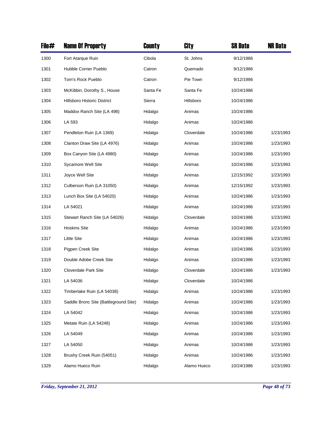| File# | <b>Name Of Property</b>               | <b>County</b> | City        | <b>SR Date</b> | <b>NR Date</b> |
|-------|---------------------------------------|---------------|-------------|----------------|----------------|
| 1300  | Fort Atarque Ruin                     | Cibola        | St. Johns   | 9/12/1986      |                |
| 1301  | Hubble Corner Pueblo                  | Catron        | Quemado     | 9/12/1986      |                |
| 1302  | Tom's Rock Pueblo                     | Catron        | Pie Town    | 9/12/1986      |                |
| 1303  | McKibbin, Dorothy S., House           | Santa Fe      | Santa Fe    | 10/24/1986     |                |
| 1304  | <b>Hillsboro Historic District</b>    | Sierra        | Hillsboro   | 10/24/1986     |                |
| 1305  | Maddox Ranch Site (LA 498)            | Hidalgo       | Animas      | 10/24/1986     |                |
| 1306  | LA 593                                | Hidalgo       | Animas      | 10/24/1986     |                |
| 1307  | Pendleton Ruin (LA 1369)              | Hidalgo       | Cloverdale  | 10/24/1986     | 1/23/1993      |
| 1308  | Clanton Draw Site (LA 4976)           | Hidalgo       | Animas      | 10/24/1986     | 1/23/1993      |
| 1309  | Box Canyon Site (LA 4980)             | Hidalgo       | Animas      | 10/24/1986     | 1/23/1993      |
| 1310  | <b>Sycamore Well Site</b>             | Hidalgo       | Animas      | 10/24/1986     | 1/23/1993      |
| 1311  | Joyce Well Site                       | Hidalgo       | Animas      | 12/15/1992     | 1/23/1993      |
| 1312  | Culberson Ruin (LA 31050)             | Hidalgo       | Animas      | 12/15/1992     | 1/23/1993      |
| 1313  | Lunch Box Site (LA 54020)             | Hidalgo       | Animas      | 10/24/1986     | 1/23/1993      |
| 1314  | LA 54021                              | Hidalgo       | Animas      | 10/24/1986     | 1/23/1993      |
| 1315  | Stewart Ranch Site (LA 54026)         | Hidalgo       | Cloverdale  | 10/24/1986     | 1/23/1993      |
| 1316  | <b>Hoskins Site</b>                   | Hidalgo       | Animas      | 10/24/1986     | 1/23/1993      |
| 1317  | <b>Little Site</b>                    | Hidalgo       | Animas      | 10/24/1986     | 1/23/1993      |
| 1318  | Pigpen Creek Site                     | Hidalgo       | Animas      | 10/24/1986     | 1/23/1993      |
| 1319  | Double Adobe Creek Site               | Hidalgo       | Animas      | 10/24/1986     | 1/23/1993      |
| 1320  | <b>Cloverdale Park Site</b>           | Hidalgo       | Cloverdale  | 10/24/1986     | 1/23/1993      |
| 1321  | LA 54036                              | Hidalgo       | Cloverdale  | 10/24/1986     |                |
| 1322  | Timberlake Ruin (LA 54038)            | Hidalgo       | Animas      | 10/24/1986     | 1/23/1993      |
| 1323  | Saddle Bronc Site (Battleground Site) | Hidalgo       | Animas      | 10/24/1986     | 1/23/1993      |
| 1324  | LA 54042                              | Hidalgo       | Animas      | 10/24/1986     | 1/23/1993      |
| 1325  | Metate Ruin (LA 54248)                | Hidalgo       | Animas      | 10/24/1986     | 1/23/1993      |
| 1326  | LA 54049                              | Hidalgo       | Animas      | 10/24/1986     | 1/23/1993      |
| 1327  | LA 54050                              | Hidalgo       | Animas      | 10/24/1986     | 1/23/1993      |
| 1328  | Brushy Creek Ruin (54051)             | Hidalgo       | Animas      | 10/24/1986     | 1/23/1993      |
| 1329  | Alamo Hueco Ruin                      | Hidalgo       | Alamo Hueco | 10/24/1986     | 1/23/1993      |

*Friday, September 21, 2012 Page 48 of 73*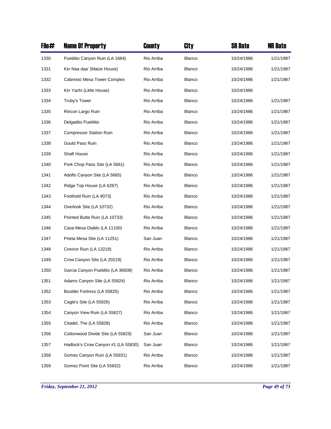| File# | <b>Name Of Property</b>             | County     | City          | <b>SR Date</b> | <b>NR Date</b> |
|-------|-------------------------------------|------------|---------------|----------------|----------------|
| 1330  | Pueblito Canyon Ruin (LA 1684)      | Rio Arriba | Blanco        | 10/24/1986     | 1/21/1987      |
| 1331  | Kin Naa daa' (Maize House)          | Rio Arriba | <b>Blanco</b> | 10/24/1986     | 1/21/1987      |
| 1332  | Cabresto Mesa Tower Complex         | Rio Arriba | Blanco        | 10/24/1986     | 1/21/1987      |
| 1333  | Kin Yazhi (Little House)            | Rio Arriba | <b>Blanco</b> | 10/24/1986     |                |
| 1334  | Truby's Tower                       | Rio Arriba | Blanco        | 10/24/1986     | 1/21/1987      |
| 1335  | Rincon Largo Ruin                   | Rio Arriba | <b>Blanco</b> | 10/24/1986     | 1/21/1987      |
| 1336  | Delgadito Pueblito                  | Rio Arriba | Blanco        | 10/24/1986     | 1/21/1987      |
| 1337  | <b>Compressor Station Ruin</b>      | Rio Arriba | <b>Blanco</b> | 10/24/1986     | 1/21/1987      |
| 1338  | Gould Pass Ruin                     | Rio Arriba | Blanco        | 10/24/1986     | 1/21/1987      |
| 1339  | Shaft House                         | Rio Arriba | <b>Blanco</b> | 10/24/1986     | 1/21/1987      |
| 1340  | Pork Chop Pass Site (LA 5661)       | Rio Arriba | Blanco        | 10/24/1986     | 1/21/1987      |
| 1341  | Adolfo Canyon Site (LA 5665)        | Rio Arriba | Blanco        | 10/24/1986     | 1/21/1987      |
| 1342  | Ridge Top House (LA 6287)           | Rio Arriba | Blanco        | 10/24/1986     | 1/21/1987      |
| 1343  | Foothold Ruin (LA 9073)             | Rio Arriba | Blanco        | 10/24/1986     | 1/21/1987      |
| 1344  | Overlook Site (LA 10732)            | Rio Arriba | Blanco        | 10/24/1986     | 1/21/1987      |
| 1345  | Pointed Butte Ruin (LA 10733)       | Rio Arriba | Blanco        | 10/24/1986     | 1/21/1987      |
| 1346  | Casa Mesa Diablo (LA 11100)         | Rio Arriba | Blanco        | 10/24/1986     | 1/21/1987      |
| 1347  | Prieta Mesa Site (LA 11251)         | San Juan   | Blanco        | 10/24/1986     | 1/21/1987      |
| 1348  | Crevice Ruin (LA 13218)             | Rio Arriba | Blanco        | 10/24/1986     | 1/21/1987      |
| 1349  | Crow Canyon Site (LA 20219)         | Rio Arriba | Blanco        | 10/24/1986     | 1/21/1987      |
| 1350  | Garcia Canyon Pueblito (LA 36608)   | Rio Arriba | <b>Blanco</b> | 10/24/1986     | 1/21/1987      |
| 1351  | Adams Canyon Site (LA 55824)        | Rio Arriba | <b>Blanco</b> | 10/24/1986     | 1/21/1987      |
| 1352  | Boulder Fortress (LA 55825)         | Rio Arriba | Blanco        | 10/24/1986     | 1/21/1987      |
| 1353  | Cagle's Site (LA 55826)             | Rio Arriba | Blanco        | 10/24/1986     | 1/21/1987      |
| 1354  | Canyon View Ruin (LA 55827)         | Rio Arriba | <b>Blanco</b> | 10/24/1986     | 1/21/1987      |
| 1355  | Citadel, The (LA 55828)             | Rio Arriba | Blanco        | 10/24/1986     | 1/21/1987      |
| 1356  | Cottonwood Divide Site (LA 55829)   | San Juan   | Blanco        | 10/24/1986     | 1/21/1987      |
| 1357  | Hadlock's Crow Canyon #1 (LA 55830) | San Juan   | <b>Blanco</b> | 10/24/1986     | 1/21/1987      |
| 1358  | Gomez Canyon Ruin (LA 55831)        | Rio Arriba | Blanco        | 10/24/1986     | 1/21/1987      |
| 1359  | Gomez Point Site (LA 55832)         | Rio Arriba | Blanco        | 10/24/1986     | 1/21/1987      |

*Friday, September 21, 2012 Page 49 of 73*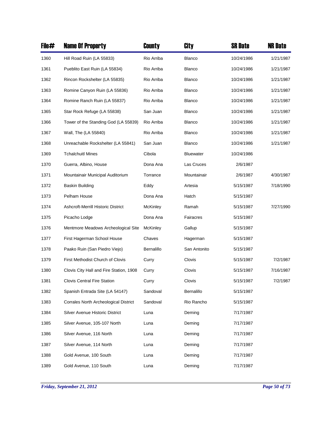| File# | <b>Name Of Property</b>                 | County     | City             | <b>SR Date</b> | <b>NR Date</b> |
|-------|-----------------------------------------|------------|------------------|----------------|----------------|
| 1360  | Hill Road Ruin (LA 55833)               | Rio Arriba | Blanco           | 10/24/1986     | 1/21/1987      |
| 1361  | Pueblito East Ruin (LA 55834)           | Rio Arriba | <b>Blanco</b>    | 10/24/1986     | 1/21/1987      |
| 1362  | Rincon Rockshelter (LA 55835)           | Rio Arriba | <b>Blanco</b>    | 10/24/1986     | 1/21/1987      |
| 1363  | Romine Canyon Ruin (LA 55836)           | Rio Arriba | Blanco           | 10/24/1986     | 1/21/1987      |
| 1364  | Romine Ranch Ruin (LA 55837)            | Rio Arriba | Blanco           | 10/24/1986     | 1/21/1987      |
| 1365  | Star Rock Refuge (LA 55838)             | San Juan   | Blanco           | 10/24/1986     | 1/21/1987      |
| 1366  | Tower of the Standing God (LA 55839)    | Rio Arriba | Blanco           | 10/24/1986     | 1/21/1987      |
| 1367  | Wall, The (LA 55840)                    | Rio Arriba | Blanco           | 10/24/1986     | 1/21/1987      |
| 1368  | Unreachable Rockshelter (LA 55841)      | San Juan   | Blanco           | 10/24/1986     | 1/21/1987      |
| 1369  | <b>Tchalchuitl Mines</b>                | Cibola     | <b>Bluewater</b> | 10/24/1986     |                |
| 1370  | Guerra, Albino, House                   | Dona Ana   | Las Cruces       | 2/6/1987       |                |
| 1371  | Mountainair Municipal Auditorium        | Torrance   | Mountainair      | 2/6/1987       | 4/30/1987      |
| 1372  | <b>Baskin Building</b>                  | Eddy       | Artesia          | 5/15/1987      | 7/18/1990      |
| 1373  | Pelham House                            | Dona Ana   | Hatch            | 5/15/1987      |                |
| 1374  | Ashcroft-Merrill Historic District      | McKinley   | Ramah            | 5/15/1987      | 7/27/1990      |
| 1375  | Picacho Lodge                           | Dona Ana   | Fairacres        | 5/15/1987      |                |
| 1376  | Mentmore Meadows Archeological Site     | McKinley   | Gallup           | 5/15/1987      |                |
| 1377  | First Hagerman School House             | Chaves     | Hagerman         | 5/15/1987      |                |
| 1378  | Paako Ruin (San Piedro Viejo)           | Bernalillo | San Antonito     | 5/15/1987      |                |
| 1379  | First Methodist Church of Clovis        | Curry      | Clovis           | 5/15/1987      | 7/2/1987       |
| 1380  | Clovis City Hall and Fire Station, 1908 | Curry      | Clovis           | 5/15/1987      | 7/16/1987      |
| 1381  | <b>Clovis Central Fire Station</b>      | Curry      | Clovis           | 5/15/1987      | 7/2/1987       |
| 1382  | Spanish Entrada Site (LA 54147)         | Sandoval   | Bernalillo       | 5/15/1987      |                |
| 1383  | Corrales North Archeological District   | Sandoval   | Rio Rancho       | 5/15/1987      |                |
| 1384  | Silver Avenue Historic District         | Luna       | Deming           | 7/17/1987      |                |
| 1385  | Silver Avenue, 105-107 North            | Luna       | Deming           | 7/17/1987      |                |
| 1386  | Silver Avenue, 116 North                | Luna       | Deming           | 7/17/1987      |                |
| 1387  | Silver Avenue, 114 North                | Luna       | Deming           | 7/17/1987      |                |
| 1388  | Gold Avenue, 100 South                  | Luna       | Deming           | 7/17/1987      |                |
| 1389  | Gold Avenue, 110 South                  | Luna       | Deming           | 7/17/1987      |                |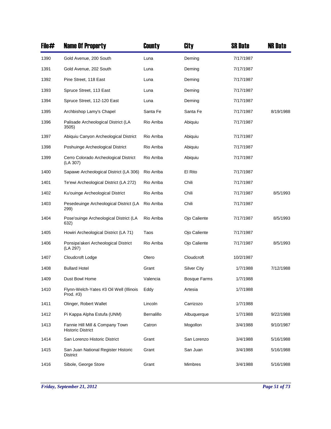| File# | <b>Name Of Property</b>                                     | County     | City                | <b>SR Date</b> | <b>NR Date</b> |
|-------|-------------------------------------------------------------|------------|---------------------|----------------|----------------|
| 1390  | Gold Avenue, 200 South                                      | Luna       | Deming              | 7/17/1987      |                |
| 1391  | Gold Avenue, 202 South                                      | Luna       | Deming              | 7/17/1987      |                |
| 1392  | Pine Street, 118 East                                       | Luna       | Deming              | 7/17/1987      |                |
| 1393  | Spruce Street, 113 East                                     | Luna       | Deming              | 7/17/1987      |                |
| 1394  | Spruce Street, 112-120 East                                 | Luna       | Deming              | 7/17/1987      |                |
| 1395  | Archbishop Lamy's Chapel                                    | Santa Fe   | Santa Fe            | 7/17/1987      | 8/19/1988      |
| 1396  | Palisade Archeological District (LA<br>3505)                | Rio Arriba | Abiquiu             | 7/17/1987      |                |
| 1397  | Abiquiu Canyon Archeological District                       | Rio Arriba | Abiquiu             | 7/17/1987      |                |
| 1398  | Poshuinge Archeological District                            | Rio Arriba | Abiquiu             | 7/17/1987      |                |
| 1399  | Cerro Colorado Archeological District<br>(LA 307)           | Rio Arriba | Abiquiu             | 7/17/1987      |                |
| 1400  | Sapawe Archeological District (LA 306)                      | Rio Arriba | El Rito             | 7/17/1987      |                |
| 1401  | Te'ewi Archeological District (LA 272)                      | Rio Arriba | Chili               | 7/17/1987      |                |
| 1402  | Ku'ouinge Archeological District                            | Rio Arriba | Chili               | 7/17/1987      | 8/5/1993       |
| 1403  | Pesedeuinge Archeological District (LA<br>299)              | Rio Arriba | Chili               | 7/17/1987      |                |
| 1404  | Pose'ouinge Archeological District (LA<br>632)              | Rio Arriba | Ojo Caliente        | 7/17/1987      | 8/5/1993       |
| 1405  | Howiri Archeological District (LA 71)                       | Taos       | Ojo Caliente        | 7/17/1987      |                |
| 1406  | Ponsipa'akeri Archeological District<br>(LA 297)            | Rio Arriba | Ojo Caliente        | 7/17/1987      | 8/5/1993       |
| 1407  | Cloudcroft Lodge                                            | Otero      | Cloudcroft          | 10/2/1987      |                |
| 1408  | <b>Bullard Hotel</b>                                        | Grant      | <b>Silver City</b>  | 1/7/1988       | 7/12/1988      |
| 1409  | Dust Bowl Home                                              | Valencia   | <b>Bosque Farms</b> | 1/7/1988       |                |
| 1410  | Flynn-Welch-Yates #3 Oil Well (Illinois<br>Prod. #3)        | Eddy       | Artesia             | 1/7/1988       |                |
| 1411  | Olinger, Robert Wallet                                      | Lincoln    | Carrizozo           | 1/7/1988       |                |
| 1412  | Pi Kappa Alpha Estufa (UNM)                                 | Bernalillo | Albuquerque         | 1/7/1988       | 9/22/1988      |
| 1413  | Fannie Hill Mill & Company Town<br><b>Historic District</b> | Catron     | Mogollon            | 3/4/1988       | 9/10/1987      |
| 1414  | San Lorenzo Historic District                               | Grant      | San Lorenzo         | 3/4/1988       | 5/16/1988      |
| 1415  | San Juan National Register Historic<br>District             | Grant      | San Juan            | 3/4/1988       | 5/16/1988      |
| 1416  | Sibole, George Store                                        | Grant      | Mimbres             | 3/4/1988       | 5/16/1988      |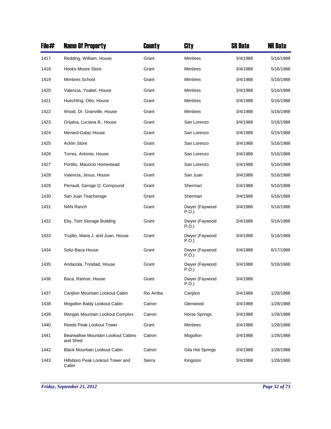| File# | <b>Name Of Property</b>                        | County     | City                    | <b>SR Date</b> | <b>NR Date</b> |
|-------|------------------------------------------------|------------|-------------------------|----------------|----------------|
| 1417  | Redding, William, House                        | Grant      | <b>Mimbres</b>          | 3/4/1988       | 5/16/1988      |
| 1418  | Hooks-Moore Store                              | Grant      | <b>Mimbres</b>          | 3/4/1988       | 5/16/1988      |
| 1419  | Mimbres School                                 | Grant      | <b>Mimbres</b>          | 3/4/1988       | 5/16/1988      |
| 1420  | Valencia, Ysabel, House                        | Grant      | Mimbres                 | 3/4/1988       | 5/16/1988      |
| 1421  | Huechling, Otto, House                         | Grant      | <b>Mimbres</b>          | 3/4/1988       | 5/16/1988      |
| 1422  | Wood, Dr. Granville, House                     | Grant      | <b>Mimbres</b>          | 3/4/1988       | 5/16/1988      |
| 1423  | Grijalva, Luciana B., House                    | Grant      | San Lorenzo             | 3/4/1988       | 5/16/1988      |
| 1424  | Menard-Galaz House                             | Grant      | San Lorenzo             | 3/4/1988       | 5/16/1988      |
| 1425  | <b>Acklin Store</b>                            | Grant      | San Lorenzo             | 3/4/1988       | 5/16/1988      |
| 1426  | Torres, Antonio, House                         | Grant      | San Lorenzo             | 3/4/1988       | 5/16/1988      |
| 1427  | Portillo, Mauricio Homestead                   | Grant      | San Lorenzo             | 3/4/1988       | 5/16/1988      |
| 1428  | Valencia, Jesus, House                         | Grant      | San Juan                | 3/4/1988       | 5/16/1988      |
| 1429  | Perrault, Geroge O. Compound                   | Grant      | Sherman                 | 3/4/1988       | 5/16/1988      |
| 1430  | San Juan Teacherage                            | Grant      | Sherman                 | 3/4/1988       | 5/16/1988      |
| 1431  | <b>NAN Ranch</b>                               | Grant      | Dwyer (Faywood<br>P.O.) | 3/4/1988       | 5/16/1988      |
| 1432  | Eby, Tom Storage Building                      | Grant      | Dwyer (Faywood<br>P.O.) | 3/4/1988       | 5/16/1988      |
| 1433  | Trujillo, Maria J. and Juan, House             | Grant      | Dwyer (Faywood<br>P.O.) | 3/4/1988       | 5/16/1988      |
| 1434  | Soliz-Baca House                               | Grant      | Dwyer (Faywood<br>P.O.) | 3/4/1988       | 6/17/1988      |
| 1435  | Andazola, Trinidad, House                      | Grant      | Dwyer (Faywood<br>P.O.) | 3/4/1988       | 5/16/1988      |
| 1436  | Baca, Ramon, House                             | Grant      | Dwyer (Faywood<br>P.O.) | 3/4/1988       |                |
| 1437  | Canjilon Mountain Lookout Cabin                | Rio Arriba | Canjilon                | 3/4/1988       | 1/28/1988      |
| 1438  | Mogollon Baldy Lookout Cabin                   | Catron     | Glenwood                | 3/4/1988       | 1/28/1988      |
| 1439  | Mangas Mountain Lookout Complex                | Catron     | Horse Springs           | 3/4/1988       | 1/28/1988      |
| 1440  | Reeds Peak Lookout Tower                       | Grant      | Mimbres                 | 3/4/1988       | 1/28/1988      |
| 1441  | Bearwallow Mountain Lookout Cabins<br>and Shed | Catron     | Mogollon                | 3/4/1988       | 1/28/1988      |
| 1442  | <b>Black Mountain Lookout Cabin</b>            | Catron     | Gila Hot Springs        | 3/4/1988       | 1/28/1988      |
| 1443  | Hillsboro Peak Lookout Tower and<br>Cabin      | Sierra     | Kingston                | 3/4/1988       | 1/28/1988      |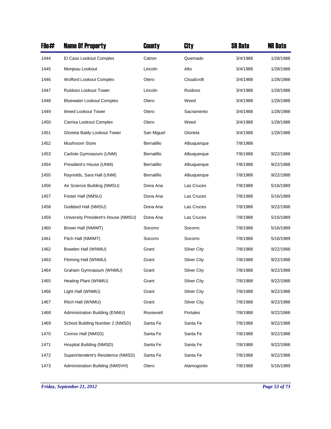| File# | <b>Name Of Property</b>             | County     | City               | <b>SR Date</b> | <b>NR Date</b> |
|-------|-------------------------------------|------------|--------------------|----------------|----------------|
| 1444  | El Caso Lookout Complex             | Catron     | Quemado            | 3/4/1988       | 1/28/1988      |
| 1445  | Monjeau Lookout                     | Lincoln    | Alto               | 3/4/1988       | 1/28/1988      |
| 1446  | Wofford Lookout Complex             | Otero      | Cloudcroft         | 3/4/1988       | 1/28/1988      |
| 1447  | Ruidoso Lookout Tower               | Lincoln    | Ruidoso            | 3/4/1988       | 1/28/1988      |
| 1448  | <b>Bluewater Lookout Complex</b>    | Otero      | Weed               | 3/4/1988       | 1/28/1988      |
| 1449  | Weed Lookout Tower                  | Otero      | Sacramento         | 3/4/1988       | 1/28/1988      |
| 1450  | Carrisa Lookout Complex             | Otero      | Weed               | 3/4/1988       | 1/28/1988      |
| 1451  | Glorieta Baldy Lookout Tower        | San Miguel | Glorieta           | 3/4/1988       | 1/28/1988      |
| 1452  | <b>Mushroom Store</b>               | Bernalillo | Albuquerque        | 7/8/1988       |                |
| 1453  | Carlisle Gymnasium (UNM)            | Bernalillo | Albuquerque        | 7/8/1988       | 9/22/1988      |
| 1454  | President's House (UNM)             | Bernalillo | Albuquerque        | 7/8/1988       | 9/22/1988      |
| 1455  | Raynolds, Sara Hall (UNM)           | Bernalillo | Albuquerque        | 7/8/1988       | 9/22/1988      |
| 1456  | Air Science Building (NMSU)         | Dona Ana   | Las Cruces         | 7/8/1988       | 5/16/1989      |
| 1457  | Foster Hall (NMSU)                  | Dona Ana   | Las Cruces         | 7/8/1988       | 5/16/1989      |
| 1458  | Goddard Hall (NMSU)                 | Dona Ana   | Las Cruces         | 7/8/1988       | 9/22/1988      |
| 1459  | University President's House (NMSU) | Dona Ana   | Las Cruces         | 7/8/1988       | 5/16/1989      |
| 1460  | Brown Hall (NMIMT)                  | Socorro    | Socorro            | 7/8/1988       | 5/16/1989      |
| 1461  | Fitch Hall (NMIMT)                  | Socorro    | Socorro            | 7/8/1988       | 5/16/1989      |
| 1462  | Bowden Hall (WNMU)                  | Grant      | <b>Silver City</b> | 7/8/1988       | 9/22/1988      |
| 1463  | Fleming Hall (WNMU)                 | Grant      | <b>Silver City</b> | 7/8/1988       | 9/22/1988      |
| 1464  | Graham Gymnasium (WNMU)             | Grant      | Silver City        | 7/8/1988       | 9/22/1988      |
| 1465  | Heating Plant (WNMU)                | Grant      | <b>Silver City</b> | 7/8/1988       | 9/22/1988      |
| 1466  | Light Hall (WNMU)                   | Grant      | <b>Silver City</b> | 7/8/1988       | 9/22/1988      |
| 1467  | Ritch Hall (WNMU)                   | Grant      | Silver City        | 7/8/1988       | 9/22/1988      |
| 1468  | Administration Building (ENMU)      | Roosevelt  | Portales           | 7/8/1988       | 9/22/1988      |
| 1469  | School Building Number 2 (NMSD)     | Santa Fe   | Santa Fe           | 7/8/1988       | 9/22/1988      |
| 1470  | Connor Hall (NMSD)                  | Santa Fe   | Santa Fe           | 7/8/1988       | 9/22/1988      |
| 1471  | Hospital Building (NMSD)            | Santa Fe   | Santa Fe           | 7/8/1988       | 9/22/1988      |
| 1472  | Superintendent's Residence (NMSD)   | Santa Fe   | Santa Fe           | 7/8/1988       | 9/22/1988      |
| 1473  | Administration Building (NMSVH)     | Otero      | Alamogordo         | 7/8/1988       | 5/16/1989      |

*Friday, September 21, 2012 Page 53 of 73*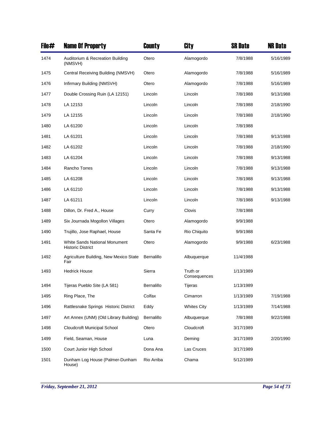| File# | <b>Name Of Property</b>                                   | <b>County</b> | <b>City</b>              | <b>SR Date</b> | <b>NR Date</b> |
|-------|-----------------------------------------------------------|---------------|--------------------------|----------------|----------------|
| 1474  | Auditorium & Recreation Building<br>(NMSVH)               | Otero         | Alamogordo               | 7/8/1988       | 5/16/1989      |
| 1475  | Central Receiving Building (NMSVH)                        | Otero         | Alamogordo               | 7/8/1988       | 5/16/1989      |
| 1476  | Infirmary Building (NMSVH)                                | Otero         | Alamogordo               | 7/8/1988       | 5/16/1989      |
| 1477  | Double Crossing Ruin (LA 12151)                           | Lincoln       | Lincoln                  | 7/8/1988       | 9/13/1988      |
| 1478  | LA 12153                                                  | Lincoln       | Lincoln                  | 7/8/1988       | 2/18/1990      |
| 1479  | LA 12155                                                  | Lincoln       | Lincoln                  | 7/8/1988       | 2/18/1990      |
| 1480  | LA 61200                                                  | Lincoln       | Lincoln                  | 7/8/1988       |                |
| 1481  | LA 61201                                                  | Lincoln       | Lincoln                  | 7/8/1988       | 9/13/1988      |
| 1482  | LA 61202                                                  | Lincoln       | Lincoln                  | 7/8/1988       | 2/18/1990      |
| 1483  | LA 61204                                                  | Lincoln       | Lincoln                  | 7/8/1988       | 9/13/1988      |
| 1484  | Rancho Torres                                             | Lincoln       | Lincoln                  | 7/8/1988       | 9/13/1988      |
| 1485  | LA 61208                                                  | Lincoln       | Lincoln                  | 7/8/1988       | 9/13/1988      |
| 1486  | LA 61210                                                  | Lincoln       | Lincoln                  | 7/8/1988       | 9/13/1988      |
| 1487  | LA 61211                                                  | Lincoln       | Lincoln                  | 7/8/1988       | 9/13/1988      |
| 1488  | Dillon, Dr. Fred A., House                                | Curry         | Clovis                   | 7/8/1988       |                |
| 1489  | Six Journada Mogollon Villages                            | Otero         | Alamogordo               | 9/9/1988       |                |
| 1490  | Trujillo, Jose Raphael, House                             | Santa Fe      | Rio Chiquito             | 9/9/1988       |                |
| 1491  | White Sands National Monument<br><b>Historic District</b> | Otero         | Alamogordo               | 9/9/1988       | 6/23/1988      |
| 1492  | Agriculture Building, New Mexico State<br>Fair            | Bernalillo    | Albuquerque              | 11/4/1988      |                |
| 1493  | <b>Hedrick House</b>                                      | Sierra        | Truth or<br>Consequences | 1/13/1989      |                |
| 1494  | Tijeras Pueblo Site (LA 581)                              | Bernalillo    | Tijeras                  | 1/13/1989      |                |
| 1495  | Ring Place, The                                           | Colfax        | Cimarron                 | 1/13/1989      | 7/19/1988      |
| 1496  | Rattlesnake Springs Historic District                     | Eddy          | <b>Whites City</b>       | 1/13/1989      | 7/14/1988      |
| 1497  | Art Annex (UNM) (Old Library Building)                    | Bernalillo    | Albuquerque              | 7/8/1988       | 9/22/1988      |
| 1498  | <b>Cloudcroft Municipal School</b>                        | Otero         | Cloudcroft               | 3/17/1989      |                |
| 1499  | Field, Seaman, House                                      | Luna          | Deming                   | 3/17/1989      | 2/20/1990      |
| 1500  | Court Junior High School                                  | Dona Ana      | Las Cruces               | 3/17/1989      |                |
| 1501  | Dunham Log House (Palmer-Dunham<br>House)                 | Rio Arriba    | Chama                    | 5/12/1989      |                |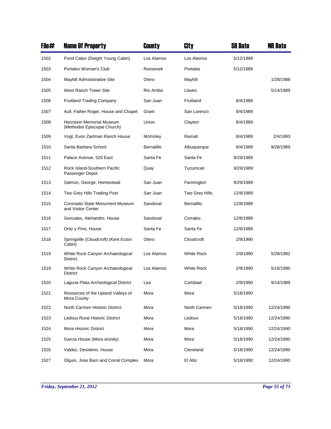| File# | <b>Name Of Property</b>                                   | County          | City              | <b>SR Date</b> | <b>NR Date</b> |
|-------|-----------------------------------------------------------|-----------------|-------------------|----------------|----------------|
| 1502  | Pond Cabin (Dwight Young Cabin)                           | Los Alamos      | Los Alamos        | 5/12/1989      |                |
| 1503  | Portales Woman's Club                                     | Roosevelt       | Portales          | 5/12/1989      |                |
| 1504  | Mayhill Administrative Site                               | Otero           | Mayhill           |                | 1/28/1988      |
| 1505  | West Ranch Tower Site                                     | Rio Arriba      | Llaves            |                | 5/14/1989      |
| 1506  | <b>Fruitland Trading Company</b>                          | San Juan        | Fruitland         | 8/4/1989       |                |
| 1507  | Aull, Father Roger, House and Chapel                      | Grant           | San Lorenzo       | 8/4/1989       |                |
| 1508  | Herzstein Memorial Museum<br>(Methodist Episcopal Church) | Union           | Clayton           | 8/4/1989       |                |
| 1509  | Vogt, Evon Zartman Ranch House                            | <b>McKinley</b> | Ramah             | 8/4/1989       | 2/4/1993       |
| 1510  | Santa Barbara School                                      | Bernalillo      | Albuquerque       | 8/4/1989       | 9/28/1989      |
| 1511  | Palace Avenue, 525 East                                   | Santa Fe        | Santa Fe          | 9/29/1989      |                |
| 1512  | Rock Island-Southern Pacific<br>Passenger Depot           | Quay            | Tucumcari         | 9/29/1989      |                |
| 1513  | Salmon, George, Homestead                                 | San Juan        | Farmington        | 9/29/1989      |                |
| 1514  | Two Grey Hills Trading Post                               | San Juan        | Two Grey Hills    | 12/8/1989      |                |
| 1515  | Coronado State Monument Museum<br>and Visitor Center      | Sandoval        | Bernalillo        | 12/8/1989      |                |
| 1516  | Gonzales, Alehandro, House                                | Sandoval        | Corrales          | 12/8/1989      |                |
| 1517  | Ortiz y Pino, House                                       | Santa Fe        | Santa Fe          | 12/8/1989      |                |
| 1518  | Springville (Cloudcroft) (Kent Ecton<br>Cabin)            | Otero           | Cloudcroft        | 2/9/1990       |                |
| 1519  | White Rock Canyon Archaeological<br><b>District</b>       | Los Alamos      | <b>White Rock</b> | 2/9/1990       | 5/28/1992      |
| 1519  | White Rock Canyon Archaeological<br><b>District</b>       | Los Alamos      | <b>White Rock</b> | 2/9/1990       | 5/18/1990      |
| 1520  | Laguna Plata Archeological District                       | Lea             | Carlsbad          | 2/9/1990       | 9/14/1989      |
| 1521  | Resources of the Upland Valleys of<br>Mora County         | Mora            | Mora              | 5/18/1990      |                |
| 1522  | North Carmen Historic District                            | Mora            | North Carmen      | 5/18/1990      | 12/24/1990     |
| 1523  | Ledoux Rural Historic District                            | Mora            | Ledoux            | 5/18/1990      | 12/24/1990     |
| 1524  | Mora Historic District                                    | Mora            | Mora              | 5/18/1990      | 12/24/1990     |
| 1525  | Garcia House (Mora vicinity)                              | Mora            | Mora              | 5/18/1990      | 12/24/1990     |
| 1526  | Valdez, Desiderio, House                                  | Mora            | Cleveland         | 5/18/1990      | 12/24/1990     |
| 1527  | Olguin, Jose Barn and Corral Complex                      | Mora            | El Alto           | 5/18/1990      | 12/24/1990     |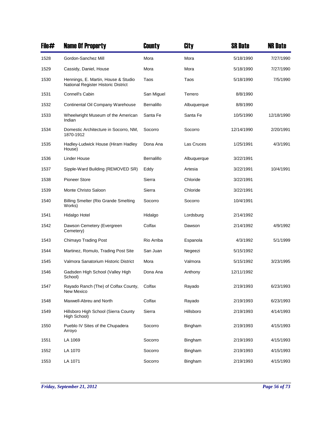| File# | <b>Name Of Property</b>                                                    | County     | City        | <b>SR Date</b> | <b>NR Date</b> |
|-------|----------------------------------------------------------------------------|------------|-------------|----------------|----------------|
| 1528  | Gordon-Sanchez Mill                                                        | Mora       | Mora        | 5/18/1990      | 7/27/1990      |
| 1529  | Cassidy, Daniel, House                                                     | Mora       | Mora        | 5/18/1990      | 7/27/1990      |
| 1530  | Hennings, E. Martin, House & Studio<br>National Register Historic District | Taos       | Taos        | 5/18/1990      | 7/5/1990       |
| 1531  | Connell's Cabin                                                            | San Miguel | Terrero     | 8/8/1990       |                |
| 1532  | Continental Oil Company Warehouse                                          | Bernalillo | Albuquerque | 8/8/1990       |                |
| 1533  | Wheelwright Museum of the American<br>Indian                               | Santa Fe   | Santa Fe    | 10/5/1990      | 12/18/1990     |
| 1534  | Domestic Architecture in Socorro, NM,<br>1870-1912                         | Socorro    | Socorro     | 12/14/1990     | 2/20/1991      |
| 1535  | Hadley-Ludwick House (Hiram Hadley<br>House)                               | Dona Ana   | Las Cruces  | 1/25/1991      | 4/3/1991       |
| 1536  | Linder House                                                               | Bernalillo | Albuquerque | 3/22/1991      |                |
| 1537  | Sipple-Ward Building (REMOVED SR)                                          | Eddy       | Artesia     | 3/22/1991      | 10/4/1991      |
| 1538  | <b>Pioneer Store</b>                                                       | Sierra     | Chloride    | 3/22/1991      |                |
| 1539  | Monte Christo Saloon                                                       | Sierra     | Chloride    | 3/22/1991      |                |
| 1540  | <b>Billing Smelter (Rio Grande Smelting</b><br>Works)                      | Socorro    | Socorro     | 10/4/1991      |                |
| 1541  | Hidalgo Hotel                                                              | Hidalgo    | Lordsburg   | 2/14/1992      |                |
| 1542  | Dawson Cemetery (Evergreen<br>Cemetery)                                    | Colfax     | Dawson      | 2/14/1992      | 4/9/1992       |
| 1543  | <b>Chimayo Trading Post</b>                                                | Rio Arriba | Espanola    | 4/3/1992       | 5/1/1999       |
| 1544  | Martinez, Romulo, Trading Post Site                                        | San Juan   | Negeezi     | 5/15/1992      |                |
| 1545  | Valmora Sanatorium Historic District                                       | Mora       | Valmora     | 5/15/1992      | 3/23/1995      |
| 1546  | Gadsden High School (Valley High<br>School)                                | Dona Ana   | Anthony     | 12/11/1992     |                |
| 1547  | Rayado Ranch (The) of Colfax County,<br>New Mexico                         | Colfax     | Rayado      | 2/19/1993      | 6/23/1993      |
| 1548  | Maxwell-Abreu and North                                                    | Colfax     | Rayado      | 2/19/1993      | 6/23/1993      |
| 1549  | Hillsboro High School (Sierra County<br>High School)                       | Sierra     | Hillsboro   | 2/19/1993      | 4/14/1993      |
| 1550  | Pueblo IV Sites of the Chupadera<br>Arroyo                                 | Socorro    | Bingham     | 2/19/1993      | 4/15/1993      |
| 1551  | LA 1069                                                                    | Socorro    | Bingham     | 2/19/1993      | 4/15/1993      |
| 1552  | LA 1070                                                                    | Socorro    | Bingham     | 2/19/1993      | 4/15/1993      |
| 1553  | LA 1071                                                                    | Socorro    | Bingham     | 2/19/1993      | 4/15/1993      |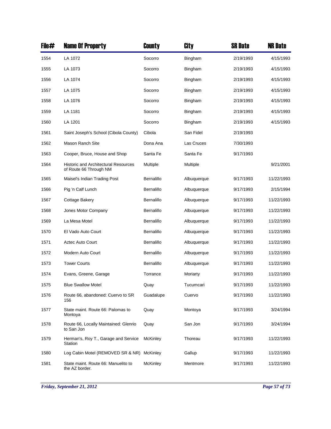| File# | <b>Name Of Property</b>                                               | County            | City           | <b>SR Date</b> | <b>NR Date</b> |
|-------|-----------------------------------------------------------------------|-------------------|----------------|----------------|----------------|
| 1554  | LA 1072                                                               | Socorro           | Bingham        | 2/19/1993      | 4/15/1993      |
| 1555  | LA 1073                                                               | Socorro           | Bingham        | 2/19/1993      | 4/15/1993      |
| 1556  | LA 1074                                                               | Socorro           | Bingham        | 2/19/1993      | 4/15/1993      |
| 1557  | LA 1075                                                               | Socorro           | <b>Bingham</b> | 2/19/1993      | 4/15/1993      |
| 1558  | LA 1076                                                               | Socorro           | Bingham        | 2/19/1993      | 4/15/1993      |
| 1559  | LA 1181                                                               | Socorro           | Bingham        | 2/19/1993      | 4/15/1993      |
| 1560  | LA 1201                                                               | Socorro           | Bingham        | 2/19/1993      | 4/15/1993      |
| 1561  | Saint Joseph's School (Cibola County)                                 | Cibola            | San Fidel      | 2/19/1993      |                |
| 1562  | <b>Mason Ranch Site</b>                                               | Dona Ana          | Las Cruces     | 7/30/1993      |                |
| 1563  | Cooper, Bruce, House and Shop                                         | Santa Fe          | Santa Fe       | 9/17/1993      |                |
| 1564  | <b>Historic and Architectural Resources</b><br>of Route 66 Through NM | Multiple          | Multiple       |                | 9/21/2001      |
| 1565  | Maisel's Indian Trading Post                                          | Bernalillo        | Albuquerque    | 9/17/1993      | 11/22/1993     |
| 1566  | Pig 'n Calf Lunch                                                     | Bernalillo        | Albuquerque    | 9/17/1993      | 2/15/1994      |
| 1567  | Cottage Bakery                                                        | Bernalillo        | Albuquerque    | 9/17/1993      | 11/22/1993     |
| 1568  | Jones Motor Company                                                   | Bernalillo        | Albuquerque    | 9/17/1993      | 11/22/1993     |
| 1569  | La Mesa Motel                                                         | <b>Bernalillo</b> | Albuquerque    | 9/17/1993      | 11/22/1993     |
| 1570  | El Vado Auto Court                                                    | <b>Bernalillo</b> | Albuquerque    | 9/17/1993      | 11/22/1993     |
| 1571  | <b>Aztec Auto Court</b>                                               | Bernalillo        | Albuquerque    | 9/17/1993      | 11/22/1993     |
| 1572  | Modern Auto Court                                                     | Bernalillo        | Albuquerque    | 9/17/1993      | 11/22/1993     |
| 1573  | <b>Tower Courts</b>                                                   | Bernalillo        | Albuquerque    | 9/17/1993      | 11/22/1993     |
| 1574  | Evans, Greene, Garage                                                 | Torrance          | Moriarty       | 9/17/1993      | 11/22/1993     |
| 1575  | <b>Blue Swallow Motel</b>                                             | Quay              | Tucumcari      | 9/17/1993      | 11/22/1993     |
| 1576  | Route 66, abandoned: Cuervo to SR<br>156                              | Guadalupe         | Cuervo         | 9/17/1993      | 11/22/1993     |
| 1577  | State maint. Route 66: Palomas to<br>Montoya                          | Quay              | Montoya        | 9/17/1993      | 3/24/1994      |
| 1578  | Route 66, Locally Maintained: Glenrio<br>to San Jon                   | Quay              | San Jon        | 9/17/1993      | 3/24/1994      |
| 1579  | Herman's, Roy T., Garage and Service<br>Station                       | <b>McKinley</b>   | Thoreau        | 9/17/1993      | 11/22/1993     |
| 1580  | Log Cabin Motel (REMOVED SR & NR)                                     | McKinley          | Gallup         | 9/17/1993      | 11/22/1993     |
| 1581  | State maint. Route 66: Manuelito to<br>the AZ border.                 | <b>McKinley</b>   | Mentmore       | 9/17/1993      | 11/22/1993     |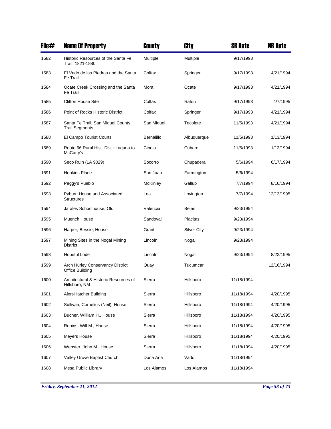| File# | <b>Name Of Property</b>                                    | County          | City               | <b>SR Date</b> | <b>NR Date</b> |
|-------|------------------------------------------------------------|-----------------|--------------------|----------------|----------------|
| 1582  | Historic Resources of the Santa Fe<br>Trail, 1821-1880     | Multiple        | Multiple           | 9/17/1993      |                |
| 1583  | El Vado de las Piedras and the Santa<br>Fe Trail           | Colfax          | Springer           | 9/17/1993      | 4/21/1994      |
| 1584  | Ocate Creek Crossing and the Santa<br>Fe Trail             | Mora            | Ocate              | 9/17/1993      | 4/21/1994      |
| 1585  | <b>Clifton House Site</b>                                  | Colfax          | Raton              | 9/17/1993      | 4/7/1995       |
| 1586  | Point of Rocks Historic District                           | Colfax          | Springer           | 9/17/1993      | 4/21/1994      |
| 1587  | Santa Fe Trail, San Miguel County<br><b>Trail Segments</b> | San Miguel      | Tecolote           | 11/5/1993      | 4/21/1994      |
| 1588  | El Campo Tourist Courts                                    | Bernalillo      | Albuquerque        | 11/5/1993      | 1/13/1994      |
| 1589  | Route 66 Rural Hist. Dist.: Laguna to<br>McCarty's         | Cibola          | Cubero             | 11/5/1993      | 1/13/1994      |
| 1590  | Seco Ruin (LA 9029)                                        | Socorro         | Chupadera          | 5/6/1994       | 6/17/1994      |
| 1591  | <b>Hopkins Place</b>                                       | San Juan        | Farmington         | 5/6/1994       |                |
| 1592  | Peggy's Pueblo                                             | <b>McKinley</b> | Gallup             | 7/7/1994       | 8/16/1994      |
| 1593  | Pyburn House and Associated<br><b>Structures</b>           | Lea             | Lovington          | 7/7/1994       | 12/13/1995     |
| 1594  | Jarales Schoolhouse, Old                                   | Valencia        | Belen              | 9/23/1994      |                |
| 1595  | Muench House                                               | Sandoval        | Placitas           | 9/23/1994      |                |
| 1596  | Harper, Bessie, House                                      | Grant           | <b>Silver City</b> | 9/23/1994      |                |
| 1597  | Mining Sites in the Nogal Mining<br><b>District</b>        | Lincoln         | Nogal              | 9/23/1994      |                |
| 1598  | Hopeful Lode                                               | Lincoln         | Nogal              | 9/23/1994      | 8/22/1995      |
| 1599  | Arch Hurley Conservancy District<br>Office Building        | Quay            | Tucumcari          |                | 12/16/1994     |
| 1600  | Architectural & Historic Resources of<br>Hillsboro, NM     | Sierra          | Hillsboro          | 11/18/1994     |                |
| 1601  | Alert-Hatcher Building                                     | Sierra          | Hillsboro          | 11/18/1994     | 4/20/1995      |
| 1602  | Sullivan, Cornelius (Neil), House                          | Sierra          | Hillsboro          | 11/18/1994     | 4/20/1995      |
| 1603  | Bucher, William H., House                                  | Sierra          | Hillsboro          | 11/18/1994     | 4/20/1995      |
| 1604  | Robins, Will M., House                                     | Sierra          | Hillsboro          | 11/18/1994     | 4/20/1995      |
| 1605  | Meyers House                                               | Sierra          | Hillsboro          | 11/18/1994     | 4/20/1995      |
| 1606  | Webster, John M., House                                    | Sierra          | Hillsboro          | 11/18/1994     | 4/20/1995      |
| 1607  | Valley Grove Baptist Church                                | Dona Ana        | Vado               | 11/18/1994     |                |
| 1608  | Mesa Public Library                                        | Los Alamos      | Los Alamos         | 11/18/1994     |                |

*Friday, September 21, 2012 Page 58 of 73*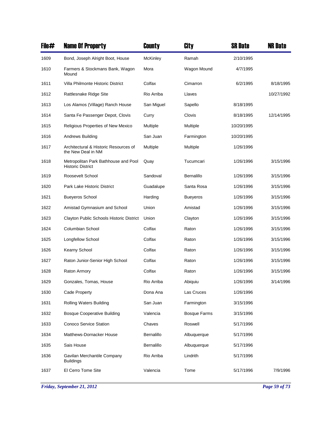| File# | <b>Name Of Property</b>                                          | County            | City                | <b>SR Date</b> | <b>NR Date</b> |
|-------|------------------------------------------------------------------|-------------------|---------------------|----------------|----------------|
| 1609  | Bond, Joseph Alright Boot, House                                 | McKinley          | Ramah               | 2/10/1995      |                |
| 1610  | Farmers & Stockmans Bank, Wagon<br>Mound                         | Mora              | Wagon Mound         | 4/7/1995       |                |
| 1611  | Villa Philmonte Historic District                                | Colfax            | Cimarron            | 6/2/1995       | 8/18/1995      |
| 1612  | Rattlesnake Ridge Site                                           | Rio Arriba        | Llaves              |                | 10/27/1992     |
| 1613  | Los Alamos (Village) Ranch House                                 | San Miguel        | Sapello             | 8/18/1995      |                |
| 1614  | Santa Fe Passenger Depot, Clovis                                 | Curry             | Clovis              | 8/18/1995      | 12/14/1995     |
| 1615  | Religious Properties of New Mexico                               | Multiple          | Multiple            | 10/20/1995     |                |
| 1616  | Andrews Building                                                 | San Juan          | Farmington          | 10/20/1995     |                |
| 1617  | Architectural & Historic Resources of<br>the New Deal in NM      | Multiple          | Multiple            | 1/26/1996      |                |
| 1618  | Metropolitan Park Bathhouse and Pool<br><b>Historic District</b> | Quay              | Tucumcari           | 1/26/1996      | 3/15/1996      |
| 1619  | Roosevelt School                                                 | Sandoval          | Bernalillo          | 1/26/1996      | 3/15/1996      |
| 1620  | Park Lake Historic District                                      | Guadalupe         | Santa Rosa          | 1/26/1996      | 3/15/1996      |
| 1621  | <b>Bueyeros School</b>                                           | Harding           | <b>Bueyeros</b>     | 1/26/1996      | 3/15/1996      |
| 1622  | Amistad Gymnasium and School                                     | Union             | Amistad             | 1/26/1996      | 3/15/1996      |
| 1623  | Clayton Public Schools Historic District                         | Union             | Clayton             | 1/26/1996      | 3/15/1996      |
| 1624  | Columbian School                                                 | Colfax            | Raton               | 1/26/1996      | 3/15/1996      |
| 1625  | Longfellow School                                                | Colfax            | Raton               | 1/26/1996      | 3/15/1996      |
| 1626  | Kearny School                                                    | Colfax            | Raton               | 1/26/1996      | 3/15/1996      |
| 1627  | Raton Junior-Senior High School                                  | Colfax            | Raton               | 1/26/1996      | 3/15/1996      |
| 1628  | <b>Raton Armory</b>                                              | Colfax            | Raton               | 1/26/1996      | 3/15/1996      |
| 1629  | Gonzales, Tomas, House                                           | Rio Arriba        | Abiquiu             | 1/26/1996      | 3/14/1996      |
| 1630  | Cade Property                                                    | Dona Ana          | Las Cruces          | 1/26/1996      |                |
| 1631  | Rolling Waters Building                                          | San Juan          | Farmington          | 3/15/1996      |                |
| 1632  | <b>Bosque Cooperative Building</b>                               | Valencia          | <b>Bosque Farms</b> | 3/15/1996      |                |
| 1633  | <b>Conoco Service Station</b>                                    | Chaves            | Roswell             | 5/17/1996      |                |
| 1634  | Matthews-Dornacker House                                         | <b>Bernalillo</b> | Albuquerque         | 5/17/1996      |                |
| 1635  | Sais House                                                       | Bernalillo        | Albuquerque         | 5/17/1996      |                |
| 1636  | Gavilan Merchantile Company<br><b>Buildings</b>                  | Rio Arriba        | Lindrith            | 5/17/1996      |                |
| 1637  | El Cerro Tome Site                                               | Valencia          | Tome                | 5/17/1996      | 7/9/1996       |

*Friday, September 21, 2012 Page 59 of 73*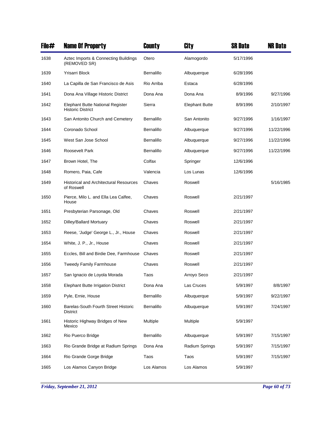| File# | <b>Name Of Property</b>                                      | County     | City                  | <b>SR Date</b> | <b>NR Date</b> |
|-------|--------------------------------------------------------------|------------|-----------------------|----------------|----------------|
| 1638  | Aztec Imports & Connecting Buildings<br>(REMOVED SR)         | Otero      | Alamogordo            | 5/17/1996      |                |
| 1639  | Yrisarri Block                                               | Bernalillo | Albuquerque           | 6/28/1996      |                |
| 1640  | La Capilla de San Francisco de Asis                          | Rio Arriba | Estaca                | 6/28/1996      |                |
| 1641  | Dona Ana Village Historic District                           | Dona Ana   | Dona Ana              | 8/9/1996       | 9/27/1996      |
| 1642  | Elephant Butte National Register<br><b>Historic District</b> | Sierra     | <b>Elephant Butte</b> | 8/9/1996       | 2/10/1997      |
| 1643  | San Antonito Church and Cemetery                             | Bernalillo | San Antonito          | 9/27/1996      | 1/16/1997      |
| 1644  | Coronado School                                              | Bernalillo | Albuquerque           | 9/27/1996      | 11/22/1996     |
| 1645  | West San Jose School                                         | Bernalillo | Albuquerque           | 9/27/1996      | 11/22/1996     |
| 1646  | Roosevelt Park                                               | Bernalillo | Albuquerque           | 9/27/1996      | 11/22/1996     |
| 1647  | Brown Hotel, The                                             | Colfax     | Springer              | 12/6/1996      |                |
| 1648  | Romero, Paia, Cafe                                           | Valencia   | Los Lunas             | 12/6/1996      |                |
| 1649  | <b>Historical and Architectural Resources</b><br>of Roswell  | Chaves     | Roswell               |                | 5/16/1985      |
| 1650  | Pierce, Milo L. and Ella Lea Calfee,<br>House                | Chaves     | Roswell               | 2/21/1997      |                |
| 1651  | Presbyterian Parsonage, Old                                  | Chaves     | Roswell               | 2/21/1997      |                |
| 1652  | Dilley/Ballard Mortuary                                      | Chaves     | Roswell               | 2/21/1997      |                |
| 1653  | Reese, 'Judge' George L., Jr., House                         | Chaves     | Roswell               | 2/21/1997      |                |
| 1654  | White, J. P., Jr., House                                     | Chaves     | Roswell               | 2/21/1997      |                |
| 1655  | Eccles, Bill and Birdie Dee, Farmhouse                       | Chaves     | Roswell               | 2/21/1997      |                |
| 1656  | <b>Tweedy Family Farmhouse</b>                               | Chaves     | Roswell               | 2/21/1997      |                |
| 1657  | San Ignacio de Loyola Morada                                 | Taos       | Arroyo Seco           | 2/21/1997      |                |
| 1658  | Elephant Butte Irrigation District                           | Dona Ana   | Las Cruces            | 5/9/1997       | 8/8/1997       |
| 1659  | Pyle, Ernie, House                                           | Bernalillo | Albuquerque           | 5/9/1997       | 9/22/1997      |
| 1660  | <b>Barelas-South Fourth Street Historic</b><br>District      | Bernalillo | Albuquerque           | 5/9/1997       | 7/24/1997      |
| 1661  | Historic Highway Bridges of New<br>Mexico                    | Multiple   | Multiple              | 5/9/1997       |                |
| 1662  | Rio Puerco Bridge                                            | Bernalillo | Albuquerque           | 5/9/1997       | 7/15/1997      |
| 1663  | Rio Grande Bridge at Radium Springs                          | Dona Ana   | Radium Springs        | 5/9/1997       | 7/15/1997      |
| 1664  | Rio Grande Gorge Bridge                                      | Taos       | Taos                  | 5/9/1997       | 7/15/1997      |
| 1665  | Los Alamos Canyon Bridge                                     | Los Alamos | Los Alamos            | 5/9/1997       |                |

*Friday, September 21, 2012 Page 60 of 73*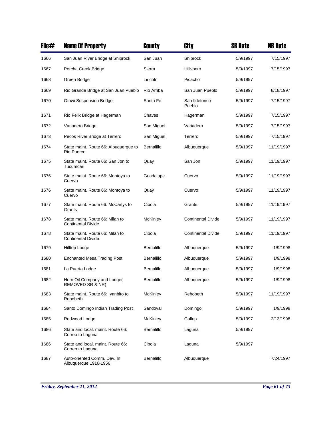| File# | <b>Name Of Property</b>                                      | County            | City                      | <b>SR Date</b> | <b>NR Date</b> |
|-------|--------------------------------------------------------------|-------------------|---------------------------|----------------|----------------|
| 1666  | San Juan River Bridge at Shiprock                            | San Juan          | Shiprock                  | 5/9/1997       | 7/15/1997      |
| 1667  | Percha Creek Bridge                                          | Sierra            | Hillsboro                 | 5/9/1997       | 7/15/1997      |
| 1668  | Green Bridge                                                 | Lincoln           | Picacho                   | 5/9/1997       |                |
| 1669  | Rio Grande Bridge at San Juan Pueblo                         | Rio Arriba        | San Juan Pueblo           | 5/9/1997       | 8/18/1997      |
| 1670  | Otowi Suspension Bridge                                      | Santa Fe          | San Ildefonso<br>Pueblo   | 5/9/1997       | 7/15/1997      |
| 1671  | Rio Felix Bridge at Hagerman                                 | Chaves            | Hagerman                  | 5/9/1997       | 7/15/1997      |
| 1672  | Variadero Bridge                                             | San Miguel        | Variadero                 | 5/9/1997       | 7/15/1997      |
| 1673  | Pecos River Bridge at Terrero                                | San Miguel        | Terrero                   | 5/9/1997       | 7/15/1997      |
| 1674  | State maint. Route 66: Albuquerque to<br>Rio Puerco          | <b>Bernalillo</b> | Albuquerque               | 5/9/1997       | 11/19/1997     |
| 1675  | State maint. Route 66: San Jon to<br>Tucumcari               | Quay              | San Jon                   | 5/9/1997       | 11/19/1997     |
| 1676  | State maint. Route 66: Montoya to<br>Cuervo                  | Guadalupe         | Cuervo                    | 5/9/1997       | 11/19/1997     |
| 1676  | State maint. Route 66: Montoya to<br>Cuervo                  | Quay              | Cuervo                    | 5/9/1997       | 11/19/1997     |
| 1677  | State maint. Route 66: McCartys to<br>Grants                 | Cibola            | Grants                    | 5/9/1997       | 11/19/1997     |
| 1678  | State maint. Route 66: Milan to<br><b>Continental Divide</b> | McKinley          | <b>Continental Divide</b> | 5/9/1997       | 11/19/1997     |
| 1678  | State maint. Route 66: Milan to<br><b>Continental Divide</b> | Cibola            | <b>Continental Divide</b> | 5/9/1997       | 11/19/1997     |
| 1679  | Hilltop Lodge                                                | Bernalillo        | Albuquerque               | 5/9/1997       | 1/9/1998       |
| 1680  | <b>Enchanted Mesa Trading Post</b>                           | Bernalillo        | Albuquerque               | 5/9/1997       | 1/9/1998       |
| 1681  | La Puerta Lodge                                              | <b>Bernalillo</b> | Albuquerque               | 5/9/1997       | 1/9/1998       |
| 1682  | Horn Oil Company and Lodge(<br>REMOVED SR & NR)              | Bernalillo        | Albuquerque               | 5/9/1997       | 1/9/1998       |
| 1683  | State maint. Route 66: Iyanbito to<br>Rehobeth               | <b>McKinley</b>   | Rehobeth                  | 5/9/1997       | 11/19/1997     |
| 1684  | Santo Domingo Indian Trading Post                            | Sandoval          | Domingo                   | 5/9/1997       | 1/9/1998       |
| 1685  | Redwood Lodge                                                | McKinley          | Gallup                    | 5/9/1997       | 2/13/1998      |
| 1686  | State and local. maint. Route 66:<br>Correo to Laguna        | Bernalillo        | Laguna                    | 5/9/1997       |                |
| 1686  | State and local. maint. Route 66:<br>Correo to Laguna        | Cibola            | Laguna                    | 5/9/1997       |                |
| 1687  | Auto-oriented Comm. Dev. In<br>Albuquerque 1916-1956         | Bernalillo        | Albuquerque               |                | 7/24/1997      |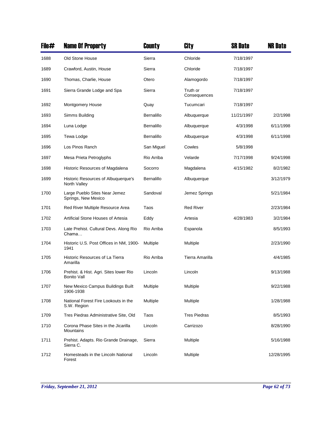| File# | <b>Name Of Property</b>                                      | County     | City                     | <b>SR Date</b> | <b>NR Date</b> |
|-------|--------------------------------------------------------------|------------|--------------------------|----------------|----------------|
| 1688  | Old Stone House                                              | Sierra     | Chloride                 | 7/18/1997      |                |
| 1689  | Crawford, Austin, House                                      | Sierra     | Chloride                 | 7/18/1997      |                |
| 1690  | Thomas, Charlie, House                                       | Otero      | Alamogordo               | 7/18/1997      |                |
| 1691  | Sierra Grande Lodge and Spa                                  | Sierra     | Truth or<br>Consequences | 7/18/1997      |                |
| 1692  | Montgomery House                                             | Quay       | Tucumcari                | 7/18/1997      |                |
| 1693  | Simms Building                                               | Bernalillo | Albuquerque              | 11/21/1997     | 2/2/1998       |
| 1694  | Luna Lodge                                                   | Bernalillo | Albuquerque              | 4/3/1998       | 6/11/1998      |
| 1695  | Tewa Lodge                                                   | Bernalillo | Albuquerque              | 4/3/1998       | 6/11/1998      |
| 1696  | Los Pinos Ranch                                              | San Miguel | Cowles                   | 5/8/1998       |                |
| 1697  | Mesa Prieta Petroglyphs                                      | Rio Arriba | Velarde                  | 7/17/1998      | 9/24/1998      |
| 1698  | Historic Resources of Magdalena                              | Socorro    | Magdalena                | 4/15/1982      | 8/2/1982       |
| 1699  | Historic Resources of Albuquerque's<br>North Valley          | Bernalillo | Albuquerque              |                | 3/12/1979      |
| 1700  | Large Pueblo Sites Near Jemez<br>Springs, New Mexico         | Sandoval   | Jemez Springs            |                | 5/21/1984      |
| 1701  | Red River Multiple Resource Area                             | Taos       | <b>Red River</b>         |                | 2/23/1984      |
| 1702  | Artificial Stone Houses of Artesia                           | Eddy       | Artesia                  | 4/28/1983      | 3/2/1984       |
| 1703  | Late Prehist. Cultural Devs. Along Rio<br>Chama              | Rio Arriba | Espanola                 |                | 8/5/1993       |
| 1704  | Historic U.S. Post Offices in NM, 1900-<br>1941              | Multiple   | Multiple                 |                | 2/23/1990      |
| 1705  | Historic Resources of La Tierra<br>Amarilla                  | Rio Arriba | Tierra Amarilla          |                | 4/4/1985       |
| 1706  | Prehist. & Hist. Agri. Sites lower Rio<br><b>Bonito Vall</b> | Lincoln    | Lincoln                  |                | 9/13/1988      |
| 1707  | New Mexico Campus Buildings Built<br>1906-1938               | Multiple   | Multiple                 |                | 9/22/1988      |
| 1708  | National Forest Fire Lookouts in the<br>S.W. Region          | Multiple   | Multiple                 |                | 1/28/1988      |
| 1709  | Tres Piedras Administrative Site, Old                        | Taos       | <b>Tres Piedras</b>      |                | 8/5/1993       |
| 1710  | Corona Phase Sites in the Jicarilla<br>Mountains             | Lincoln    | Carrizozo                |                | 8/28/1990      |
| 1711  | Prehist. Adapts. Rio Grande Drainage,<br>Sierra C.           | Sierra     | Multiple                 |                | 5/16/1988      |
| 1712  | Homesteads in the Lincoln National<br>Forest                 | Lincoln    | Multiple                 |                | 12/28/1995     |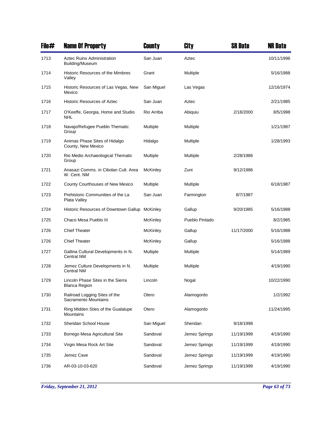| File# | <b>Name Of Property</b>                                | County          | City           | <b>SR Date</b> | <b>NR Date</b> |
|-------|--------------------------------------------------------|-----------------|----------------|----------------|----------------|
| 1713  | <b>Aztec Ruins Administration</b><br>Building/Museum   | San Juan        | Aztec          |                | 10/11/1996     |
| 1714  | Historic Resources of the Mimbres<br>Valley            | Grant           | Multiple       |                | 5/16/1988      |
| 1715  | Historic Resources of Las Vegas, New<br>Mexico         | San Miguel      | Las Vegas      |                | 12/16/1974     |
| 1716  | <b>Historic Resources of Aztec</b>                     | San Juan        | Aztec          |                | 2/21/1985      |
| 1717  | O'Keeffe, Georgia, Home and Studio<br>NHL              | Rio Arriba      | Abiquiu        | 2/18/2000      | 8/5/1998       |
| 1718  | Navajo/Refugee Pueblo Thematic<br>Group                | Multiple        | Multiple       |                | 1/21/1987      |
| 1719  | Animas Phase Sites of Hidalgo<br>County, New Mexico    | Hidalgo         | Multiple       |                | 1/28/1993      |
| 1720  | Rio Medio Archaeological Thematic<br>Group             | Multiple        | Multiple       | 2/28/1986      |                |
| 1721  | Anasazi Comms. in Cibolan Cult. Area<br>W. Cent. NM    | McKinley        | Zuni           | 9/12/1986      |                |
| 1722  | County Courthouses of New Mexico                       | Multiple        | Multiple       |                | 6/18/1987      |
| 1723  | Prehistoric Communities of the La<br>Plata Valley      | San Juan        | Farmington     | 8/7/1987       |                |
| 1724  | Historic Resources of Downtown Gallup                  | McKinley        | Gallup         | 9/20/1985      | 5/16/1988      |
| 1725  | Chaco Mesa Pueblo III                                  | McKinley        | Pueblo Pintado |                | 8/2/1985       |
| 1726  | <b>Chief Theater</b>                                   | <b>McKinley</b> | Gallup         | 11/17/2000     | 5/16/1988      |
| 1726  | <b>Chief Theater</b>                                   | <b>McKinley</b> | Gallup         |                | 5/16/1988      |
| 1727  | Gallina Cultural Developments in N.<br>Central NM      | Multiple        | Multiple       |                | 5/14/1989      |
| 1728  | Jemez Culture Developments in N.<br>Central NM         | Multiple        | Multiple       |                | 4/19/1990      |
| 1729  | Lincoln Phase Sites in the Sierra<br>Blanca Region     | Lincoln         | Nogal          |                | 10/22/1990     |
| 1730  | Railroad Logging Sites of the<br>Sacramento Mountains  | Otero           | Alamogordo     |                | 1/2/1992       |
| 1731  | Ring Midden Sties of the Gualalupe<br><b>Mountains</b> | Otero           | Alamogordo     |                | 11/24/1995     |
| 1732  | Sheridan School House                                  | San Miguel      | Sheridan       | 9/18/1998      |                |
| 1733  | Borrego Mesa Agricultural Site                         | Sandoval        | Jemez Springs  | 11/19/1999     | 4/19/1990      |
| 1734  | Virgin Mesa Rock Art Site                              | Sandoval        | Jemez Springs  | 11/19/1999     | 4/19/1990      |
| 1735  | Jemez Cave                                             | Sandoval        | Jemez Springs  | 11/19/1999     | 4/19/1990      |
| 1736  | AR-03-10-03-620                                        | Sandoval        | Jemez Springs  | 11/19/1999     | 4/19/1990      |

*Friday, September 21, 2012 Page 63 of 73*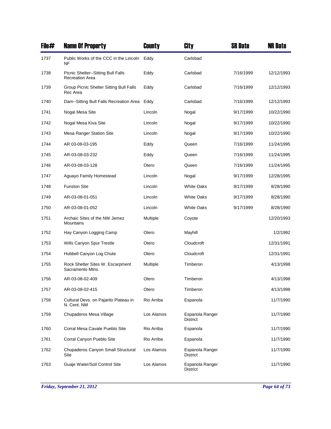| File# | <b>Name Of Property</b>                                      | <b>County</b> | City                               | <b>SR Date</b> | <b>NR Date</b> |
|-------|--------------------------------------------------------------|---------------|------------------------------------|----------------|----------------|
| 1737  | Public Works of the CCC in the Lincoln<br>NF                 | Eddy          | Carlsbad                           |                |                |
| 1738  | Picnic Shelter--Sitting Bull Falls<br><b>Recreation Area</b> | Eddy          | Carlsbad                           | 7/16/1999      | 12/12/1993     |
| 1739  | Group Picnic Shelter Sitting Bull Falls<br>Rec Area          | Eddy          | Carlsbad                           | 7/16/1999      | 12/12/1993     |
| 1740  | Dam--Sitting Bull Falls Recreation Area                      | Eddy          | Carlsbad                           | 7/16/1999      | 12/12/1993     |
| 1741  | Nogal Mesa Site                                              | Lincoln       | Nogal                              | 9/17/1999      | 10/22/1990     |
| 1742  | Nogal Mesa Kiva Site                                         | Lincoln       | Nogal                              | 9/17/1999      | 10/22/1990     |
| 1743  | Mesa Ranger Station Site                                     | Lincoln       | Nogal                              | 9/17/1999      | 10/22/1990     |
| 1744  | AR 03-08-03-195                                              | Eddy          | Queen                              | 7/16/1999      | 11/24/1995     |
| 1745  | AR-03-08-03-232                                              | Eddy          | Queen                              | 7/16/1999      | 11/24/1995     |
| 1746  | AR-03-08-03-128                                              | Otero         | Queen                              | 7/16/1999      | 11/24/1995     |
| 1747  | Aguayo Family Homestead                                      | Lincoln       | Nogal                              | 9/17/1999      | 12/28/1995     |
| 1748  | <b>Funston Site</b>                                          | Lincoln       | <b>White Oaks</b>                  | 9/17/1999      | 8/28/1990      |
| 1749  | AR-03-08-01-051                                              | Lincoln       | <b>White Oaks</b>                  | 9/17/1999      | 8/28/1990      |
| 1750  | AR-03-08-01-052                                              | Lincoln       | <b>White Oaks</b>                  | 9/17/1999      | 8/28/1990      |
| 1751  | Archaic Sites of the NW Jemez<br>Mountains                   | Multiple      | Coyote                             |                | 12/20/1993     |
| 1752  | Hay Canyon Logging Camp                                      | Otero         | Mayhill                            |                | 1/2/1992       |
| 1753  | Wills Canyon Spur Trestle                                    | Otero         | Cloudcroft                         |                | 12/31/1991     |
| 1754  | Hubbell Canyon Log Chute                                     | Otero         | Cloudcroft                         |                | 12/31/1991     |
| 1755  | Rock Shelter Sites W. Escarpment<br>Sacramento Mtns.         | Multiple      | Timberon                           |                | 4/13/1998      |
| 1756  | AR-03-08-02-409                                              | Otero         | Timberon                           |                | 4/13/1998      |
| 1757  | AR-03-08-02-415                                              | Otero         | Timberon                           |                | 4/13/1998      |
| 1758  | Cultural Devs. on Pajarito Plateau in<br>N. Cent. NM         | Rio Arriba    | Espanola                           |                | 11/7/1990      |
| 1759  | Chupaderos Mesa Village                                      | Los Alamos    | Espanola Ranger<br><b>District</b> |                | 11/7/1990      |
| 1760  | Corral Mesa Cavate Pueblo Site                               | Rio Arriba    | Espanola                           |                | 11/7/1990      |
| 1761  | Corral Canyon Pueblo Site                                    | Rio Arriba    | Espanola                           |                | 11/7/1990      |
| 1762  | Chupaderos Canyon Small Structural<br>Site                   | Los Alamos    | Espanola Ranger<br>District        |                | 11/7/1990      |
| 1763  | Guaje Water/Soil Control Site                                | Los Alamos    | Espanola Ranger<br>District        |                | 11/7/1990      |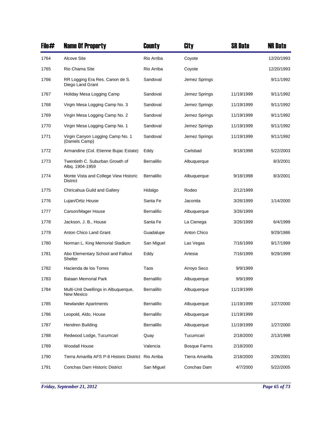| File# | <b>Name Of Property</b>                                  | County            | City                | <b>SR Date</b> | <b>NR Date</b> |
|-------|----------------------------------------------------------|-------------------|---------------------|----------------|----------------|
| 1764  | <b>Alcove Site</b>                                       | Rio Arriba        | Coyote              |                | 12/20/1993     |
| 1765  | Rio Chama Site                                           | Rio Arriba        | Coyote              |                | 12/20/1993     |
| 1766  | RR Logging Era Res. Canon de S.<br>Diego Land Grant      | Sandoval          | Jemez Springs       |                | 9/11/1992      |
| 1767  | Holiday Mesa Logging Camp                                | Sandoval          | Jemez Springs       | 11/19/1999     | 9/11/1992      |
| 1768  | Virgin Mesa Logging Camp No. 3                           | Sandoval          | Jemez Springs       | 11/19/1999     | 9/11/1992      |
| 1769  | Virgin Mesa Logging Camp No. 2                           | Sandoval          | Jemez Springs       | 11/19/1999     | 9/11/1992      |
| 1770  | Virgin Mesa Logging Camp No. 1                           | Sandoval          | Jemez Springs       | 11/19/1999     | 9/11/1992      |
| 1771  | Virgin Canyon Logging Camp No. 1<br>(Daniels Camp)       | Sandoval          | Jemez Springs       | 11/19/1999     | 9/11/1992      |
| 1772  | Armandine (Col. Etienne Bujac Estate)                    | Eddy              | Carlsbad            | 9/18/1998      | 5/22/2003      |
| 1773  | Twentieth C. Suburban Growth of<br>Albq. 1904-1959       | <b>Bernalillo</b> | Albuquerque         |                | 8/3/2001       |
| 1774  | Monte Vista and College View Historic<br><b>District</b> | Bernalillo        | Albuquerque         | 9/18/1998      | 8/3/2001       |
| 1775  | Chiricahua Guild and Gallery                             | Hidalgo           | Rodeo               | 2/12/1999      |                |
| 1776  | Lujan/Ortiz House                                        | Santa Fe          | Jaconita            | 3/26/1999      | 1/14/2000      |
| 1777  | Carson/Mager House                                       | Bernalillo        | Albuquerque         | 3/26/1999      |                |
| 1778  | Jackson, J. B., House                                    | Santa Fe          | La Cienega          | 3/26/1999      | 6/4/1999       |
| 1779  | Anton Chico Land Grant                                   | Guadalupe         | Anton Chico         |                | 9/29/1986      |
| 1780  | Norman L. King Memorial Stadium                          | San Miguel        | Las Vegas           | 7/16/1999      | 9/17/1999      |
| 1781  | Abo Elementary School and Fallout<br>Shelter             | Eddy              | Artesia             | 7/16/1999      | 9/29/1999      |
| 1782  | Hacienda de los Torres                                   | Taos              | Arroyo Seco         | 9/9/1999       |                |
| 1783  | <b>Bataan Memorial Park</b>                              | <b>Bernalillo</b> | Albuquerque         | 9/9/1999       |                |
| 1784  | Multi-Unit Dwellings in Albuquerque,<br>New Mexico       | Bernalillo        | Albuquerque         | 11/19/1999     |                |
| 1785  | <b>Newlander Apartments</b>                              | Bernalillo        | Albuquerque         | 11/19/1999     | 1/27/2000      |
| 1786  | Leopold, Aldo, House                                     | Bernalillo        | Albuquerque         | 11/19/1999     |                |
| 1787  | Hendren Building                                         | Bernalillo        | Albuquerque         | 11/19/1999     | 1/27/2000      |
| 1788  | Redwood Lodge, Tucumcari                                 | Quay              | Tucumcari           | 2/18/2000      | 2/13/1998      |
| 1789  | Woodall House                                            | Valencia          | <b>Bosque Farms</b> | 2/18/2000      |                |
| 1790  | Tierra Amarilla AFS P-8 Historic District Rio Arriba     |                   | Tierra Amarilla     | 2/18/2000      | 2/26/2001      |
| 1791  | Conchas Dam Historic District                            | San Miguel        | Conchas Dam         | 4/7/2000       | 5/22/2005      |

*Friday, September 21, 2012 Page 65 of 73*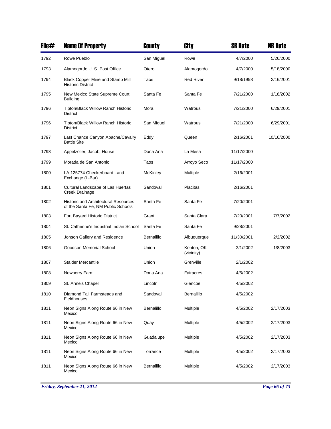| File# | <b>Name Of Property</b>                                                           | County          | City                     | <b>SR Date</b> | <b>NR Date</b> |
|-------|-----------------------------------------------------------------------------------|-----------------|--------------------------|----------------|----------------|
| 1792  | Rowe Pueblo                                                                       | San Miguel      | Rowe                     | 4/7/2000       | 5/26/2000      |
| 1793  | Alamogordo U. S. Post Office                                                      | Otero           | Alamogordo               | 4/7/2000       | 5/18/2000      |
| 1794  | <b>Black Copper Mine and Stamp Mill</b><br><b>Historic District</b>               | Taos            | <b>Red River</b>         | 9/18/1998      | 2/16/2001      |
| 1795  | New Mexico State Supreme Court<br><b>Building</b>                                 | Santa Fe        | Santa Fe                 | 7/21/2000      | 1/18/2002      |
| 1796  | Tipton/Black Willow Ranch Historic<br>District                                    | Mora            | Watrous                  | 7/21/2000      | 6/29/2001      |
| 1796  | Tipton/Black Willow Ranch Historic<br><b>District</b>                             | San Miguel      | Watrous                  | 7/21/2000      | 6/29/2001      |
| 1797  | Last Chance Canyon Apache/Cavalry<br><b>Battle Site</b>                           | Eddy            | Queen                    | 2/16/2001      | 10/16/2000     |
| 1798  | Appelzoller, Jacob, House                                                         | Dona Ana        | La Mesa                  | 11/17/2000     |                |
| 1799  | Morada de San Antonio                                                             | Taos            | Arroyo Seco              | 11/17/2000     |                |
| 1800  | LA 125774 Checkerboard Land<br>Exchange (L-Bar)                                   | <b>McKinley</b> | Multiple                 | 2/16/2001      |                |
| 1801  | Cultural Landscape of Las Huertas<br>Creek Drainage                               | Sandoval        | Placitas                 | 2/16/2001      |                |
| 1802  | <b>Historic and Architectural Resources</b><br>of the Santa Fe, NM Public Schools | Santa Fe        | Santa Fe                 | 7/20/2001      |                |
| 1803  | Fort Bayard Historic District                                                     | Grant           | Santa Clara              | 7/20/2001      | 7/7/2002       |
| 1804  | St. Catherine's Industrial Indian School                                          | Santa Fe        | Santa Fe                 | 9/28/2001      |                |
| 1805  | Jonson Gallery and Residence                                                      | Bernalillo      | Albuquerque              | 11/30/2001     | 2/2/2002       |
| 1806  | Goodson Memorial School                                                           | Union           | Kenton, OK<br>(vicinity) | 2/1/2002       | 1/8/2003       |
| 1807  | <b>Stalder Mercantile</b>                                                         | Union           | Grenville                | 2/1/2002       |                |
| 1808  | Newberry Farm                                                                     | Dona Ana        | Fairacres                | 4/5/2002       |                |
| 1809  | St. Anne's Chapel                                                                 | Lincoln         | Glencoe                  | 4/5/2002       |                |
| 1810  | Diamond Tail Farmsteads and<br>Fieldhouses                                        | Sandoval        | Bernalillo               | 4/5/2002       |                |
| 1811  | Neon Signs Along Route 66 in New<br>Mexico                                        | Bernalillo      | Multiple                 | 4/5/2002       | 2/17/2003      |
| 1811  | Neon Signs Along Route 66 in New<br>Mexico                                        | Quay            | Multiple                 | 4/5/2002       | 2/17/2003      |
| 1811  | Neon Signs Along Route 66 in New<br>Mexico                                        | Guadalupe       | Multiple                 | 4/5/2002       | 2/17/2003      |
| 1811  | Neon Signs Along Route 66 in New<br>Mexico                                        | Torrance        | Multiple                 | 4/5/2002       | 2/17/2003      |
| 1811  | Neon Signs Along Route 66 in New<br>Mexico                                        | Bernalillo      | Multiple                 | 4/5/2002       | 2/17/2003      |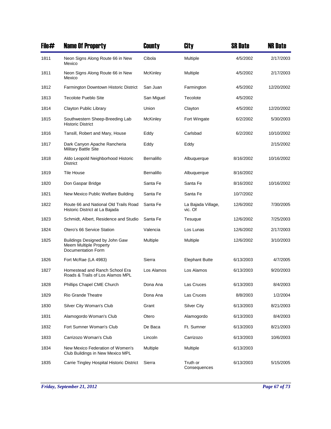| File# | <b>Name Of Property</b>                                                        | County          | City                          | <b>SR Date</b> | <b>NR Date</b> |
|-------|--------------------------------------------------------------------------------|-----------------|-------------------------------|----------------|----------------|
| 1811  | Neon Signs Along Route 66 in New<br>Mexico                                     | Cibola          | Multiple                      | 4/5/2002       | 2/17/2003      |
| 1811  | Neon Signs Along Route 66 in New<br>Mexico                                     | <b>McKinley</b> | Multiple                      | 4/5/2002       | 2/17/2003      |
| 1812  | Farmington Downtown Historic District                                          | San Juan        | Farmington                    | 4/5/2002       | 12/20/2002     |
| 1813  | <b>Tecolote Pueblo Site</b>                                                    | San Miguel      | Tecolote                      | 4/5/2002       |                |
| 1814  | Clayton Public Library                                                         | Union           | Clayton                       | 4/5/2002       | 12/20/2002     |
| 1815  | Southwestern Sheep-Breeding Lab<br><b>Historic District</b>                    | McKinley        | Fort Wingate                  | 6/2/2002       | 5/30/2003      |
| 1816  | Tansill, Robert and Mary, House                                                | Eddy            | Carlsbad                      | 6/2/2002       | 10/10/2002     |
| 1817  | Dark Canyon Apache Rancheria<br><b>Military Battle Site</b>                    | Eddy            | Eddy                          |                | 2/15/2002      |
| 1818  | Aldo Leopold Neighborhood Historic<br><b>District</b>                          | Bernalillo      | Albuquerque                   | 8/16/2002      | 10/16/2002     |
| 1819  | Tile House                                                                     | Bernalillo      | Albuquerque                   | 8/16/2002      |                |
| 1820  | Don Gaspar Bridge                                                              | Santa Fe        | Santa Fe                      | 8/16/2002      | 10/16/2002     |
| 1821  | New Mexico Public Welfare Building                                             | Santa Fe        | Santa Fe                      | 10/7/2002      |                |
| 1822  | Route 66 and National Old Trails Road<br>Historic District at La Bajada        | Santa Fe        | La Bajada Village,<br>vic. Of | 12/6/2002      | 7/30/2005      |
| 1823  | Schmidt, Albert, Residence and Studio                                          | Santa Fe        | Tesuque                       | 12/6/2002      | 7/25/2003      |
| 1824  | Otero's 66 Service Station                                                     | Valencia        | Los Lunas                     | 12/6/2002      | 2/17/2003      |
| 1825  | Buildings Designed by John Gaw<br>Meem Multiple Property<br>Documentation Form | Multiple        | Multiple                      | 12/6/2002      | 3/10/2003      |
| 1826  | Fort McRae (LA 4983)                                                           | Sierra          | <b>Elephant Butte</b>         | 6/13/2003      | 4/7/2005       |
| 1827  | Homestead and Ranch School Era<br>Roads & Trails of Los Alamos MPL             | Los Alamos      | Los Alamos                    | 6/13/2003      | 9/20/2003      |
| 1828  | Phillips Chapel CME Church                                                     | Dona Ana        | Las Cruces                    | 6/13/2003      | 8/4/2003       |
| 1829  | Rio Grande Theatre                                                             | Dona Ana        | Las Cruces                    | 8/8/2003       | 1/2/2004       |
| 1830  | Silver City Woman's Club                                                       | Grant           | Silver City                   | 6/13/2003      | 8/21/2003      |
| 1831  | Alamogordo Woman's Club                                                        | Otero           | Alamogordo                    | 6/13/2003      | 8/4/2003       |
| 1832  | Fort Sumner Woman's Club                                                       | De Baca         | Ft. Sumner                    | 6/13/2003      | 8/21/2003      |
| 1833  | Carrizozo Woman's Club                                                         | Lincoln         | Carrizozo                     | 6/13/2003      | 10/6/2003      |
| 1834  | New Mexico Federation of Women's<br>Club Buildings in New Mexico MPL           | Multiple        | Multiple                      | 6/13/2003      |                |
| 1835  | Carrie Tingley Hospital Historic District                                      | Sierra          | Truth or<br>Consequences      | 6/13/2003      | 5/15/2005      |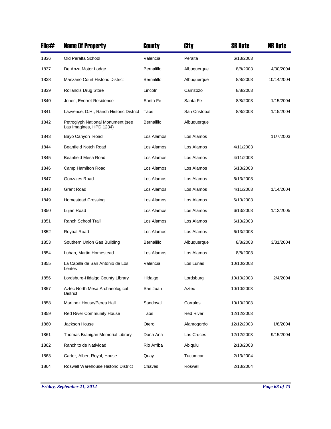| File# | <b>Name Of Property</b>                                      | County            | City             | <b>SR Date</b> | <b>NR Date</b> |
|-------|--------------------------------------------------------------|-------------------|------------------|----------------|----------------|
| 1836  | Old Peralta School                                           | Valencia          | Peralta          | 6/13/2003      |                |
| 1837  | De Anza Motor Lodge                                          | <b>Bernalillo</b> | Albuquerque      | 8/8/2003       | 4/30/2004      |
| 1838  | Manzano Court Historic District                              | Bernalillo        | Albuquerque      | 8/8/2003       | 10/14/2004     |
| 1839  | Rolland's Drug Store                                         | Lincoln           | Carrizozo        | 8/8/2003       |                |
| 1840  | Jones, Everret Residence                                     | Santa Fe          | Santa Fe         | 8/8/2003       | 1/15/2004      |
| 1841  | Lawrence, D.H., Ranch Historic District                      | Taos              | San Cristobal    | 8/8/2003       | 1/15/2004      |
| 1842  | Petroglyph National Monument (see<br>Las Imagines, HPD 1234) | Bernalillo        | Albuquerque      |                |                |
| 1843  | Bayo Canyon Road                                             | Los Alamos        | Los Alamos       |                | 11/7/2003      |
| 1844  | <b>Beanfield Notch Road</b>                                  | Los Alamos        | Los Alamos       | 4/11/2003      |                |
| 1845  | Beanfield Mesa Road                                          | Los Alamos        | Los Alamos       | 4/11/2003      |                |
| 1846  | Camp Hamilton Road                                           | Los Alamos        | Los Alamos       | 6/13/2003      |                |
| 1847  | Gonzales Road                                                | Los Alamos        | Los Alamos       | 6/13/2003      |                |
| 1848  | <b>Grant Road</b>                                            | Los Alamos        | Los Alamos       | 4/11/2003      | 1/14/2004      |
| 1849  | Homestead Crossing                                           | Los Alamos        | Los Alamos       | 6/13/2003      |                |
| 1850  | Lujan Road                                                   | Los Alamos        | Los Alamos       | 6/13/2003      | 1/12/2005      |
| 1851  | Ranch School Trail                                           | Los Alamos        | Los Alamos       | 6/13/2003      |                |
| 1852  | Roybal Road                                                  | Los Alamos        | Los Alamos       | 6/13/2003      |                |
| 1853  | Southern Union Gas Building                                  | Bernalillo        | Albuquerque      | 8/8/2003       | 3/31/2004      |
| 1854  | Luhan, Martin Homestead                                      | Los Alamos        | Los Alamos       | 8/8/2003       |                |
| 1855  | La Capilla de San Antonio de Los<br>Lentes                   | Valencia          | Los Lunas        | 10/10/2003     |                |
| 1856  | Lordsburg-Hidalgo County Library                             | Hidalgo           | Lordsburg        | 10/10/2003     | 2/4/2004       |
| 1857  | Aztec North Mesa Archaeological<br><b>District</b>           | San Juan          | Aztec            | 10/10/2003     |                |
| 1858  | Martinez House/Perea Hall                                    | Sandoval          | Corrales         | 10/10/2003     |                |
| 1859  | <b>Red River Community House</b>                             | Taos              | <b>Red River</b> | 12/12/2003     |                |
| 1860  | Jackson House                                                | Otero             | Alamogordo       | 12/12/2003     | 1/8/2004       |
| 1861  | Thomas Branigan Memorial Library                             | Dona Ana          | Las Cruces       | 12/12/2003     | 9/15/2004      |
| 1862  | Ranchito de Natividad                                        | Rio Arriba        | Abiquiu          | 2/13/2003      |                |
| 1863  | Carter, Albert Royal, House                                  | Quay              | Tucumcari        | 2/13/2004      |                |
| 1864  | Roswell Warehouse Historic District                          | Chaves            | Roswell          | 2/13/2004      |                |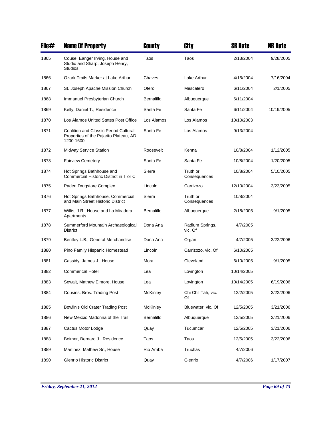| File# | <b>Name Of Property</b>                                                                      | County            | City                       | <b>SR Date</b> | <b>NR Date</b> |
|-------|----------------------------------------------------------------------------------------------|-------------------|----------------------------|----------------|----------------|
| 1865  | Couse, Eanger Irving, House and<br>Studio and Sharp, Joseph Henry,<br><b>Studios</b>         | Taos              | Taos                       | 2/13/2004      | 9/28/2005      |
| 1866  | Ozark Trails Marker at Lake Arthur                                                           | Chaves            | Lake Arthur                | 4/15/2004      | 7/16/2004      |
| 1867  | St. Joseph Apache Mission Church                                                             | Otero             | Mescalero                  | 6/11/2004      | 2/1/2005       |
| 1868  | Immanuel Presbyterian Church                                                                 | Bernalillo        | Albuquerque                | 6/11/2004      |                |
| 1869  | Kelly, Daniel T., Residence                                                                  | Santa Fe          | Santa Fe                   | 6/11/2004      | 10/19/2005     |
| 1870  | Los Alamos United States Post Office                                                         | Los Alamos        | Los Alamos                 | 10/10/2003     |                |
| 1871  | Coalition and Classic Period Cultural<br>Properties of the Pajarito Plateau, AD<br>1200-1600 | Santa Fe          | Los Alamos                 | 9/13/2004      |                |
| 1872  | <b>Midway Service Station</b>                                                                | Roosevelt         | Kenna                      | 10/8/2004      | 1/12/2005      |
| 1873  | <b>Fairview Cemetery</b>                                                                     | Santa Fe          | Santa Fe                   | 10/8/2004      | 1/20/2005      |
| 1874  | Hot Springs Bathhouse and<br>Commercial Historic District in T or C                          | Sierra            | Truth or<br>Consequences   | 10/8/2004      | 5/10/2005      |
| 1875  | Paden Drugstore Complex                                                                      | Lincoln           | Carrizozo                  | 12/10/2004     | 3/23/2005      |
| 1876  | Hot Springs Bathhouse, Commercial<br>and Main Street Historic District                       | Sierra            | Truth or<br>Consequences   | 10/8/2004      |                |
| 1877  | Willis, J.R., House and La Miradora<br>Apartments                                            | <b>Bernalillo</b> | Albuquerque                | 2/18/2005      | 9/1/2005       |
| 1878  | Summerford Mountain Archaeological<br><b>District</b>                                        | Dona Ana          | Radium Springs,<br>vic. Of | 4/7/2005       |                |
| 1879  | Bentley, L.B., General Merchandise                                                           | Dona Ana          | Organ                      | 4/7/2005       | 3/22/2006      |
| 1880  | Pino Family Hispanic Homestead                                                               | Lincoln           | Carrizozo, vic. Of         | 6/10/2005      |                |
| 1881  | Cassidy, James J., House                                                                     | Mora              | Cleveland                  | 6/10/2005      | 9/1/2005       |
| 1882  | <b>Commerical Hotel</b>                                                                      | Lea               | Lovington                  | 10/14/2005     |                |
| 1883  | Sewalt, Mathew Elmore, House                                                                 | Lea               | Lovington                  | 10/14/2005     | 6/19/2006      |
| 1884  | Cousins. Bros. Trading Post                                                                  | McKinley          | Chi Chil Tah, vic.<br>Of   | 12/2/2005      | 3/22/2006      |
| 1885  | Bowlin's Old Crater Trading Post                                                             | <b>McKinley</b>   | Bluewater, vic. Of         | 12/5/2005      | 3/21/2006      |
| 1886  | New Mexcio Madonna of the Trail                                                              | Bernalillo        | Albuquerque                | 12/5/2005      | 3/21/2006      |
| 1887  | Cactus Motor Lodge                                                                           | Quay              | Tucumcari                  | 12/5/2005      | 3/21/2006      |
| 1888  | Beimer, Bernard J., Residence                                                                | Taos              | Taos                       | 12/5/2005      | 3/22/2006      |
| 1889  | Martinez, Mathew Sr., House                                                                  | Rio Arriba        | Truchas                    | 4/7/2006       |                |
| 1890  | <b>Glenrio Historic District</b>                                                             | Quay              | Glenrio                    | 4/7/2006       | 1/17/2007      |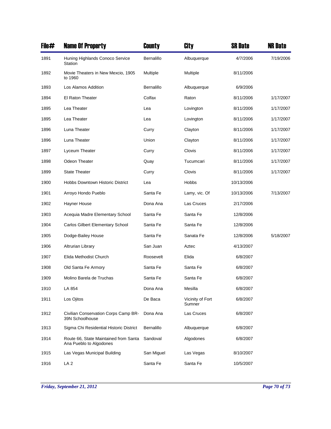| File# | <b>Name Of Property</b>                                          | County     | <b>City</b>                | <b>SR Date</b> | <b>NR Date</b> |
|-------|------------------------------------------------------------------|------------|----------------------------|----------------|----------------|
| 1891  | Huning Highlands Conoco Service<br>Station                       | Bernalillo | Albuquerque                | 4/7/2006       | 7/19/2006      |
| 1892  | Movie Theaters in New Mexcio, 1905<br>to 1960                    | Multiple   | Multiple                   | 8/11/2006      |                |
| 1893  | Los Alamos Addition                                              | Bernalillo | Albuquerque                | 6/9/2006       |                |
| 1894  | El Raton Theater                                                 | Colfax     | Raton                      | 8/11/2006      | 1/17/2007      |
| 1895  | Lea Theater                                                      | Lea        | Lovington                  | 8/11/2006      | 1/17/2007      |
| 1895  | Lea Theater                                                      | Lea        | Lovington                  | 8/11/2006      | 1/17/2007      |
| 1896  | Luna Theater                                                     | Curry      | Clayton                    | 8/11/2006      | 1/17/2007      |
| 1896  | Luna Theater                                                     | Union      | Clayton                    | 8/11/2006      | 1/17/2007      |
| 1897  | Lyceum Theater                                                   | Curry      | Clovis                     | 8/11/2006      | 1/17/2007      |
| 1898  | Odeon Theater                                                    | Quay       | Tucumcari                  | 8/11/2006      | 1/17/2007      |
| 1899  | <b>State Theater</b>                                             | Curry      | Clovis                     | 8/11/2006      | 1/17/2007      |
| 1900  | Hobbs Downtown Historic District                                 | Lea        | Hobbs                      | 10/13/2006     |                |
| 1901  | Arroyo Hondo Pueblo                                              | Santa Fe   | Lamy, vic. Of              | 10/13/2006     | 7/13/2007      |
| 1902  | Hayner House                                                     | Dona Ana   | Las Cruces                 | 2/17/2006      |                |
| 1903  | Acequia Madre Elementary School                                  | Santa Fe   | Santa Fe                   | 12/8/2006      |                |
| 1904  | Carlos Gilbert Elementary School                                 | Santa Fe   | Santa Fe                   | 12/8/2006      |                |
| 1905  | Dodge-Bailey House                                               | Santa Fe   | Sanata Fe                  | 12/8/2006      | 5/18/2007      |
| 1906  | <b>Altrurian Library</b>                                         | San Juan   | Aztec                      | 4/13/2007      |                |
| 1907  | Elida Methodist Church                                           | Roosevelt  | Elida                      | 6/8/2007       |                |
| 1908  | Old Santa Fe Armory                                              | Santa Fe   | Santa Fe                   | 6/8/2007       |                |
| 1909  | Molino Barela de Truchas                                         | Santa Fe   | Santa Fe                   | 6/8/2007       |                |
| 1910  | LA 854                                                           | Dona Ana   | Mesilla                    | 6/8/2007       |                |
| 1911  | Los Ojitos                                                       | De Baca    | Vicinity of Fort<br>Sumner | 6/8/2007       |                |
| 1912  | Civilian Conservation Corps Camp BR-<br>39N Schoolhouse          | Dona Ana   | Las Cruces                 | 6/8/2007       |                |
| 1913  | Sigma Chi Residential Historic District                          | Bernalillo | Albuquerque                | 6/8/2007       |                |
| 1914  | Route 66, State Maintained from Santa<br>Ana Pueblo to Algodones | Sandoval   | Algodones                  | 6/8/2007       |                |
| 1915  | Las Vegas Municipal Building                                     | San Miguel | Las Vegas                  | 8/10/2007      |                |
| 1916  | LA <sub>2</sub>                                                  | Santa Fe   | Santa Fe                   | 10/5/2007      |                |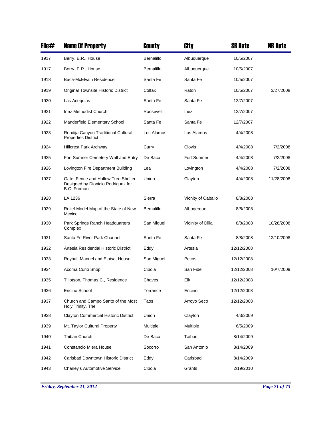| File# | <b>Name Of Property</b>                                                                  | County     | <b>City</b>        | <b>SR Date</b> | <b>NR Date</b> |
|-------|------------------------------------------------------------------------------------------|------------|--------------------|----------------|----------------|
| 1917  | Berry, E.R., House                                                                       | Bernalillo | Albuquerque        | 10/5/2007      |                |
| 1917  | Berry, E.R., House                                                                       | Bernalillo | Albuquerque        | 10/5/2007      |                |
| 1918  | Baca-McElvain Residence                                                                  | Santa Fe   | Santa Fe           | 10/5/2007      |                |
| 1919  | Original Townsite Historic District                                                      | Colfax     | Raton              | 10/5/2007      | 3/27/2008      |
| 1920  | Las Acequias                                                                             | Santa Fe   | Santa Fe           | 12/7/2007      |                |
| 1921  | Inez Methodist Church                                                                    | Roosevelt  | Inez               | 12/7/2007      |                |
| 1922  | Manderfield Elementary School                                                            | Santa Fe   | Santa Fe           | 12/7/2007      |                |
| 1923  | Rendija Canyon Traditional Cultural<br><b>Properties District</b>                        | Los Alamos | Los Alamos         | 4/4/2008       |                |
| 1924  | <b>Hillcrest Park Archway</b>                                                            | Curry      | Clovis             | 4/4/2008       | 7/2/2008       |
| 1925  | Fort Sumner Cemetery Wall and Entry                                                      | De Baca    | Fort Sumner        | 4/4/2008       | 7/2/2008       |
| 1926  | Lovington Fire Department Building                                                       | Lea        | Lovington          | 4/4/2008       | 7/2/2008       |
| 1927  | Gate, Fence and Hollow Tree Shelter<br>Designed by Dionicio Rodriguez for<br>B.C. Froman | Union      | Clayton            | 4/4/2008       | 11/28/2008     |
| 1928  | LA 1236                                                                                  | Sierra     | Vicnity of Caballo | 8/8/2008       |                |
| 1929  | Relief Model Map of the State of New<br>Mexico                                           | Bernalillo | Albugerque         | 8/8/2008       |                |
| 1930  | Park Springs Ranch Headquarters<br>Complex                                               | San Miguel | Vicinity of Dilia  | 8/8/2008       | 10/28/2008     |
| 1931  | Santa Fe River Park Channel                                                              | Santa Fe   | Santa Fe           | 8/8/2008       | 12/10/2008     |
| 1932  | Artesia Residential Historic District                                                    | Eddy       | Artesia            | 12/12/2008     |                |
| 1933  | Roybal, Manuel and Eloisa, House                                                         | San Miguel | Pecos              | 12/12/2008     |                |
| 1934  | Acoma Curio Shop                                                                         | Cibola     | San Fidel          | 12/12/2008     | 10/7/2009      |
| 1935  | Tillotson, Thomas C., Residence                                                          | Chaves     | Elk                | 12/12/2008     |                |
| 1936  | Encino School                                                                            | Torrance   | Encino             | 12/12/2008     |                |
| 1937  | Church and Campo Santo of the Most<br>Holy Trinity, The                                  | Taos       | Arroyo Seco        | 12/12/2008     |                |
| 1938  | <b>Clayton Commercial Historic District</b>                                              | Union      | Clayton            | 4/3/2009       |                |
| 1939  | Mt. Taylor Cultural Property                                                             | Multiple   | Multiple           | 6/5/2009       |                |
| 1940  | Taiban Church                                                                            | De Baca    | Taiban             | 8/14/2009      |                |
| 1941  | Constancio Miera House                                                                   | Socorro    | San Antonio        | 8/14/2009      |                |
| 1942  | Carlsbad Downtown Historic District                                                      | Eddy       | Carlsbad           | 8/14/2009      |                |
| 1943  | <b>Charley's Automotive Service</b>                                                      | Cibola     | Grants             | 2/19/2010      |                |

*Friday, September 21, 2012 Page 71 of 73*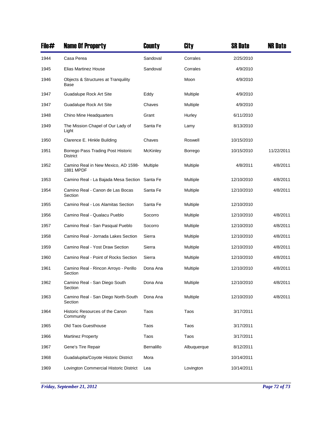| File# | <b>Name Of Property</b>                               | County     | City        | <b>SR Date</b> | <b>NR Date</b> |
|-------|-------------------------------------------------------|------------|-------------|----------------|----------------|
| 1944  | Casa Perea                                            | Sandoval   | Corrales    | 2/25/2010      |                |
| 1945  | <b>Elias Martinez House</b>                           | Sandoval   | Corrales    | 4/9/2010       |                |
| 1946  | Objects & Structures at Tranguility<br>Base           |            | Moon        | 4/9/2010       |                |
| 1947  | Guadalupe Rock Art Site                               | Eddy       | Multiple    | 4/9/2010       |                |
| 1947  | Guadalupe Rock Art Site                               | Chaves     | Multiple    | 4/9/2010       |                |
| 1948  | Chino Mine Headquarters                               | Grant      | Hurley      | 6/11/2010      |                |
| 1949  | The Mission Chapel of Our Lady of<br>Light            | Santa Fe   | Lamy        | 8/13/2010      |                |
| 1950  | Clarence E. Hinkle Building                           | Chaves     | Roswell     | 10/15/2010     |                |
| 1951  | Borrego Pass Trading Post Historic<br><b>District</b> | McKinley   | Borrego     | 10/15/2010     | 11/22/2011     |
| 1952  | Camino Real in New Mexico, AD 1598-<br>1881 MPDF      | Multiple   | Multiple    | 4/8/2011       | 4/8/2011       |
| 1953  | Camino Real - La Bajada Mesa Section                  | Santa Fe   | Multiple    | 12/10/2010     | 4/8/2011       |
| 1954  | Camino Real - Canon de Las Bocas<br>Section           | Santa Fe   | Multiple    | 12/10/2010     | 4/8/2011       |
| 1955  | Camino Real - Los Alamitas Section                    | Santa Fe   | Multiple    | 12/10/2010     |                |
| 1956  | Camino Real - Qualacu Pueblo                          | Socorro    | Multiple    | 12/10/2010     | 4/8/2011       |
| 1957  | Camino Real - San Pasqual Pueblo                      | Socorro    | Multiple    | 12/10/2010     | 4/8/2011       |
| 1958  | Camino Real - Jornada Lakes Section                   | Sierra     | Multiple    | 12/10/2010     | 4/8/2011       |
| 1959  | Camino Real - Yost Draw Section                       | Sierra     | Multiple    | 12/10/2010     | 4/8/2011       |
| 1960  | Camino Real - Point of Rocks Section                  | Sierra     | Multiple    | 12/10/2010     | 4/8/2011       |
| 1961  | Camino Real - Rincon Arroyo - Perillo<br>Section      | Dona Ana   | Multiple    | 12/10/2010     | 4/8/2011       |
| 1962  | Camino Real - San Diego South<br>Section              | Dona Ana   | Multiple    | 12/10/2010     | 4/8/2011       |
| 1963  | Camino Real - San Diego North-South<br>Section        | Dona Ana   | Multiple    | 12/10/2010     | 4/8/2011       |
| 1964  | Historic Resources of the Canon<br>Community          | Taos       | Taos        | 3/17/2011      |                |
| 1965  | Old Taos Guesthouse                                   | Taos       | Taos        | 3/17/2011      |                |
| 1966  | <b>Martinez Property</b>                              | Taos       | Taos        | 3/17/2011      |                |
| 1967  | Gene's Tire Repair                                    | Bernalillo | Albuquerque | 8/12/2011      |                |
| 1968  | Guadalupita/Coyote Historic District                  | Mora       |             | 10/14/2011     |                |
| 1969  | Lovington Commercial Historic District                | Lea        | Lovington   | 10/14/2011     |                |

*Friday, September 21, 2012 Page 72 of 73*